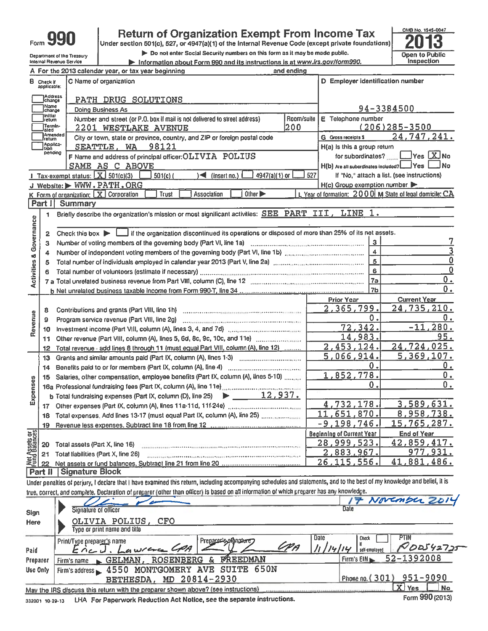Department of the Treasury

Internal Revenue Service

## **Return of Organization Exempt From Income Tax**

Under section 501(c), 527, or 4947(a)(1) of the Internal Revenue Code (except private foundations)

Do not enter Social Security numbers on this form as it may be made public.

Information about Form 990 and its instructions is at www.irs.gov/form990. <u> De Sterne S</u>



|                                | A For the 2013 calendar year, or tax year beginning<br>and ending |                                                                                                                                                             |                |                                         |                                                          |  |  |  |
|--------------------------------|-------------------------------------------------------------------|-------------------------------------------------------------------------------------------------------------------------------------------------------------|----------------|-----------------------------------------|----------------------------------------------------------|--|--|--|
|                                | <b>B</b> Check if<br>applicable:                                  | C Name of organization                                                                                                                                      |                | D Employer identification number        |                                                          |  |  |  |
|                                | Address<br>change                                                 | PATH DRUG SOLUTIONS                                                                                                                                         |                |                                         |                                                          |  |  |  |
|                                | Name<br> change                                                   | <b>Doing Business As</b>                                                                                                                                    |                |                                         |                                                          |  |  |  |
|                                | <b>Initial</b><br> return                                         | Number and street (or P.O. box if mail is not delivered to street address)                                                                                  | Room/suite     | E Telephone number                      | 94-3384500                                               |  |  |  |
|                                | Termin-<br>lated                                                  | <b>2201 WESTLAKE AVENUE</b>                                                                                                                                 |                | $(206)285 - 3500$                       |                                                          |  |  |  |
|                                | )<br>Amended<br>Iraturn                                           | City or town, state or province, country, and ZIP or foreign postal code                                                                                    | 200            | G Gross receipts \$                     | 24,747,241.                                              |  |  |  |
|                                | Applica-<br>Ition                                                 | SEATTLE, WA 98121                                                                                                                                           |                | H(a) is this a group return             |                                                          |  |  |  |
|                                | pending                                                           | F Name and address of principal officer: OLIVIA POLIUS                                                                                                      |                | for subordinates?                       | $\blacksquare$ Yes $\boxed{\mathbf{X}}$ No               |  |  |  |
|                                |                                                                   | SAME AS C ABOVE                                                                                                                                             |                | H(b) Are all subordinates included? Ves | _l No                                                    |  |  |  |
|                                |                                                                   | Tax-exempt status: $X$ 501(c)(3)<br>4947(a)(1) or<br>$501(c)$ (<br>$\leq$ (insert no.)                                                                      | 527            |                                         | If "No," attach a list. (see instructions)               |  |  |  |
|                                |                                                                   | J Website: > WWW.PATH.ORG                                                                                                                                   |                | H(c) Group exemption number             |                                                          |  |  |  |
|                                |                                                                   | Other D<br>K Form of organization: X Corporation<br>Trust<br>Association                                                                                    |                |                                         | L. Year of formation: 2000 M State of legal domicile: CA |  |  |  |
|                                | Part I                                                            | <b>Summary</b>                                                                                                                                              |                |                                         |                                                          |  |  |  |
|                                | 1                                                                 | Briefly describe the organization's mission or most significant activities: SEE PART III, LINE 1.                                                           |                |                                         |                                                          |  |  |  |
| & Governance                   |                                                                   |                                                                                                                                                             |                |                                         |                                                          |  |  |  |
|                                | 2                                                                 | Check this box $\blacktriangleright$ $\blacksquare$ if the organization discontinued its operations or disposed of more than 25% of its net assets.         |                |                                         |                                                          |  |  |  |
|                                | з                                                                 |                                                                                                                                                             |                | $\mathbf{3}$                            |                                                          |  |  |  |
|                                | 4                                                                 |                                                                                                                                                             |                | $\overline{4}$                          |                                                          |  |  |  |
|                                | 5                                                                 |                                                                                                                                                             | $\overline{5}$ | 0                                       |                                                          |  |  |  |
|                                | 6                                                                 |                                                                                                                                                             |                | 6                                       | $\mathbf{0}$                                             |  |  |  |
| <b>Activities</b>              |                                                                   |                                                                                                                                                             |                | <b>7a</b>                               | 0.                                                       |  |  |  |
|                                |                                                                   |                                                                                                                                                             |                | 7 <sub>b</sub>                          | 0.                                                       |  |  |  |
|                                |                                                                   |                                                                                                                                                             |                | <b>Prior Year</b>                       | <b>Current Year</b>                                      |  |  |  |
|                                | 8                                                                 |                                                                                                                                                             |                | 2,365,799.                              | 24,735,210.                                              |  |  |  |
| Revenue                        | 9                                                                 | Program service revenue (Part VIII, line 2g)                                                                                                                |                | 0.                                      | 0.                                                       |  |  |  |
|                                | 10                                                                |                                                                                                                                                             |                | .342.<br>$\overline{72}$                | .280.<br>$-11$                                           |  |  |  |
|                                | 11                                                                |                                                                                                                                                             |                | 14,983.                                 | 95.                                                      |  |  |  |
|                                | 12                                                                | Total revenue - add lines 8 through 11 (must equal Part VIII, column (A), line 12)                                                                          |                | 2,453,124.                              | 24,724,025.                                              |  |  |  |
|                                | 13                                                                | Grants and similar amounts paid (Part IX, column (A), lines 1-3)                                                                                            |                | 5,066,914.                              | 5,369,107.                                               |  |  |  |
|                                | 14                                                                |                                                                                                                                                             |                | 0.                                      | 0.                                                       |  |  |  |
|                                | 15                                                                | Salaries, other compensation, employee benefits (Part IX, column (A), lines 5-10)                                                                           |                | 1,852,778.                              | 0.                                                       |  |  |  |
|                                |                                                                   |                                                                                                                                                             |                | 0.                                      | 0.                                                       |  |  |  |
| <b>Expenses</b>                |                                                                   | b Total fundraising expenses (Part IX, column (D), line 25) $\rightarrow$ 12, 937.                                                                          |                |                                         |                                                          |  |  |  |
|                                | $17-17$                                                           |                                                                                                                                                             |                | 4.732.178.                              | 3,589,631.                                               |  |  |  |
|                                |                                                                   | 18 Total expenses. Add lines 13-17 (must equal Part IX, column (A), line 25)                                                                                |                | 11,651,870.                             | 8,958,738.                                               |  |  |  |
|                                | 19                                                                |                                                                                                                                                             |                | $-9,198,746.$                           | 15,765,287.                                              |  |  |  |
|                                |                                                                   |                                                                                                                                                             |                | <b>Beginning of Current Year</b>        | <b>End of Year</b>                                       |  |  |  |
|                                | 20                                                                | Total assets (Part X, line 16)                                                                                                                              |                | 28,999,523.                             | 42,859,417.                                              |  |  |  |
| wer Assers or<br>Fund Balances | 21                                                                | Total liabilities (Part X, line 26)                                                                                                                         |                | 2,883,967.                              | 977.931.                                                 |  |  |  |
|                                |                                                                   |                                                                                                                                                             |                | 26, 115, 556.                           | ,881<br>41<br>,486.                                      |  |  |  |
|                                | Part II                                                           | <b>Signature Block</b>                                                                                                                                      |                |                                         |                                                          |  |  |  |
|                                |                                                                   | locks avanting to decker and like to warming this return including accompanying schedules and statements, and to the hest of my knowledge and belief. It is |                |                                         |                                                          |  |  |  |

Under penalties of perjury, I declare that I have examined this return, including accompanying schedules and statements, and to the best true, correct, and complete. Declaration of preparer (other than officer) is based on all information of which preparer has any knowledge.

| <b>Sign</b>     | Sionature of officer                                                               | 17 November 2014<br><b>Date</b>                                      |
|-----------------|------------------------------------------------------------------------------------|----------------------------------------------------------------------|
| <b>Here</b>     | OLIVIA POLIUS, CFO<br>Type or print name and title                                 |                                                                      |
| Paid            | Preparer 6, signature<br>Print/Type preparer's name<br>F P A<br>EncJ. Lawrence CPA | <b>Date</b><br><b>PTIN</b><br>Check<br>$P$ 00542725<br>self-employed |
| Preparer        | <b>FREDMAN</b><br>Firm's name GELMAN, ROSENBERG                                    | 52-1392008<br>Firm's $EIN \rightarrow$                               |
| Use Only        | Firm's address 4550 MONTGOMERY AVE SUITE 650N                                      |                                                                      |
|                 | BETHESDA, MD 20814-2930                                                            | Phone no. (301) 951-9090                                             |
|                 | May the IRS discuss this return with the preparer shown above? (see instructions)  | $\overline{X}$ Yes<br>No                                             |
| 332001 10-29-13 | LHA For Paperwork Reduction Act Notice, see the separate instructions.             | Form 990 (2013)                                                      |

332001 10-29-13 LHA For Paperwork Reduction Act Notice, see the separate instructions.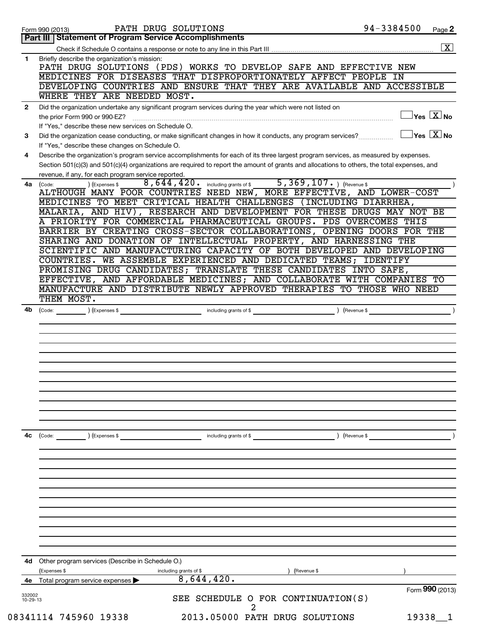|                    | PATH DRUG SOLUTIONS<br>Form 990 (2013)                                                                                                                                                                                                                                                                                                                                                                                                                                                                                                                                                                                                                                                                               | 94-3384500<br>Page 2                   |
|--------------------|----------------------------------------------------------------------------------------------------------------------------------------------------------------------------------------------------------------------------------------------------------------------------------------------------------------------------------------------------------------------------------------------------------------------------------------------------------------------------------------------------------------------------------------------------------------------------------------------------------------------------------------------------------------------------------------------------------------------|----------------------------------------|
|                    | <b>Part III   Statement of Program Service Accomplishments</b>                                                                                                                                                                                                                                                                                                                                                                                                                                                                                                                                                                                                                                                       |                                        |
|                    |                                                                                                                                                                                                                                                                                                                                                                                                                                                                                                                                                                                                                                                                                                                      | $\boxed{\mathbf{X}}$                   |
| 1.                 | Briefly describe the organization's mission:<br>PATH DRUG SOLUTIONS (PDS) WORKS TO DEVELOP SAFE AND EFFECTIVE NEW<br>MEDICINES FOR DISEASES THAT DISPROPORTIONATELY AFFECT PEOPLE IN<br>DEVELOPING COUNTRIES AND ENSURE THAT THEY ARE AVAILABLE AND ACCESSIBLE                                                                                                                                                                                                                                                                                                                                                                                                                                                       |                                        |
|                    | WHERE THEY ARE NEEDED MOST.                                                                                                                                                                                                                                                                                                                                                                                                                                                                                                                                                                                                                                                                                          |                                        |
| $\mathbf{2}$       | Did the organization undertake any significant program services during the year which were not listed on                                                                                                                                                                                                                                                                                                                                                                                                                                                                                                                                                                                                             |                                        |
|                    | the prior Form 990 or 990-EZ?<br>If "Yes," describe these new services on Schedule O.                                                                                                                                                                                                                                                                                                                                                                                                                                                                                                                                                                                                                                | $\mathbb{I}$ Yes $\boxed{\text{X}}$ No |
| 3                  | Did the organization cease conducting, or make significant changes in how it conducts, any program services?<br>If "Yes," describe these changes on Schedule O.                                                                                                                                                                                                                                                                                                                                                                                                                                                                                                                                                      | $\exists$ Yes $\boxed{\text{X}}$ No    |
| 4                  | Describe the organization's program service accomplishments for each of its three largest program services, as measured by expenses.<br>Section 501(c)(3) and 501(c)(4) organizations are required to report the amount of grants and allocations to others, the total expenses, and                                                                                                                                                                                                                                                                                                                                                                                                                                 |                                        |
|                    | revenue, if any, for each program service reported.                                                                                                                                                                                                                                                                                                                                                                                                                                                                                                                                                                                                                                                                  |                                        |
| 4a                 | $5,369,107.$ (Revenue \$)<br>$\overline{8}$ , $\overline{6}$ 44, 420. including grants of \$<br>) (Expenses \$<br>(Code:<br>ALTHOUGH MANY POOR COUNTRIES NEED NEW, MORE EFFECTIVE, AND LOWER-COST<br>MEDICINES TO MEET CRITICAL HEALTH CHALLENGES (INCLUDING DIARRHEA,<br>MALARIA, AND HIV), RESEARCH AND DEVELOPMENT FOR THESE DRUGS MAY NOT BE<br>A PRIORITY FOR COMMERCIAL PHARMACEUTICAL GROUPS. PDS OVERCOMES THIS<br>BARRIER BY CREATING CROSS-SECTOR COLLABORATIONS, OPENING DOORS FOR THE<br>SHARING AND DONATION OF INTELLECTUAL PROPERTY, AND HARNESSING THE<br>SCIENTIFIC AND MANUFACTURING CAPACITY OF BOTH DEVELOPED AND DEVELOPING<br>COUNTRIES. WE ASSEMBLE EXPERIENCED AND DEDICATED TEAMS; IDENTIFY |                                        |
|                    | PROMISING DRUG CANDIDATES; TRANSLATE THESE CANDIDATES INTO SAFE,                                                                                                                                                                                                                                                                                                                                                                                                                                                                                                                                                                                                                                                     |                                        |
|                    | EFFECTIVE, AND AFFORDABLE MEDICINES; AND COLLABORATE WITH COMPANIES TO                                                                                                                                                                                                                                                                                                                                                                                                                                                                                                                                                                                                                                               |                                        |
|                    | MANUFACTURE AND DISTRIBUTE NEWLY APPROVED THERAPIES TO THOSE WHO NEED                                                                                                                                                                                                                                                                                                                                                                                                                                                                                                                                                                                                                                                |                                        |
|                    | THEM MOST.                                                                                                                                                                                                                                                                                                                                                                                                                                                                                                                                                                                                                                                                                                           |                                        |
|                    |                                                                                                                                                                                                                                                                                                                                                                                                                                                                                                                                                                                                                                                                                                                      |                                        |
|                    |                                                                                                                                                                                                                                                                                                                                                                                                                                                                                                                                                                                                                                                                                                                      |                                        |
|                    |                                                                                                                                                                                                                                                                                                                                                                                                                                                                                                                                                                                                                                                                                                                      |                                        |
| 4с                 | (Expenses \$<br>(Code:<br>including grants of \$                                                                                                                                                                                                                                                                                                                                                                                                                                                                                                                                                                                                                                                                     | ) (Revenue \$                          |
|                    |                                                                                                                                                                                                                                                                                                                                                                                                                                                                                                                                                                                                                                                                                                                      |                                        |
|                    |                                                                                                                                                                                                                                                                                                                                                                                                                                                                                                                                                                                                                                                                                                                      |                                        |
|                    |                                                                                                                                                                                                                                                                                                                                                                                                                                                                                                                                                                                                                                                                                                                      |                                        |
|                    | <b>4d</b> Other program services (Describe in Schedule O.)                                                                                                                                                                                                                                                                                                                                                                                                                                                                                                                                                                                                                                                           |                                        |
|                    | (Expenses \$<br>(Revenue \$<br>including grants of \$<br>8,644,420.                                                                                                                                                                                                                                                                                                                                                                                                                                                                                                                                                                                                                                                  |                                        |
|                    |                                                                                                                                                                                                                                                                                                                                                                                                                                                                                                                                                                                                                                                                                                                      |                                        |
| 4е                 | Total program service expenses                                                                                                                                                                                                                                                                                                                                                                                                                                                                                                                                                                                                                                                                                       | Form 990 (2013)                        |
| 332002<br>10-29-13 | SEE SCHEDULE O FOR CONTINUATION(S)                                                                                                                                                                                                                                                                                                                                                                                                                                                                                                                                                                                                                                                                                   |                                        |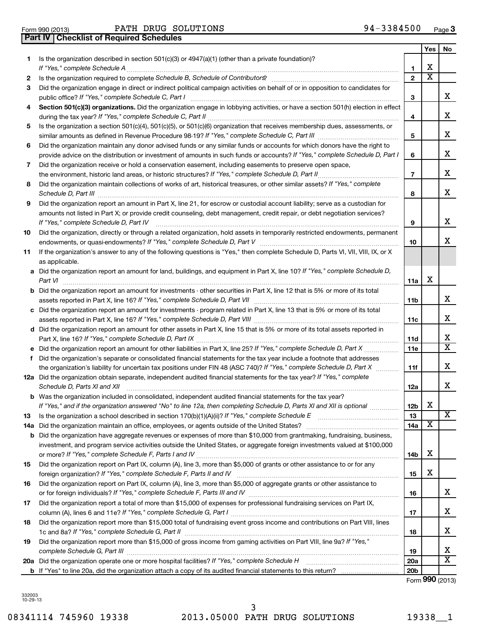|     |                                                                                                                                                                                                                               |                 | Yes                     | No                      |
|-----|-------------------------------------------------------------------------------------------------------------------------------------------------------------------------------------------------------------------------------|-----------------|-------------------------|-------------------------|
| 1.  | Is the organization described in section 501(c)(3) or 4947(a)(1) (other than a private foundation)?                                                                                                                           |                 |                         |                         |
|     |                                                                                                                                                                                                                               | 1               | х                       |                         |
| 2   | Is the organization required to complete Schedule B, Schedule of Contributors? [111] [12] the organization required to complete Schedule B, Schedule of Contributors?                                                         | $\overline{2}$  | $\overline{\textbf{x}}$ |                         |
| З   | Did the organization engage in direct or indirect political campaign activities on behalf of or in opposition to candidates for                                                                                               | 3               |                         | x                       |
| 4   | Section 501(c)(3) organizations. Did the organization engage in lobbying activities, or have a section 501(h) election in effect                                                                                              |                 |                         |                         |
|     |                                                                                                                                                                                                                               | 4               |                         | x                       |
| 5   | Is the organization a section 501(c)(4), 501(c)(5), or 501(c)(6) organization that receives membership dues, assessments, or                                                                                                  |                 |                         |                         |
|     |                                                                                                                                                                                                                               | 5               |                         | x                       |
| 6   | Did the organization maintain any donor advised funds or any similar funds or accounts for which donors have the right to                                                                                                     |                 |                         |                         |
|     | provide advice on the distribution or investment of amounts in such funds or accounts? If "Yes," complete Schedule D, Part I                                                                                                  | 6               |                         | x                       |
| 7   | Did the organization receive or hold a conservation easement, including easements to preserve open space,                                                                                                                     |                 |                         |                         |
|     |                                                                                                                                                                                                                               | 7               |                         | x                       |
| 8   | Did the organization maintain collections of works of art, historical treasures, or other similar assets? If "Yes," complete<br>Schedule D, Part III <b>Marting Community</b> Construction of the United Schedule D, Part III | 8               |                         | x                       |
| 9   | Did the organization report an amount in Part X, line 21, for escrow or custodial account liability; serve as a custodian for                                                                                                 |                 |                         |                         |
|     | amounts not listed in Part X; or provide credit counseling, debt management, credit repair, or debt negotiation services?<br>If "Yes," complete Schedule D, Part IV                                                           | 9               |                         | x                       |
| 10  | Did the organization, directly or through a related organization, hold assets in temporarily restricted endowments, permanent                                                                                                 |                 |                         |                         |
|     |                                                                                                                                                                                                                               | 10              |                         | x                       |
| 11  | If the organization's answer to any of the following questions is "Yes," then complete Schedule D, Parts VI, VII, VIII, IX, or X<br>as applicable.                                                                            |                 |                         |                         |
|     | a Did the organization report an amount for land, buildings, and equipment in Part X, line 10? If "Yes," complete Schedule D,                                                                                                 |                 |                         |                         |
|     | Part VI                                                                                                                                                                                                                       | 11a             | х                       |                         |
|     | <b>b</b> Did the organization report an amount for investments - other securities in Part X, line 12 that is 5% or more of its total                                                                                          |                 |                         |                         |
|     |                                                                                                                                                                                                                               | 11b             |                         | X.                      |
|     | c Did the organization report an amount for investments - program related in Part X, line 13 that is 5% or more of its total                                                                                                  |                 |                         |                         |
|     |                                                                                                                                                                                                                               | 11c             |                         | x                       |
|     | d Did the organization report an amount for other assets in Part X, line 15 that is 5% or more of its total assets reported in                                                                                                |                 |                         | х                       |
|     |                                                                                                                                                                                                                               | 11d             |                         | $\overline{\mathtt{x}}$ |
| f   | Did the organization's separate or consolidated financial statements for the tax year include a footnote that addresses                                                                                                       | 11e             |                         |                         |
|     | the organization's liability for uncertain tax positions under FIN 48 (ASC 740)? If "Yes," complete Schedule D, Part X                                                                                                        | 11f             |                         | x                       |
|     | 12a Did the organization obtain separate, independent audited financial statements for the tax year? If "Yes," complete                                                                                                       |                 |                         |                         |
|     | Schedule D, Parts XI and XII                                                                                                                                                                                                  | 12a             |                         | x                       |
|     | <b>b</b> Was the organization included in consolidated, independent audited financial statements for the tax year?                                                                                                            |                 |                         |                         |
|     | If "Yes," and if the organization answered "No" to line 12a, then completing Schedule D, Parts XI and XII is optional                                                                                                         | 12b             | X                       |                         |
| 13  |                                                                                                                                                                                                                               | 13              |                         | x                       |
| 14a |                                                                                                                                                                                                                               | 14a             | х                       |                         |
|     | <b>b</b> Did the organization have aggregate revenues or expenses of more than \$10,000 from grantmaking, fundraising, business,                                                                                              |                 |                         |                         |
|     | investment, and program service activities outside the United States, or aggregate foreign investments valued at \$100,000                                                                                                    |                 |                         |                         |
|     |                                                                                                                                                                                                                               | 14b             | х                       |                         |
| 15  | Did the organization report on Part IX, column (A), line 3, more than \$5,000 of grants or other assistance to or for any                                                                                                     |                 | х                       |                         |
|     | Did the organization report on Part IX, column (A), line 3, more than \$5,000 of aggregate grants or other assistance to                                                                                                      | 15              |                         |                         |
| 16  |                                                                                                                                                                                                                               | 16              |                         | x                       |
| 17  | Did the organization report a total of more than \$15,000 of expenses for professional fundraising services on Part IX,                                                                                                       |                 |                         |                         |
|     |                                                                                                                                                                                                                               | 17              |                         | х                       |
| 18  | Did the organization report more than \$15,000 total of fundraising event gross income and contributions on Part VIII, lines                                                                                                  |                 |                         |                         |
|     |                                                                                                                                                                                                                               | 18              |                         | х                       |
| 19  | Did the organization report more than \$15,000 of gross income from gaming activities on Part VIII, line 9a? If "Yes,"                                                                                                        |                 |                         |                         |
|     |                                                                                                                                                                                                                               | 19              |                         | х                       |
|     |                                                                                                                                                                                                                               | <b>20a</b>      |                         | $\overline{\texttt{x}}$ |
|     |                                                                                                                                                                                                                               | 20 <sub>b</sub> |                         |                         |

Form (2013) **990**

332003 10-29-13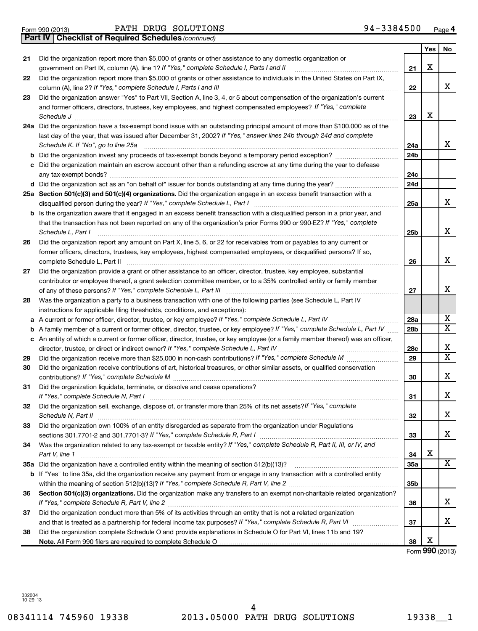**21**

**22**

**23**

|    | and former officers, directors, trustees, key employees, and highest compensated employees? If "Yes," complete<br>Schedule J        | 23  | х |                         |
|----|-------------------------------------------------------------------------------------------------------------------------------------|-----|---|-------------------------|
|    | 24a Did the organization have a tax-exempt bond issue with an outstanding principal amount of more than \$100,000 as of the         |     |   |                         |
|    | last day of the year, that was issued after December 31, 2002? If "Yes," answer lines 24b through 24d and complete                  |     |   |                         |
|    | Schedule K. If "No", go to line 25a                                                                                                 | 24a |   | х                       |
| b  | Did the organization invest any proceeds of tax-exempt bonds beyond a temporary period exception?                                   | 24b |   |                         |
|    | Did the organization maintain an escrow account other than a refunding escrow at any time during the year to defease                |     |   |                         |
|    | any tax-exempt bonds?                                                                                                               | 24c |   |                         |
|    |                                                                                                                                     | 24d |   |                         |
|    | 25a Section 501(c)(3) and 501(c)(4) organizations. Did the organization engage in an excess benefit transaction with a              |     |   |                         |
|    | disqualified person during the year? If "Yes," complete Schedule L, Part I                                                          | 25a |   | х                       |
|    | <b>b</b> Is the organization aware that it engaged in an excess benefit transaction with a disqualified person in a prior year, and |     |   |                         |
|    | that the transaction has not been reported on any of the organization's prior Forms 990 or 990-EZ? If "Yes," complete               |     |   |                         |
|    | Schedule L, Part I                                                                                                                  | 25b |   | х                       |
| 26 | Did the organization report any amount on Part X, line 5, 6, or 22 for receivables from or payables to any current or               |     |   |                         |
|    | former officers, directors, trustees, key employees, highest compensated employees, or disqualified persons? If so,                 |     |   |                         |
|    | complete Schedule L, Part II                                                                                                        | 26  |   | х                       |
| 27 | Did the organization provide a grant or other assistance to an officer, director, trustee, key employee, substantial                |     |   |                         |
|    | contributor or employee thereof, a grant selection committee member, or to a 35% controlled entity or family member                 |     |   |                         |
|    |                                                                                                                                     | 27  |   | х                       |
| 28 | Was the organization a party to a business transaction with one of the following parties (see Schedule L, Part IV                   |     |   |                         |
|    | instructions for applicable filing thresholds, conditions, and exceptions):                                                         |     |   |                         |
| a  | A current or former officer, director, trustee, or key employee? If "Yes," complete Schedule L, Part IV                             | 28a |   | х                       |
| b  | A family member of a current or former officer, director, trustee, or key employee? If "Yes," complete Schedule L, Part IV          | 28b |   | х                       |
|    | c An entity of which a current or former officer, director, trustee, or key employee (or a family member thereof) was an officer,   |     |   |                         |
|    | director, trustee, or direct or indirect owner? If "Yes," complete Schedule L, Part IV                                              | 28c |   | X                       |
| 29 |                                                                                                                                     | 29  |   | $\overline{\textbf{x}}$ |
| 30 | Did the organization receive contributions of art, historical treasures, or other similar assets, or qualified conservation         |     |   |                         |
|    |                                                                                                                                     | 30  |   | х                       |
| 31 | Did the organization liquidate, terminate, or dissolve and cease operations?                                                        |     |   |                         |
|    | If "Yes," complete Schedule N, Part I                                                                                               | 31  |   | х                       |
| 32 | Did the organization sell, exchange, dispose of, or transfer more than 25% of its net assets? If "Yes," complete                    |     |   |                         |
|    | Schedule N, Part II                                                                                                                 | 32  |   | х                       |
| 33 | Did the organization own 100% of an entity disregarded as separate from the organization under Regulations                          |     |   |                         |
|    |                                                                                                                                     | 33  |   | х                       |
| 34 | Was the organization related to any tax-exempt or taxable entity? If "Yes," complete Schedule R, Part II, III, or IV, and           |     |   |                         |
|    | Part V, line 1                                                                                                                      | 34  | х |                         |
|    |                                                                                                                                     | 35a |   | $\overline{\mathtt{x}}$ |
|    | b If "Yes" to line 35a, did the organization receive any payment from or engage in any transaction with a controlled entity         |     |   |                         |
|    |                                                                                                                                     | 35b |   |                         |
| 36 | Section 501(c)(3) organizations. Did the organization make any transfers to an exempt non-charitable related organization?          |     |   |                         |
|    |                                                                                                                                     | 36  |   | х                       |
| 37 | Did the organization conduct more than 5% of its activities through an entity that is not a related organization                    |     |   |                         |
|    |                                                                                                                                     | 37  |   | х                       |
| 38 | Did the organization complete Schedule O and provide explanations in Schedule O for Part VI, lines 11b and 19?                      |     |   |                         |
|    | Note. All Form 990 filers are required to complete Schedule O                                                                       | 38  | х |                         |
|    |                                                                                                                                     |     |   | Form 990 (2013)         |
|    |                                                                                                                                     |     |   |                         |

*If "Yes," complete Schedule I, Parts I and II* government on Part IX, column (A), line 1? ~~~~~~~~~~~~~~~~~~

Did the organization report more than \$5,000 of grants or other assistance to individuals in the United States on Part IX,

Did the organization answer "Yes" to Part VII, Section A, line 3, 4, or 5 about compensation of the organization's current

Did the organization report more than \$5,000 of grants or other assistance to any domestic organization or

*If "Yes," complete Schedule I, Parts I and III* column (A), line 2? ~~~~~~~~~~~~~~~~~~~~~~~~~~~~~~

#### Form 990 (2013) Page PATH DRUG SOLUTIONS 94-3384500 **4**

**21**

**22**

**Yes No**

X

X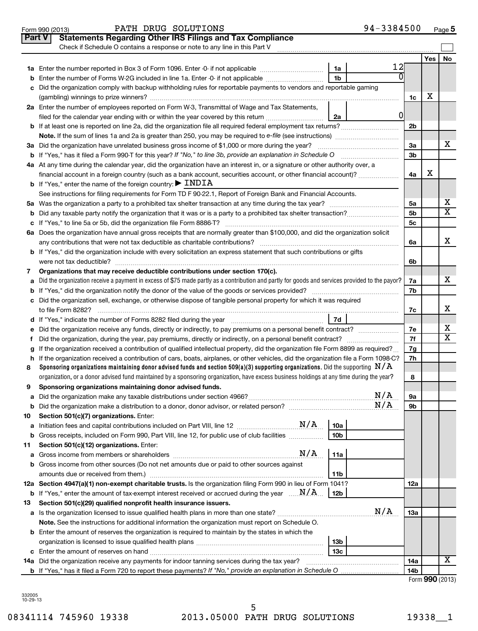|        | PATH DRUG SOLUTIONS<br>Form 990 (2013)                                                                                                          | 94-3384500      |                |     | $Page$ 5  |
|--------|-------------------------------------------------------------------------------------------------------------------------------------------------|-----------------|----------------|-----|-----------|
| Part V | <b>Statements Regarding Other IRS Filings and Tax Compliance</b>                                                                                |                 |                |     |           |
|        | Check if Schedule O contains a response or note to any line in this Part V                                                                      |                 |                |     |           |
|        |                                                                                                                                                 |                 |                | Yes | <b>No</b> |
|        |                                                                                                                                                 | 12<br>1a        |                |     |           |
|        | <b>b</b> Enter the number of Forms W-2G included in line 1a. Enter -0- if not applicable                                                        | 1 <sub>b</sub>  |                |     |           |
|        | c Did the organization comply with backup withholding rules for reportable payments to vendors and reportable gaming                            |                 |                |     |           |
|        |                                                                                                                                                 |                 | 1c             | х   |           |
|        | 2a Enter the number of employees reported on Form W-3, Transmittal of Wage and Tax Statements,                                                  |                 |                |     |           |
|        | filed for the calendar year ending with or within the year covered by this return <i>[[[[[[[[[[[[[[]]]]</i> ]]                                  | 2a              | 0              |     |           |
|        |                                                                                                                                                 |                 | 2 <sub>b</sub> |     |           |
|        |                                                                                                                                                 |                 |                |     |           |
|        | 3a Did the organization have unrelated business gross income of \$1,000 or more during the year?                                                |                 | 3a             |     | x         |
|        |                                                                                                                                                 |                 | 3 <sub>b</sub> |     |           |
|        | 4a At any time during the calendar year, did the organization have an interest in, or a signature or other authority over, a                    |                 |                |     |           |
|        | financial account in a foreign country (such as a bank account, securities account, or other financial account)?                                |                 | 4a             | х   |           |
|        | <b>b</b> If "Yes," enter the name of the foreign country: $\blacktriangleright$ INDIA                                                           |                 |                |     |           |
|        | See instructions for filing requirements for Form TD F 90-22.1, Report of Foreign Bank and Financial Accounts.                                  |                 |                |     |           |
|        |                                                                                                                                                 |                 | 5а             |     | x         |
|        |                                                                                                                                                 |                 | 5b             |     | X         |
|        |                                                                                                                                                 |                 | 5 <sub>c</sub> |     |           |
|        | 6a Does the organization have annual gross receipts that are normally greater than \$100,000, and did the organization solicit                  |                 |                |     |           |
|        |                                                                                                                                                 |                 | 6a             |     | х         |
|        | b If "Yes," did the organization include with every solicitation an express statement that such contributions or gifts                          |                 |                |     |           |
|        |                                                                                                                                                 |                 | 6b             |     |           |
| 7      | Organizations that may receive deductible contributions under section 170(c).                                                                   |                 |                |     |           |
| a      | Did the organization receive a payment in excess of \$75 made partly as a contribution and partly for goods and services provided to the payor? |                 | 7a             |     | x         |
|        |                                                                                                                                                 |                 | 7b             |     |           |
|        | c Did the organization sell, exchange, or otherwise dispose of tangible personal property for which it was required                             |                 |                |     |           |
|        |                                                                                                                                                 |                 | 7c             |     | х         |
|        |                                                                                                                                                 | <b>7d</b>       |                |     |           |
|        | e Did the organization receive any funds, directly or indirectly, to pay premiums on a personal benefit contract?                               |                 | 7е             |     | х         |
| f      |                                                                                                                                                 |                 | 7f             |     | X         |
|        | g If the organization received a contribution of qualified intellectual property, did the organization file Form 8899 as required?              |                 | 7g             |     |           |
|        | h If the organization received a contribution of cars, boats, airplanes, or other vehicles, did the organization file a Form 1098-C?            |                 | 7h             |     |           |
| 8      | Sponsoring organizations maintaining donor advised funds and section 509(a)(3) supporting organizations. Did the supporting $N/A$               |                 |                |     |           |
|        | organization, or a donor advised fund maintained by a sponsoring organization, have excess business holdings at any time during the year?       |                 | 8              |     |           |
| 9      | Sponsoring organizations maintaining donor advised funds.                                                                                       |                 |                |     |           |
| а      |                                                                                                                                                 | N/A             | 9а             |     |           |
| b      |                                                                                                                                                 | N/A             | 9b             |     |           |
| 10     | Section 501(c)(7) organizations. Enter:                                                                                                         |                 |                |     |           |
| а      |                                                                                                                                                 | 10a             |                |     |           |
|        | <b>b</b> Gross receipts, included on Form 990, Part VIII, line 12, for public use of club facilities <i>manument</i> .                          | 10b             |                |     |           |
| 11     | Section 501(c)(12) organizations. Enter:                                                                                                        |                 |                |     |           |
|        | N/A                                                                                                                                             | 11a             |                |     |           |
|        | <b>b</b> Gross income from other sources (Do not net amounts due or paid to other sources against                                               |                 |                |     |           |
|        | amounts due or received from them.)                                                                                                             | 11b             |                |     |           |
|        | 12a Section 4947(a)(1) non-exempt charitable trusts. Is the organization filing Form 990 in lieu of Form 1041?                                  |                 | 12a            |     |           |
|        | <b>b</b> If "Yes," enter the amount of tax-exempt interest received or accrued during the year $\ldots \mathbf{N}/\mathbf{A}$ .                 | 12b             |                |     |           |
| 13     | Section 501(c)(29) qualified nonprofit health insurance issuers.                                                                                |                 |                |     |           |
|        |                                                                                                                                                 | N/A             | 13a            |     |           |
|        | Note. See the instructions for additional information the organization must report on Schedule O.                                               |                 |                |     |           |
|        | <b>b</b> Enter the amount of reserves the organization is required to maintain by the states in which the                                       |                 |                |     |           |
|        |                                                                                                                                                 | 13 <sub>b</sub> |                |     |           |
|        |                                                                                                                                                 | 13c             |                |     |           |
|        |                                                                                                                                                 |                 | 14a            |     | х         |
|        |                                                                                                                                                 |                 | 14b            |     |           |

| Form 990 (2013) |  |
|-----------------|--|
|-----------------|--|

332005 10-29-13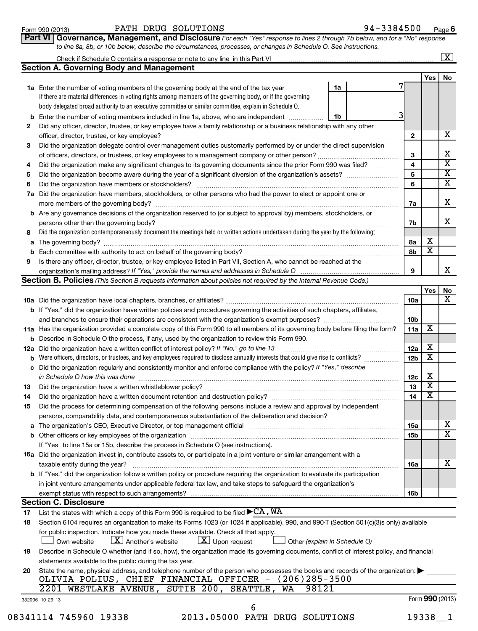**6**

|  | Part VI   Governance, Management, and Disclosure For each "Yes" response to lines 2 through 7b below, and for a "No" response |  |  |  |
|--|-------------------------------------------------------------------------------------------------------------------------------|--|--|--|
|  | to line 8a, 8b, or 10b below, describe the circumstances, processes, or changes in Schedule O. See instructions.              |  |  |  |

|  | Check<br>a il | ob. | equie | contains | to anv<br>a response.<br>e or note | $\mathcal{M}$<br>Part<br>this<br>line. |  |
|--|---------------|-----|-------|----------|------------------------------------|----------------------------------------|--|
|  |               |     |       |          |                                    |                                        |  |

|     | Check if Schedule O contains a response or note to any line in this Part VI                                                                                           |                         |                         | $\lfloor x \rfloor$     |
|-----|-----------------------------------------------------------------------------------------------------------------------------------------------------------------------|-------------------------|-------------------------|-------------------------|
|     | <b>Section A. Governing Body and Management</b>                                                                                                                       |                         |                         |                         |
|     |                                                                                                                                                                       |                         | Yes                     | No                      |
|     | 1a<br>1a Enter the number of voting members of the governing body at the end of the tax year                                                                          |                         |                         |                         |
|     | If there are material differences in voting rights among members of the governing body, or if the governing                                                           |                         |                         |                         |
|     | body delegated broad authority to an executive committee or similar committee, explain in Schedule O.                                                                 |                         |                         |                         |
| b   | Enter the number of voting members included in line 1a, above, who are independent<br>1b                                                                              |                         |                         |                         |
| 2   | Did any officer, director, trustee, or key employee have a family relationship or a business relationship with any other                                              |                         |                         |                         |
|     | officer, director, trustee, or key employee?                                                                                                                          | $\mathbf{2}$            |                         | X                       |
| 3   | Did the organization delegate control over management duties customarily performed by or under the direct supervision                                                 |                         |                         |                         |
|     |                                                                                                                                                                       | 3                       |                         | x                       |
| 4   | Did the organization make any significant changes to its governing documents since the prior Form 990 was filed?                                                      | $\overline{\mathbf{4}}$ |                         | $\overline{\mathtt{x}}$ |
| 5   |                                                                                                                                                                       | 5                       |                         | $\overline{\mathbf{X}}$ |
| 6   |                                                                                                                                                                       | 6                       |                         | X                       |
| 7а  | Did the organization have members, stockholders, or other persons who had the power to elect or appoint one or                                                        |                         |                         |                         |
|     | more members of the governing body?                                                                                                                                   | 7a                      |                         | Х                       |
|     | <b>b</b> Are any governance decisions of the organization reserved to (or subject to approval by) members, stockholders, or                                           |                         |                         |                         |
|     | persons other than the governing body?                                                                                                                                | 7b                      |                         | x                       |
| 8   | Did the organization contemporaneously document the meetings held or written actions undertaken during the year by the following:                                     |                         |                         |                         |
| a   |                                                                                                                                                                       | 8a                      | х                       |                         |
| b   |                                                                                                                                                                       | 8b                      | $\overline{\textbf{x}}$ |                         |
| 9   | Is there any officer, director, trustee, or key employee listed in Part VII, Section A, who cannot be reached at the                                                  |                         |                         |                         |
|     | organization's mailing address? If "Yes," provide the names and addresses in Schedule O                                                                               | 9                       |                         | X.                      |
|     | Section B. Policies (This Section B requests information about policies not required by the Internal Revenue Code.)                                                   |                         |                         |                         |
|     |                                                                                                                                                                       |                         | Yes                     | No                      |
|     |                                                                                                                                                                       | <b>10a</b>              |                         | X.                      |
|     | <b>b</b> If "Yes," did the organization have written policies and procedures governing the activities of such chapters, affiliates,                                   |                         |                         |                         |
|     | and branches to ensure their operations are consistent with the organization's exempt purposes? [[[[[[[[[[[[[                                                         | 10 <sub>b</sub>         |                         |                         |
|     | 11a Has the organization provided a complete copy of this Form 990 to all members of its governing body before filing the form?                                       | 11a                     | $\overline{\textbf{X}}$ |                         |
| b   | Describe in Schedule O the process, if any, used by the organization to review this Form 990.                                                                         |                         |                         |                         |
| 12a | Did the organization have a written conflict of interest policy? If "No," go to line 13                                                                               | 12a                     | х                       |                         |
| b   | Were officers, directors, or trustees, and key employees required to disclose annually interests that could give rise to conflicts?                                   | 12 <sub>b</sub>         | $\overline{\textbf{x}}$ |                         |
| с   | Did the organization regularly and consistently monitor and enforce compliance with the policy? If "Yes," describe                                                    |                         |                         |                         |
|     | in Schedule O how this was done <b>construction and construction</b> construction of the schedule O how this was done                                                 | 12c                     | X                       |                         |
| 13  |                                                                                                                                                                       | 13                      | $\overline{\textbf{x}}$ |                         |
| 14  | Did the organization have a written document retention and destruction policy? [11] manufaction manufaction in                                                        | 14                      | $\overline{\textbf{x}}$ |                         |
| 15  | Did the process for determining compensation of the following persons include a review and approval by independent                                                    |                         |                         |                         |
|     | persons, comparability data, and contemporaneous substantiation of the deliberation and decision?                                                                     |                         |                         |                         |
| а   | The organization's CEO, Executive Director, or top management official manufactured content of the organization's CEO, Executive Director, or top management official | 15a                     |                         | х                       |
|     |                                                                                                                                                                       | 15 <sub>b</sub>         |                         | $\overline{\text{x}}$   |
|     | If "Yes" to line 15a or 15b, describe the process in Schedule O (see instructions).                                                                                   |                         |                         |                         |

**16a 16a** Did the organization invest in, contribute assets to, or participate in a joint venture or similar arrangement with a **b** If "Yes," did the organization follow a written policy or procedure requiring the organization to evaluate its participation taxable entity during the year? ~~~~~~~~~~~~~~~~~~~~~~~~~~~~~~~~~~~~~~~~~~~~~~ in joint venture arrangements under applicable federal tax law, and take steps to safeguard the organization's

|  | exempt<br>s with respect to such :<br>. arrangements?<br>∶status |  |
|--|------------------------------------------------------------------|--|

#### **Section C. Disclosure**

**17** List the states with which a copy of this Form 990 is required to be filed  $\blacktriangleright$  CA ,  $\texttt{W}\texttt{A}$ 

| .  | LIST the states with which a copy of this Form 330 is required to be filed F <b>CELT</b>                                                          |
|----|---------------------------------------------------------------------------------------------------------------------------------------------------|
| 18 | Section 6104 requires an organization to make its Forms 1023 (or 1024 if applicable), 990, and 990-T (Section 501(c)(3)s only) available          |
|    | for public inspection. Indicate how you made these available. Check all that apply.                                                               |
|    | Own website $\boxed{\mathbf{X}}$ Another's website $\boxed{\mathbf{X}}$ Upon request $\boxed{\phantom{\mathbf{X}}}$ Other (explain in Schedule O) |
| 19 | Describe in Schedule O whether (and if so, how), the organization made its governing documents, conflict of interest policy, and financial        |
|    | statements available to the public during the tax year.                                                                                           |
| 20 | State the name, physical address, and telephone number of the person who possesses the books and records of the organization:                     |
|    | OLIVIA POLIUS, CHIEF FINANCIAL OFFICER - (206)285-3500                                                                                            |
|    | 2201 WESTLAKE AVENUE, SUTIE 200, SEATTLE, WA<br>98121                                                                                             |
|    | Form 990 (2013<br>332006 10-29-13                                                                                                                 |

08341114 745960 19338 2013.05000 PATH DRUG SOLUTIONS 19338\_1 6

**16b**

X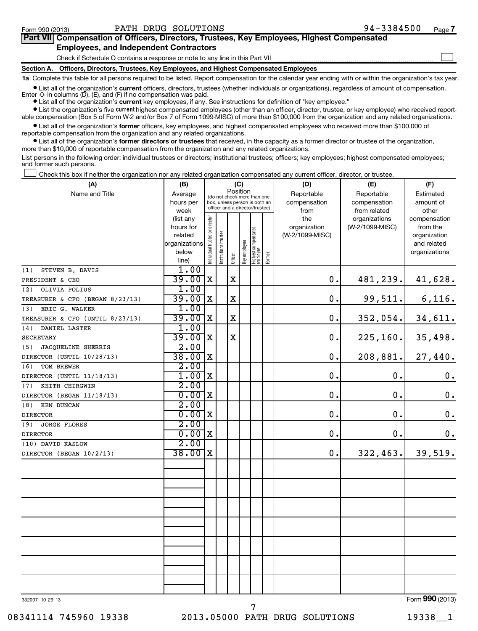$\sim$ 

| Part VII Compensation of Officers, Directors, Trustees, Key Employees, Highest Compensated |
|--------------------------------------------------------------------------------------------|
| <b>Employees, and Independent Contractors</b>                                              |

Check if Schedule O contains a response or note to any line in this Part VII

**Section A. Officers, Directors, Trustees, Key Employees, and Highest Compensated Employees 1a**  Complete this table for all persons required to be listed. Report compensation for the calendar year ending with or within the organization's tax year.

**•** List all of the organization's current officers, directors, trustees (whether individuals or organizations), regardless of amount of compensation.

Enter -0- in columns  $(D)$ ,  $(E)$ , and  $(F)$  if no compensation was paid.

**•** List all of the organization's **current** key employees, if any. See instructions for definition of "key employee."

**•** List the organization's five *current* highest compensated employees (other than an officer, director, trustee, or key employee) who received reportable compensation (Box 5 of Form W-2 and/or Box 7 of Form 1099-MISC) of more than \$100,000 from the organization and any related organizations.

 $\bullet$  List all of the organization's former officers, key employees, and highest compensated employees who received more than \$100,000 of reportable compensation from the organization and any related organizations.

**•** List all of the organization's former directors or trustees that received, in the capacity as a former director or trustee of the organization, more than \$10,000 of reportable compensation from the organization and any related organizations.

List persons in the following order: individual trustees or directors; institutional trustees; officers; key employees; highest compensated employees; and former such persons.

Check this box if neither the organization nor any related organization compensated any current officer, director, or trustee.  $\left\vert \cdot\right\vert$ 

| (A)                                     | (B)            |                                         |                                 |             | (C)          |                                 |        | (D)             | (E)             | (F)                          |
|-----------------------------------------|----------------|-----------------------------------------|---------------------------------|-------------|--------------|---------------------------------|--------|-----------------|-----------------|------------------------------|
| Name and Title                          | Average        | Position<br>(do not check more than one |                                 |             |              |                                 |        | Reportable      | Reportable      | Estimated                    |
|                                         | hours per      |                                         | box, unless person is both an   |             |              |                                 |        | compensation    | compensation    | amount of                    |
|                                         | week           |                                         | officer and a director/trustee) |             |              |                                 |        | from            | from related    | other                        |
|                                         | (list any      |                                         |                                 |             |              |                                 |        | the             | organizations   | compensation                 |
|                                         | hours for      |                                         |                                 |             |              |                                 |        | organization    | (W-2/1099-MISC) | from the                     |
|                                         | related        |                                         |                                 |             |              |                                 |        | (W-2/1099-MISC) |                 | organization                 |
|                                         | organizations  |                                         |                                 |             |              |                                 |        |                 |                 | and related                  |
|                                         | below<br>line) | Individual trustee or director          | Institutional trustee           | Officer     | Key employee | Highest compensated<br>employee | Former |                 |                 | organizations                |
| (1)<br>STEVEN B. DAVIS                  | 1.00           |                                         |                                 |             |              |                                 |        |                 |                 |                              |
| PRESIDENT & CEO                         | 39.00          | $\mathbf x$                             |                                 | $\mathbf X$ |              |                                 |        | $\mathbf 0$ .   | 481,239.        | 41,628.                      |
| OLIVIA POLIUS<br>(2)                    | 1.00           |                                         |                                 |             |              |                                 |        |                 |                 |                              |
| TREASURER & CFO (BEGAN 8/23/13)         | $39.00$ X      |                                         |                                 | $\mathbf X$ |              |                                 |        | $\mathbf 0$ .   | 99,511.         | 6,116.                       |
| ERIC G. WALKER<br>(3)                   | 1.00           |                                         |                                 |             |              |                                 |        |                 |                 |                              |
| TREASURER & CFO (UNTIL 8/23/13)         | 39.00          | $\mathbf{X}$                            |                                 | $\mathbf X$ |              |                                 |        | 0.              | 352,054.        |                              |
| (4)<br>DANIEL LASTER                    | 1.00           |                                         |                                 |             |              |                                 |        |                 |                 | 34,611.                      |
|                                         | 39.00          | X                                       |                                 | $\mathbf X$ |              |                                 |        | $\mathbf 0$ .   |                 |                              |
| SECRETARY                               | 2.00           |                                         |                                 |             |              |                                 |        |                 | 225, 160.       | 35,498.                      |
| JACQUELINE SHERRIS<br>(5)               | 38.00          | X                                       |                                 |             |              |                                 |        | $\mathbf 0$ .   | 208,881.        |                              |
| DIRECTOR (UNTIL 10/28/13)<br>TOM BREWER |                |                                         |                                 |             |              |                                 |        |                 |                 | 27,440.                      |
| (6)                                     | 2.00<br>1.00   | X                                       |                                 |             |              |                                 |        | $\mathbf 0$ .   | $\mathbf 0$ .   |                              |
| DIRECTOR (UNTIL 11/18/13)               | 2.00           |                                         |                                 |             |              |                                 |        |                 |                 | $\boldsymbol{0}$ .           |
| KEITH CHIRGWIN<br>(7)                   |                |                                         |                                 |             |              |                                 |        | $\mathbf 0$ .   | $\mathbf 0$ .   |                              |
| DIRECTOR (BEGAN 11/18/13)               | 0.00           | X                                       |                                 |             |              |                                 |        |                 |                 | $\boldsymbol{0}$ .           |
| (8)<br>KEN DUNCAN                       | 2.00           |                                         |                                 |             |              |                                 |        |                 | $\mathbf 0$ .   |                              |
| <b>DIRECTOR</b>                         | 0.00           | X                                       |                                 |             |              |                                 |        | $\mathbf 0$ .   |                 | $\mathbf 0$ .                |
| (9)<br><b>JORGE FLORES</b>              | 2.00           | X                                       |                                 |             |              |                                 |        |                 |                 |                              |
| <b>DIRECTOR</b>                         | 0.00<br>2.00   |                                         |                                 |             |              |                                 |        | $\mathbf 0$ .   | 0.              | 0.                           |
| (10) DAVID KASLOW                       | 38.00          |                                         |                                 |             |              |                                 |        |                 |                 |                              |
| DIRECTOR (BEGAN 10/2/13)                |                | X                                       |                                 |             |              |                                 |        | 0.              | 322,463.        | 39,519.                      |
|                                         |                |                                         |                                 |             |              |                                 |        |                 |                 |                              |
|                                         |                |                                         |                                 |             |              |                                 |        |                 |                 |                              |
|                                         |                |                                         |                                 |             |              |                                 |        |                 |                 |                              |
|                                         |                |                                         |                                 |             |              |                                 |        |                 |                 |                              |
|                                         |                |                                         |                                 |             |              |                                 |        |                 |                 |                              |
|                                         |                |                                         |                                 |             |              |                                 |        |                 |                 |                              |
|                                         |                |                                         |                                 |             |              |                                 |        |                 |                 |                              |
|                                         |                |                                         |                                 |             |              |                                 |        |                 |                 |                              |
|                                         |                |                                         |                                 |             |              |                                 |        |                 |                 |                              |
|                                         |                |                                         |                                 |             |              |                                 |        |                 |                 |                              |
|                                         |                |                                         |                                 |             |              |                                 |        |                 |                 |                              |
|                                         |                |                                         |                                 |             |              |                                 |        |                 |                 |                              |
|                                         |                |                                         |                                 |             |              |                                 |        |                 |                 |                              |
|                                         |                |                                         |                                 |             |              |                                 |        |                 |                 | $000 \text{ days}$<br>$\sim$ |

332007 10-29-13

7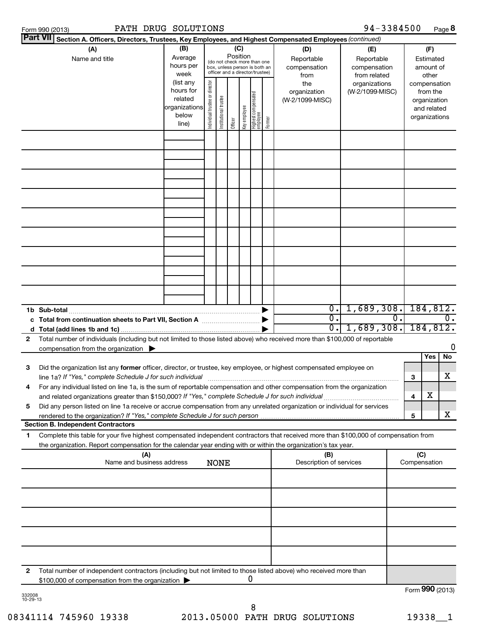| Form 990 (2013) | SOLUTIONS<br><b>DRUG</b><br>PATH | 3384500<br>$94 -$<br>Page <b>o</b> |  |
|-----------------|----------------------------------|------------------------------------|--|
|-----------------|----------------------------------|------------------------------------|--|

| PATH DRUG SOLUTIONS<br>Form 990 (2013)                                                                                                                                                                                                                      |                                   |                                |                                                                                                 |                 |              |                                 |        |                                | 94-3384500                       |                |                             | Page 8           |
|-------------------------------------------------------------------------------------------------------------------------------------------------------------------------------------------------------------------------------------------------------------|-----------------------------------|--------------------------------|-------------------------------------------------------------------------------------------------|-----------------|--------------|---------------------------------|--------|--------------------------------|----------------------------------|----------------|-----------------------------|------------------|
| <b>Part VII</b><br>Section A. Officers, Directors, Trustees, Key Employees, and Highest Compensated Employees (continued)                                                                                                                                   |                                   |                                |                                                                                                 |                 |              |                                 |        |                                |                                  |                |                             |                  |
| (A)<br>Name and title                                                                                                                                                                                                                                       | (B)<br>Average                    |                                |                                                                                                 | (C)<br>Position |              |                                 |        | (D)<br>Reportable              | (E)<br>Reportable                |                | (F)<br>Estimated            |                  |
|                                                                                                                                                                                                                                                             | hours per<br>week                 |                                | (do not check more than one<br>box, unless person is both an<br>officer and a director/trustee) |                 |              |                                 |        | compensation<br>from           | compensation<br>from related     |                | amount of<br>other          |                  |
|                                                                                                                                                                                                                                                             | (list any<br>hours for<br>related | Individual trustee or director |                                                                                                 |                 |              |                                 |        | the<br>organization            | organizations<br>(W-2/1099-MISC) |                | from the                    | compensation     |
|                                                                                                                                                                                                                                                             | organizations<br>below            |                                | Institutional trustee                                                                           |                 | Key employee | Highest compensated<br>employee |        | (W-2/1099-MISC)                |                                  |                | organization<br>and related | organizations    |
|                                                                                                                                                                                                                                                             | line)                             |                                |                                                                                                 | Officer         |              |                                 | Former |                                |                                  |                |                             |                  |
|                                                                                                                                                                                                                                                             |                                   |                                |                                                                                                 |                 |              |                                 |        |                                |                                  |                |                             |                  |
|                                                                                                                                                                                                                                                             |                                   |                                |                                                                                                 |                 |              |                                 |        |                                |                                  |                |                             |                  |
|                                                                                                                                                                                                                                                             |                                   |                                |                                                                                                 |                 |              |                                 |        |                                |                                  |                |                             |                  |
|                                                                                                                                                                                                                                                             |                                   |                                |                                                                                                 |                 |              |                                 |        |                                |                                  |                |                             |                  |
|                                                                                                                                                                                                                                                             |                                   |                                |                                                                                                 |                 |              |                                 |        |                                |                                  |                |                             |                  |
|                                                                                                                                                                                                                                                             |                                   |                                |                                                                                                 |                 |              |                                 |        |                                |                                  |                |                             |                  |
|                                                                                                                                                                                                                                                             |                                   |                                |                                                                                                 |                 |              |                                 |        |                                |                                  |                |                             |                  |
|                                                                                                                                                                                                                                                             |                                   |                                |                                                                                                 |                 |              |                                 |        |                                |                                  |                |                             |                  |
|                                                                                                                                                                                                                                                             |                                   |                                |                                                                                                 |                 |              |                                 |        |                                |                                  |                |                             |                  |
| 1b Sub-total                                                                                                                                                                                                                                                |                                   |                                |                                                                                                 |                 |              |                                 |        | 0.1                            | 1,689,308.                       |                |                             | 184, 812.        |
| c Total from continuation sheets to Part VII, Section A [11, 11, 11, 11, 11]                                                                                                                                                                                |                                   |                                |                                                                                                 |                 |              |                                 |        | σ.                             |                                  | $\mathbf{0}$ . |                             | $\overline{0}$ . |
|                                                                                                                                                                                                                                                             |                                   |                                |                                                                                                 |                 |              |                                 |        | $\overline{0}$ .               | 1,689,308.                       |                |                             | 184, 812.        |
| Total number of individuals (including but not limited to those listed above) who received more than \$100,000 of reportable<br>2<br>compensation from the organization $\blacktriangleright$                                                               |                                   |                                |                                                                                                 |                 |              |                                 |        |                                |                                  |                |                             | 0                |
| з<br>Did the organization list any former officer, director, or trustee, key employee, or highest compensated employee on                                                                                                                                   |                                   |                                |                                                                                                 |                 |              |                                 |        |                                |                                  |                | Yes                         | No               |
| line 1a? If "Yes," complete Schedule J for such individual<br>For any individual listed on line 1a, is the sum of reportable compensation and other compensation from the organization<br>4                                                                 |                                   |                                |                                                                                                 |                 |              |                                 |        |                                |                                  | 3              |                             | x                |
| and related organizations greater than \$150,000? If "Yes," complete Schedule J for such individual                                                                                                                                                         |                                   |                                |                                                                                                 |                 |              |                                 |        |                                |                                  | 4              | х                           |                  |
| Did any person listed on line 1a receive or accrue compensation from any unrelated organization or individual for services<br>5<br>rendered to the organization? If "Yes," complete Schedule J for such person                                              |                                   |                                |                                                                                                 |                 |              |                                 |        |                                |                                  | 5              |                             | x                |
| <b>Section B. Independent Contractors</b>                                                                                                                                                                                                                   |                                   |                                |                                                                                                 |                 |              |                                 |        |                                |                                  |                |                             |                  |
| Complete this table for your five highest compensated independent contractors that received more than \$100,000 of compensation from<br>1<br>the organization. Report compensation for the calendar year ending with or within the organization's tax year. |                                   |                                |                                                                                                 |                 |              |                                 |        |                                |                                  |                |                             |                  |
| (A)<br>Name and business address                                                                                                                                                                                                                            |                                   |                                | <b>NONE</b>                                                                                     |                 |              |                                 |        | (B)<br>Description of services |                                  | Compensation   | (C)                         |                  |
|                                                                                                                                                                                                                                                             |                                   |                                |                                                                                                 |                 |              |                                 |        |                                |                                  |                |                             |                  |
|                                                                                                                                                                                                                                                             |                                   |                                |                                                                                                 |                 |              |                                 |        |                                |                                  |                |                             |                  |
|                                                                                                                                                                                                                                                             |                                   |                                |                                                                                                 |                 |              |                                 |        |                                |                                  |                |                             |                  |
|                                                                                                                                                                                                                                                             |                                   |                                |                                                                                                 |                 |              |                                 |        |                                |                                  |                |                             |                  |
|                                                                                                                                                                                                                                                             |                                   |                                |                                                                                                 |                 |              |                                 |        |                                |                                  |                |                             |                  |
| Total number of independent contractors (including but not limited to those listed above) who received more than<br>2<br>\$100,000 of compensation from the organization                                                                                    |                                   |                                |                                                                                                 |                 |              | 0                               |        |                                |                                  |                |                             |                  |
| 332008<br>10-29-13                                                                                                                                                                                                                                          |                                   |                                |                                                                                                 |                 |              |                                 |        |                                |                                  |                |                             | Form 990 (2013)  |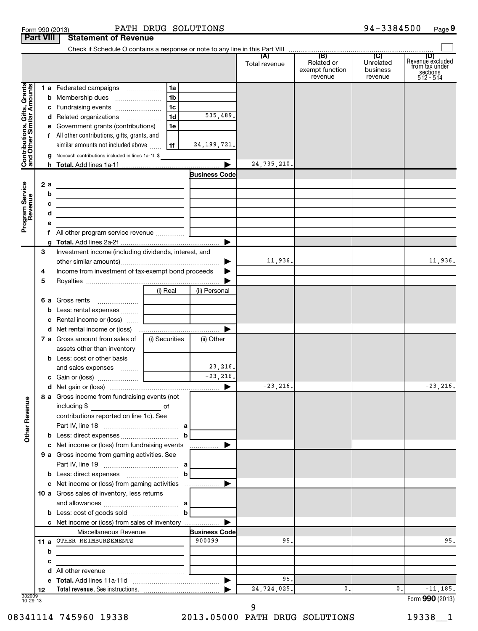| Form 990 (2013) |                                         | PATH DR |  |
|-----------------|-----------------------------------------|---------|--|
|                 | <b>Part VIII   Statement of Revenue</b> |         |  |

 $\overline{f}$ 

|                                                           |    | Check if Schedule O contains a response or note to any line in this Part VIII                                        |                                                  |                        |               |                                                 |                                         |                                                               |
|-----------------------------------------------------------|----|----------------------------------------------------------------------------------------------------------------------|--------------------------------------------------|------------------------|---------------|-------------------------------------------------|-----------------------------------------|---------------------------------------------------------------|
|                                                           |    |                                                                                                                      |                                                  |                        | Total revenue | (B)<br>Related or<br>exempt function<br>revenue | (C)<br>Unrelated<br>business<br>revenue | Revenue excluded<br>from tax under<br>sections<br>$512 - 514$ |
|                                                           |    | 1 a Federated campaigns                                                                                              | 1a                                               |                        |               |                                                 |                                         |                                                               |
|                                                           |    | <b>b</b> Membership dues                                                                                             | 1 <sub>b</sub>                                   |                        |               |                                                 |                                         |                                                               |
|                                                           |    | c Fundraising events                                                                                                 | 1c                                               |                        |               |                                                 |                                         |                                                               |
|                                                           |    | d Related organizations                                                                                              | 1 <sub>d</sub>                                   | 535,489.               |               |                                                 |                                         |                                                               |
|                                                           |    | e Government grants (contributions)                                                                                  | 1e                                               |                        |               |                                                 |                                         |                                                               |
|                                                           |    | f All other contributions, gifts, grants, and                                                                        |                                                  |                        |               |                                                 |                                         |                                                               |
|                                                           |    | similar amounts not included above                                                                                   | 1f                                               | 24, 199, 721.          |               |                                                 |                                         |                                                               |
| Contributions, Gifts, Grants<br>and Other Similar Amounts |    | g Noncash contributions included in lines 1a-1f: \$                                                                  |                                                  |                        |               |                                                 |                                         |                                                               |
|                                                           |    |                                                                                                                      |                                                  | ▶                      | 24,735,210.   |                                                 |                                         |                                                               |
|                                                           |    |                                                                                                                      |                                                  | <b>Business Code</b>   |               |                                                 |                                         |                                                               |
|                                                           | 2a |                                                                                                                      |                                                  |                        |               |                                                 |                                         |                                                               |
|                                                           | b  |                                                                                                                      |                                                  |                        |               |                                                 |                                         |                                                               |
| Program Service<br>Revenue                                | с  | <u> 1989 - Johann Stein, marwolaethau a bhann an t-Amhair an t-Amhair an t-Amhair an t-Amhair an t-Amhair an t-A</u> |                                                  |                        |               |                                                 |                                         |                                                               |
|                                                           | d  | <u> 1989 - Johann Stein, marwolaethau a bhann an t-Amhair an t-Amhair an t-Amhair an t-Amhair an t-Amhair an t-A</u> |                                                  |                        |               |                                                 |                                         |                                                               |
|                                                           | е  |                                                                                                                      |                                                  |                        |               |                                                 |                                         |                                                               |
|                                                           |    | f All other program service revenue                                                                                  |                                                  |                        |               |                                                 |                                         |                                                               |
|                                                           |    |                                                                                                                      |                                                  | ▶                      |               |                                                 |                                         |                                                               |
|                                                           | 3  | Investment income (including dividends, interest, and                                                                |                                                  |                        |               |                                                 |                                         |                                                               |
|                                                           |    |                                                                                                                      |                                                  |                        | 11,936.       |                                                 |                                         | 11,936.                                                       |
|                                                           |    | Income from investment of tax-exempt bond proceeds<br>4                                                              |                                                  |                        |               |                                                 |                                         |                                                               |
|                                                           | 5  |                                                                                                                      |                                                  |                        |               |                                                 |                                         |                                                               |
|                                                           |    |                                                                                                                      | (i) Real                                         | (ii) Personal          |               |                                                 |                                         |                                                               |
|                                                           |    | 6 a Gross rents                                                                                                      |                                                  |                        |               |                                                 |                                         |                                                               |
|                                                           |    | <b>b</b> Less: rental expenses                                                                                       |                                                  |                        |               |                                                 |                                         |                                                               |
|                                                           |    | c Rental income or (loss)                                                                                            |                                                  |                        |               |                                                 |                                         |                                                               |
|                                                           |    |                                                                                                                      |                                                  | ▶                      |               |                                                 |                                         |                                                               |
|                                                           |    | 7 a Gross amount from sales of                                                                                       | (i) Securities                                   | (ii) Other             |               |                                                 |                                         |                                                               |
|                                                           |    | assets other than inventory                                                                                          |                                                  |                        |               |                                                 |                                         |                                                               |
|                                                           |    | <b>b</b> Less: cost or other basis                                                                                   |                                                  |                        |               |                                                 |                                         |                                                               |
|                                                           |    | and sales expenses                                                                                                   |                                                  | 23, 216.<br>$-23,216.$ |               |                                                 |                                         |                                                               |
|                                                           |    |                                                                                                                      |                                                  | ▶                      | $-23, 216.$   |                                                 |                                         | $-23, 216.$                                                   |
|                                                           |    |                                                                                                                      |                                                  |                        |               |                                                 |                                         |                                                               |
| ٩                                                         |    | 8 a Gross income from fundraising events (not                                                                        |                                                  |                        |               |                                                 |                                         |                                                               |
| Other Reven                                               |    | including \$<br>contributions reported on line 1c). See                                                              |                                                  |                        |               |                                                 |                                         |                                                               |
|                                                           |    |                                                                                                                      |                                                  |                        |               |                                                 |                                         |                                                               |
|                                                           |    |                                                                                                                      |                                                  | b                      |               |                                                 |                                         |                                                               |
|                                                           |    | c Net income or (loss) from fundraising events                                                                       |                                                  | ▶<br>.                 |               |                                                 |                                         |                                                               |
|                                                           |    | 9 a Gross income from gaming activities. See                                                                         |                                                  |                        |               |                                                 |                                         |                                                               |
|                                                           |    |                                                                                                                      |                                                  |                        |               |                                                 |                                         |                                                               |
|                                                           |    |                                                                                                                      |                                                  | b                      |               |                                                 |                                         |                                                               |
|                                                           |    | c Net income or (loss) from gaming activities                                                                        |                                                  | ▶                      |               |                                                 |                                         |                                                               |
|                                                           |    | 10 a Gross sales of inventory, less returns                                                                          |                                                  |                        |               |                                                 |                                         |                                                               |
|                                                           |    |                                                                                                                      |                                                  |                        |               |                                                 |                                         |                                                               |
|                                                           |    |                                                                                                                      |                                                  | b                      |               |                                                 |                                         |                                                               |
|                                                           |    | c Net income or (loss) from sales of inventory                                                                       |                                                  | ▶                      |               |                                                 |                                         |                                                               |
|                                                           |    | Miscellaneous Revenue                                                                                                |                                                  | <b>Business Code</b>   |               |                                                 |                                         |                                                               |
|                                                           |    | 11 a OTHER REIMBURSEMENTS                                                                                            |                                                  | 900099                 | 95.           |                                                 |                                         | 95.                                                           |
|                                                           | b  |                                                                                                                      |                                                  |                        |               |                                                 |                                         |                                                               |
|                                                           | c  | the control of the control of the control of the control of the control of                                           |                                                  |                        |               |                                                 |                                         |                                                               |
|                                                           |    |                                                                                                                      | the control of the control of the control of the |                        |               |                                                 |                                         |                                                               |
|                                                           |    |                                                                                                                      |                                                  | ▶                      | 95.           |                                                 |                                         |                                                               |
|                                                           | 12 |                                                                                                                      |                                                  |                        | 24,724,025.   | 0.                                              | 0.                                      | $-11, 185.$                                                   |
| 332009<br>10-29-13                                        |    |                                                                                                                      |                                                  |                        |               |                                                 |                                         | Form 990 (2013)                                               |

9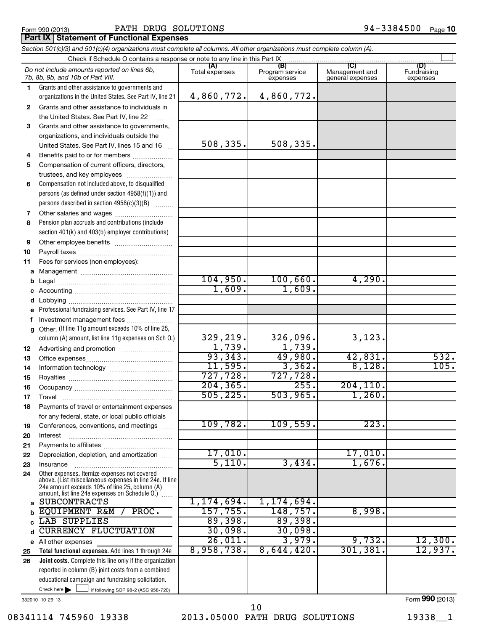#### Form 990 (2013)  $\blacksquare$  PATH DRUG SOLUTIONS  $94-3384500$   $_{\text{Page}}$

#### **Part IX Statement of Functional Expenses**

|              | Section 501(c)(3) and 501(c)(4) organizations must complete all columns. All other organizations must complete column (A). |                       |                                    |                                                      |                                |
|--------------|----------------------------------------------------------------------------------------------------------------------------|-----------------------|------------------------------------|------------------------------------------------------|--------------------------------|
|              | Check if Schedule O contains a response or note to any line in this Part IX                                                |                       |                                    |                                                      |                                |
|              | Do not include amounts reported on lines 6b,<br>7b, 8b, 9b, and 10b of Part VIII.                                          | (A)<br>Total expenses | (B)<br>Program service<br>expenses | $\overline{C}$<br>Management and<br>general expenses | (D)<br>Fundraising<br>expenses |
| 1.           | Grants and other assistance to governments and                                                                             |                       |                                    |                                                      |                                |
|              | organizations in the United States. See Part IV, line 21                                                                   | 4,860,772.            | 4,860,772.                         |                                                      |                                |
| $\mathbf{2}$ | Grants and other assistance to individuals in                                                                              |                       |                                    |                                                      |                                |
|              | the United States. See Part IV, line 22                                                                                    |                       |                                    |                                                      |                                |
| 3            | Grants and other assistance to governments,                                                                                |                       |                                    |                                                      |                                |
|              | organizations, and individuals outside the                                                                                 |                       |                                    |                                                      |                                |
|              | United States. See Part IV, lines 15 and 16                                                                                | 508,335.              | 508,335.                           |                                                      |                                |
| 4            | Benefits paid to or for members                                                                                            |                       |                                    |                                                      |                                |
| 5            | Compensation of current officers, directors,                                                                               |                       |                                    |                                                      |                                |
|              | trustees, and key employees                                                                                                |                       |                                    |                                                      |                                |
| 6            | Compensation not included above, to disqualified                                                                           |                       |                                    |                                                      |                                |
|              | persons (as defined under section 4958(f)(1)) and                                                                          |                       |                                    |                                                      |                                |
|              | persons described in section 4958(c)(3)(B)                                                                                 |                       |                                    |                                                      |                                |
| 7            | Other salaries and wages                                                                                                   |                       |                                    |                                                      |                                |
| 8            | Pension plan accruals and contributions (include                                                                           |                       |                                    |                                                      |                                |
|              | section 401(k) and 403(b) employer contributions)                                                                          |                       |                                    |                                                      |                                |
| 9            |                                                                                                                            |                       |                                    |                                                      |                                |
| 10           |                                                                                                                            |                       |                                    |                                                      |                                |
| 11           | Fees for services (non-employees):                                                                                         |                       |                                    |                                                      |                                |
| а            |                                                                                                                            |                       |                                    |                                                      |                                |
|              |                                                                                                                            | 104,950.              | 100,660.                           | 4,290.                                               |                                |
|              |                                                                                                                            | 1,609.                | 1,609.                             |                                                      |                                |
|              |                                                                                                                            |                       |                                    |                                                      |                                |
|              | Professional fundraising services. See Part IV, line 17                                                                    |                       |                                    |                                                      |                                |
|              | Investment management fees                                                                                                 |                       |                                    |                                                      |                                |
| g            | Other. (If line 11g amount exceeds 10% of line 25,                                                                         |                       |                                    |                                                      |                                |
|              | column (A) amount, list line 11g expenses on Sch O.)                                                                       | 329,219.              | 326,096.                           | 3,123.                                               |                                |
| 12           |                                                                                                                            | 1,739.                | 1,739.                             |                                                      |                                |
| 13           |                                                                                                                            | 93,343.               | 49,980.                            | 42,831.<br>8,128.                                    | 532.<br>105.                   |
| 14           |                                                                                                                            | 11,595.<br>727,728.   | 3,362.<br>727,728.                 |                                                      |                                |
| 15           |                                                                                                                            | 204, 365.             | 255.                               | 204, 110.                                            |                                |
| 16           |                                                                                                                            | 505, 225.             | 503,965.                           | 1,260.                                               |                                |
| 17           |                                                                                                                            |                       |                                    |                                                      |                                |
| 18           | Payments of travel or entertainment expenses                                                                               |                       |                                    |                                                      |                                |
|              | for any federal, state, or local public officials                                                                          | 109,782.              | 109,559.                           | 223.                                                 |                                |
| 19<br>20     | Conferences, conventions, and meetings<br>Interest                                                                         |                       |                                    |                                                      |                                |
| 21           |                                                                                                                            |                       |                                    |                                                      |                                |
| 22           | Depreciation, depletion, and amortization                                                                                  | 17,010.               |                                    | 17,010.                                              |                                |
| 23           | Insurance                                                                                                                  | 5,110.                | 3,434.                             | 1,676.                                               |                                |
| 24           | Other expenses. Itemize expenses not covered                                                                               |                       |                                    |                                                      |                                |
|              | above. (List miscellaneous expenses in line 24e. If line<br>24e amount exceeds 10% of line 25, column (A)                  |                       |                                    |                                                      |                                |
| a            | amount, list line 24e expenses on Schedule O.)<br><b>SUBCONTRACTS</b>                                                      | 1,174,694.            | 1, 174, 694.                       |                                                      |                                |
|              | EQUIPMENT R&M /<br>PROC.                                                                                                   | 157,755 <b>.</b>      | 148,757.                           | 8,998.                                               |                                |
|              | LAB SUPPLIES                                                                                                               | 89,398.               | 89,398.                            |                                                      |                                |
|              | <b>CURRENCY FLUCTUATION</b>                                                                                                | 30,098.               | 30,098.                            |                                                      |                                |
|              | e All other expenses                                                                                                       | 26,011.               | 3,979.                             | 9,732.                                               | 12,300.                        |
| 25           | Total functional expenses. Add lines 1 through 24e                                                                         | 8,958,738.            | 8,644,420.                         | 301, 381.                                            | 12,937.                        |
| 26           | Joint costs. Complete this line only if the organization                                                                   |                       |                                    |                                                      |                                |
|              | reported in column (B) joint costs from a combined                                                                         |                       |                                    |                                                      |                                |
|              | educational campaign and fundraising solicitation.                                                                         |                       |                                    |                                                      |                                |
|              | Check here $\blacktriangleright$<br>if following SOP 98-2 (ASC 958-720)                                                    |                       |                                    |                                                      |                                |

332010 10-29-13

08341114 745960 19338 2013.05000 PATH DRUG SOLUTIONS 19338\_1 10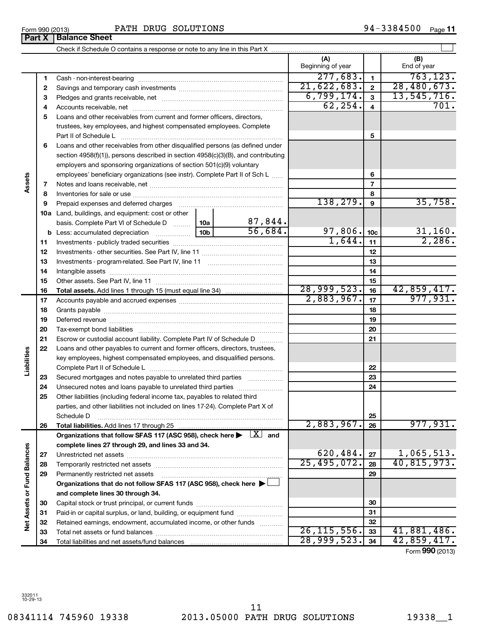08341114 745960 19338 2013.05000 PATH DRUG SOLUTIONS 19338\_1 11

|                             |          |                                                                                                                |                                         | (A)<br>Beginning of year |                         | (B)<br>End of year |
|-----------------------------|----------|----------------------------------------------------------------------------------------------------------------|-----------------------------------------|--------------------------|-------------------------|--------------------|
|                             | 1        |                                                                                                                |                                         | 277,683.                 | $\mathbf{1}$            | 763, 123.          |
|                             | 2        |                                                                                                                |                                         | 21,622,683.              | $\overline{2}$          | 28,480,673.        |
|                             | з        |                                                                                                                |                                         | 6,799,174.               | $\mathbf{3}$            | 13,545,716.        |
|                             | 4        |                                                                                                                |                                         | 62, 254.                 | $\overline{\mathbf{4}}$ | 701.               |
|                             | 5        | Loans and other receivables from current and former officers, directors,                                       |                                         |                          |                         |                    |
|                             |          | trustees, key employees, and highest compensated employees. Complete                                           |                                         |                          |                         |                    |
|                             |          | Part II of Schedule Latin and Communication of Schedule Latin and Communication of Schedule Latin and Schedule |                                         |                          | 5                       |                    |
|                             | 6        | Loans and other receivables from other disqualified persons (as defined under                                  |                                         |                          |                         |                    |
|                             |          | section 4958(f)(1)), persons described in section 4958(c)(3)(B), and contributing                              |                                         |                          |                         |                    |
|                             |          | employers and sponsoring organizations of section 501(c)(9) voluntary                                          |                                         |                          |                         |                    |
| Assets                      |          | employees' beneficiary organizations (see instr). Complete Part II of Sch L                                    |                                         |                          | 6                       |                    |
|                             | 7        |                                                                                                                |                                         |                          | $\overline{7}$          |                    |
|                             | 8        |                                                                                                                |                                         |                          | 8                       |                    |
|                             | 9        | Prepaid expenses and deferred charges                                                                          |                                         | 138,279.                 | 9                       | 35,758.            |
|                             |          | 10a Land, buildings, and equipment: cost or other                                                              |                                         |                          |                         |                    |
|                             |          | basis. Complete Part VI of Schedule D  10a                                                                     | 87,844.                                 |                          |                         |                    |
|                             |          |                                                                                                                | 56,684.                                 | 97,806.                  | 10 <sub>c</sub>         | 31,160.<br>2,286.  |
|                             | 11       |                                                                                                                |                                         | 1,644.                   | 11                      |                    |
|                             | 12       |                                                                                                                |                                         | 12                       |                         |                    |
|                             | 13       |                                                                                                                |                                         | 13                       |                         |                    |
|                             | 14       |                                                                                                                |                                         |                          | 14                      |                    |
|                             | 15       |                                                                                                                |                                         | 28,999,523.              | 15                      | 42,859,417.        |
|                             | 16       |                                                                                                                |                                         | 2,883,967.               | 16<br>17                | 977,931.           |
|                             | 17<br>18 |                                                                                                                |                                         | 18                       |                         |                    |
|                             | 19       |                                                                                                                |                                         |                          | 19                      |                    |
|                             | 20       |                                                                                                                |                                         |                          | 20                      |                    |
|                             | 21       | Escrow or custodial account liability. Complete Part IV of Schedule D                                          | $\mathcal{L} = \{1, 2, 3, 4, 5, 6, 8\}$ |                          | 21                      |                    |
|                             | 22       | Loans and other payables to current and former officers, directors, trustees,                                  |                                         |                          |                         |                    |
| Liabilities                 |          | key employees, highest compensated employees, and disqualified persons.                                        |                                         |                          |                         |                    |
|                             |          |                                                                                                                |                                         |                          | 22                      |                    |
|                             | 23       | Secured mortgages and notes payable to unrelated third parties                                                 |                                         |                          | 23                      |                    |
|                             | 24       |                                                                                                                |                                         |                          | 24                      |                    |
|                             | 25       | Other liabilities (including federal income tax, payables to related third                                     |                                         |                          |                         |                    |
|                             |          | parties, and other liabilities not included on lines 17-24). Complete Part X of                                |                                         |                          |                         |                    |
|                             |          | Schedule D                                                                                                     |                                         |                          | 25                      |                    |
|                             | 26       |                                                                                                                |                                         | 2,883,967.               | 26                      | 977,931.           |
|                             |          | Organizations that follow SFAS 117 (ASC 958), check here $\blacktriangleright$ $\lfloor x \rfloor$ and         |                                         |                          |                         |                    |
|                             |          | complete lines 27 through 29, and lines 33 and 34.                                                             |                                         |                          |                         |                    |
|                             | 27       |                                                                                                                |                                         | 620,484.                 | 27                      | 1,065,513.         |
|                             | 28       | Temporarily restricted net assets                                                                              |                                         | 25,495,072.              | 28                      | 40,815,973.        |
|                             | 29       | Permanently restricted net assets                                                                              |                                         |                          | 29                      |                    |
|                             |          | Organizations that do not follow SFAS 117 (ASC 958), check here $\blacktriangleright$                          |                                         |                          |                         |                    |
| Net Assets or Fund Balances |          | and complete lines 30 through 34.                                                                              |                                         |                          |                         |                    |
|                             | 30       |                                                                                                                |                                         |                          | 30                      |                    |
|                             | 31       | Paid-in or capital surplus, or land, building, or equipment fund                                               |                                         |                          | 31                      |                    |
|                             | 32       | Retained earnings, endowment, accumulated income, or other funds                                               |                                         | 26, 115, 556.            | 32<br>33                | 41,881,486.        |
|                             | 33<br>34 |                                                                                                                |                                         | 28,999,523.              | 34                      | 42,859,417.        |
|                             |          |                                                                                                                |                                         |                          |                         |                    |

Form (2013) **990**

### 94-3384500 Page 11

**Part X Balance Sheet**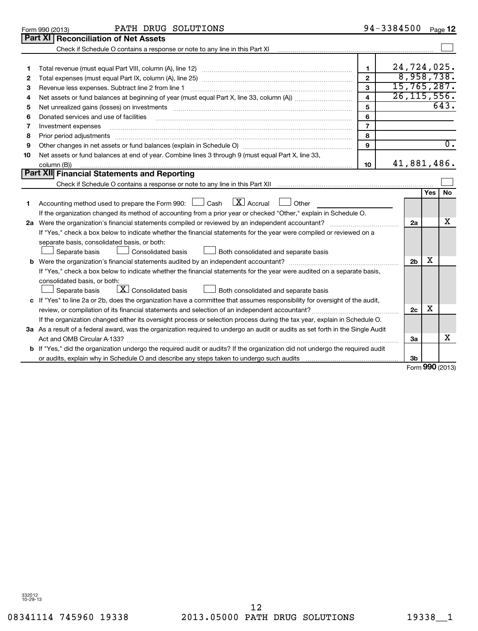|                                      | PATH DRUG SOLUTIONS<br>Form 990 (2013)                                                                                                                                                                                                                                                                                                                                                                                                                                                                                              | 94-3384500                                                                                    |                                                           |                 | Page 12            |
|--------------------------------------|-------------------------------------------------------------------------------------------------------------------------------------------------------------------------------------------------------------------------------------------------------------------------------------------------------------------------------------------------------------------------------------------------------------------------------------------------------------------------------------------------------------------------------------|-----------------------------------------------------------------------------------------------|-----------------------------------------------------------|-----------------|--------------------|
|                                      | Part XI<br><b>Reconciliation of Net Assets</b>                                                                                                                                                                                                                                                                                                                                                                                                                                                                                      |                                                                                               |                                                           |                 |                    |
|                                      | Check if Schedule O contains a response or note to any line in this Part XI                                                                                                                                                                                                                                                                                                                                                                                                                                                         |                                                                                               |                                                           |                 |                    |
| 1<br>2<br>З<br>4<br>5<br>6<br>7<br>8 | Revenue less expenses. Subtract line 2 from line 1<br>Donated services and use of facilities<br>Investment expenses<br>Prior period adjustments                                                                                                                                                                                                                                                                                                                                                                                     | $\mathbf{1}$<br>$\mathbf{2}$<br>3<br>$\overline{\mathbf{4}}$<br>5<br>6<br>$\overline{7}$<br>8 | 24,724,025.<br>8,958,738.<br>15,765,287.<br>26, 115, 556. |                 | $\overline{643}$ . |
| 9                                    |                                                                                                                                                                                                                                                                                                                                                                                                                                                                                                                                     | 9                                                                                             |                                                           |                 | $\overline{0}$ .   |
| 10                                   | Net assets or fund balances at end of year. Combine lines 3 through 9 (must equal Part X, line 33,<br>column (B))                                                                                                                                                                                                                                                                                                                                                                                                                   | 10                                                                                            | 41,881,486.                                               |                 |                    |
|                                      | Part XII Financial Statements and Reporting                                                                                                                                                                                                                                                                                                                                                                                                                                                                                         |                                                                                               |                                                           |                 |                    |
|                                      |                                                                                                                                                                                                                                                                                                                                                                                                                                                                                                                                     |                                                                                               |                                                           |                 |                    |
| 1                                    | $\boxed{\mathbf{X}}$ Accrual<br>Accounting method used to prepare the Form 990: $\Box$ Cash<br>Other<br>If the organization changed its method of accounting from a prior year or checked "Other," explain in Schedule O.<br>If "Yes," check a box below to indicate whether the financial statements for the year were compiled or reviewed on a<br>separate basis, consolidated basis, or both:<br><b>Consolidated basis</b><br>Both consolidated and separate basis<br>Separate basis                                            |                                                                                               | 2a<br>2 <sub>b</sub>                                      | <b>Yes</b><br>х | <b>No</b><br>х     |
|                                      | If "Yes," check a box below to indicate whether the financial statements for the year were audited on a separate basis,<br>consolidated basis, or both:<br>$\lfloor \underline{X} \rfloor$ Consolidated basis<br>Both consolidated and separate basis<br>Separate basis<br>c If "Yes" to line 2a or 2b, does the organization have a committee that assumes responsibility for oversight of the audit,<br>If the organization changed either its oversight process or selection process during the tax year, explain in Schedule O. |                                                                                               | 2 <sub>c</sub>                                            | х               |                    |
|                                      | 3a As a result of a federal award, was the organization required to undergo an audit or audits as set forth in the Single Audit                                                                                                                                                                                                                                                                                                                                                                                                     |                                                                                               |                                                           |                 |                    |
|                                      |                                                                                                                                                                                                                                                                                                                                                                                                                                                                                                                                     |                                                                                               | За                                                        |                 | х                  |
|                                      | <b>b</b> If "Yes," did the organization undergo the required audit or audits? If the organization did not undergo the required audit                                                                                                                                                                                                                                                                                                                                                                                                |                                                                                               |                                                           |                 |                    |
|                                      | or audits, explain why in Schedule O and describe any steps taken to undergo such audits                                                                                                                                                                                                                                                                                                                                                                                                                                            |                                                                                               | Зb<br>$Form$ 990 (2013)                                   |                 |                    |

Form **990** (2013)

|  | Form 990 (2013) |  |
|--|-----------------|--|
|  |                 |  |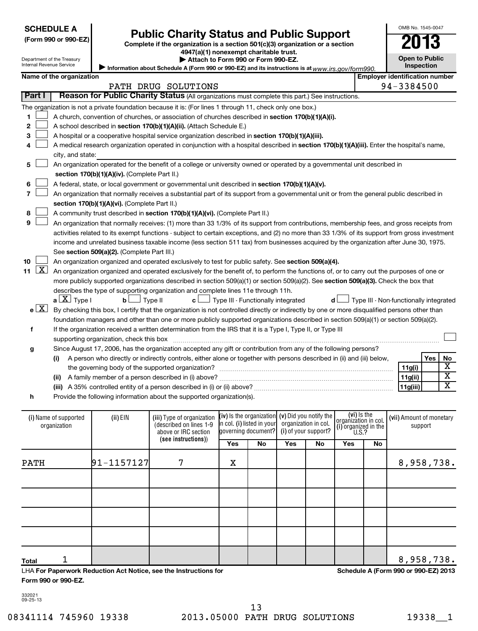| <b>SCHEDULE A</b> |
|-------------------|
|                   |

| (Form 990 or 990-E∠ |
|---------------------|
|---------------------|

Department of the Treasury

# Form 990 or 990-EZ)<br>
Complete if the organization is a section 501(c)(3) organization or a section<br> **Public Charity Status and Public Support**

**4947(a)(1) nonexempt charitable trust.**

**Open to Public Inspection**

OMB No. 1545-0047

|         | . | Attach to Form 990 or Form 990-EZ. |  |  |  |
|---------|---|------------------------------------|--|--|--|
| _ _ _ _ |   |                                    |  |  |  |

Information about Schedule A (Form 990 or 990-EZ) and its instructions is at www.irs.gov/form990.

|                  | Name of the organization                                                                                                                      |                                               |                                                                                                                                               |     |                                                 |                      | <b>Employer identification number</b>  |     |                                              |  |                          |                         |  |
|------------------|-----------------------------------------------------------------------------------------------------------------------------------------------|-----------------------------------------------|-----------------------------------------------------------------------------------------------------------------------------------------------|-----|-------------------------------------------------|----------------------|----------------------------------------|-----|----------------------------------------------|--|--------------------------|-------------------------|--|
|                  |                                                                                                                                               |                                               | PATH DRUG SOLUTIONS                                                                                                                           |     |                                                 |                      |                                        |     | 94-3384500                                   |  |                          |                         |  |
| Part I           |                                                                                                                                               |                                               | Reason for Public Charity Status (All organizations must complete this part.) See instructions.                                               |     |                                                 |                      |                                        |     |                                              |  |                          |                         |  |
|                  |                                                                                                                                               |                                               | The organization is not a private foundation because it is: (For lines 1 through 11, check only one box.)                                     |     |                                                 |                      |                                        |     |                                              |  |                          |                         |  |
| 1                |                                                                                                                                               |                                               | A church, convention of churches, or association of churches described in section 170(b)(1)(A)(i).                                            |     |                                                 |                      |                                        |     |                                              |  |                          |                         |  |
| $\mathbf{2}$     | A school described in section 170(b)(1)(A)(ii). (Attach Schedule E.)                                                                          |                                               |                                                                                                                                               |     |                                                 |                      |                                        |     |                                              |  |                          |                         |  |
| З                | A hospital or a cooperative hospital service organization described in section 170(b)(1)(A)(iii).                                             |                                               |                                                                                                                                               |     |                                                 |                      |                                        |     |                                              |  |                          |                         |  |
| 4                |                                                                                                                                               |                                               | A medical research organization operated in conjunction with a hospital described in section 170(b)(1)(A)(iii). Enter the hospital's name,    |     |                                                 |                      |                                        |     |                                              |  |                          |                         |  |
|                  | city, and state:                                                                                                                              |                                               |                                                                                                                                               |     |                                                 |                      |                                        |     |                                              |  |                          |                         |  |
| 5                |                                                                                                                                               |                                               | An organization operated for the benefit of a college or university owned or operated by a governmental unit described in                     |     |                                                 |                      |                                        |     |                                              |  |                          |                         |  |
|                  |                                                                                                                                               | section 170(b)(1)(A)(iv). (Complete Part II.) |                                                                                                                                               |     |                                                 |                      |                                        |     |                                              |  |                          |                         |  |
| 6                |                                                                                                                                               |                                               | A federal, state, or local government or governmental unit described in section 170(b)(1)(A)(v).                                              |     |                                                 |                      |                                        |     |                                              |  |                          |                         |  |
| $\overline{7}$   |                                                                                                                                               |                                               | An organization that normally receives a substantial part of its support from a governmental unit or from the general public described in     |     |                                                 |                      |                                        |     |                                              |  |                          |                         |  |
|                  |                                                                                                                                               | section 170(b)(1)(A)(vi). (Complete Part II.) |                                                                                                                                               |     |                                                 |                      |                                        |     |                                              |  |                          |                         |  |
| 8                |                                                                                                                                               |                                               | A community trust described in section 170(b)(1)(A)(vi). (Complete Part II.)                                                                  |     |                                                 |                      |                                        |     |                                              |  |                          |                         |  |
| 9                |                                                                                                                                               |                                               | An organization that normally receives: (1) more than 33 1/3% of its support from contributions, membership fees, and gross receipts from     |     |                                                 |                      |                                        |     |                                              |  |                          |                         |  |
|                  |                                                                                                                                               |                                               | activities related to its exempt functions - subject to certain exceptions, and (2) no more than 33 1/3% of its support from gross investment |     |                                                 |                      |                                        |     |                                              |  |                          |                         |  |
|                  |                                                                                                                                               |                                               | income and unrelated business taxable income (less section 511 tax) from businesses acquired by the organization after June 30, 1975.         |     |                                                 |                      |                                        |     |                                              |  |                          |                         |  |
|                  |                                                                                                                                               | See section 509(a)(2). (Complete Part III.)   |                                                                                                                                               |     |                                                 |                      |                                        |     |                                              |  |                          |                         |  |
| 10               |                                                                                                                                               |                                               | An organization organized and operated exclusively to test for public safety. See section 509(a)(4).                                          |     |                                                 |                      |                                        |     |                                              |  |                          |                         |  |
| <u>  x</u><br>11 |                                                                                                                                               |                                               | An organization organized and operated exclusively for the benefit of, to perform the functions of, or to carry out the purposes of one or    |     |                                                 |                      |                                        |     |                                              |  |                          |                         |  |
|                  |                                                                                                                                               |                                               | more publicly supported organizations described in section 509(a)(1) or section 509(a)(2). See section 509(a)(3). Check the box that          |     |                                                 |                      |                                        |     |                                              |  |                          |                         |  |
|                  |                                                                                                                                               |                                               | describes the type of supporting organization and complete lines 11e through 11h.                                                             |     |                                                 |                      |                                        |     |                                              |  |                          |                         |  |
|                  | $a \perp X$ Type I<br>b <sub>l</sub><br>$\Box$ Type II<br>$\mathbf{c}$ $\Box$ Type III - Functionally integrated<br>d L                       |                                               |                                                                                                                                               |     |                                                 |                      | Type III - Non-functionally integrated |     |                                              |  |                          |                         |  |
| e[X]             | By checking this box, I certify that the organization is not controlled directly or indirectly by one or more disqualified persons other than |                                               |                                                                                                                                               |     |                                                 |                      |                                        |     |                                              |  |                          |                         |  |
|                  |                                                                                                                                               |                                               | foundation managers and other than one or more publicly supported organizations described in section 509(a)(1) or section 509(a)(2).          |     |                                                 |                      |                                        |     |                                              |  |                          |                         |  |
| f                |                                                                                                                                               |                                               | If the organization received a written determination from the IRS that it is a Type I, Type II, or Type III                                   |     |                                                 |                      |                                        |     |                                              |  |                          |                         |  |
|                  |                                                                                                                                               | supporting organization, check this box       |                                                                                                                                               |     |                                                 |                      |                                        |     |                                              |  |                          |                         |  |
| g                |                                                                                                                                               |                                               | Since August 17, 2006, has the organization accepted any gift or contribution from any of the following persons?                              |     |                                                 |                      |                                        |     |                                              |  |                          |                         |  |
|                  | (i)                                                                                                                                           |                                               | A person who directly or indirectly controls, either alone or together with persons described in (ii) and (iii) below,                        |     |                                                 |                      |                                        |     |                                              |  | Yes                      | No                      |  |
|                  |                                                                                                                                               |                                               |                                                                                                                                               |     |                                                 |                      |                                        |     |                                              |  | 11g(i)                   | x                       |  |
|                  |                                                                                                                                               |                                               |                                                                                                                                               |     |                                                 |                      |                                        |     |                                              |  | 11g(ii)                  | $\overline{\textbf{x}}$ |  |
|                  |                                                                                                                                               |                                               |                                                                                                                                               |     |                                                 |                      |                                        |     |                                              |  | 11g(iii)                 | $\overline{\mathtt{x}}$ |  |
| h                |                                                                                                                                               |                                               | Provide the following information about the supported organization(s).                                                                        |     |                                                 |                      |                                        |     |                                              |  |                          |                         |  |
|                  | (i) Name of supported                                                                                                                         | (ii) EIN                                      | (iii) Type of organization                                                                                                                    |     | (iv) is the organization (v) Did you notify the |                      |                                        |     | (vi) Is the                                  |  | (vii) Amount of monetary |                         |  |
|                  | organization                                                                                                                                  |                                               | (described on lines 1-9                                                                                                                       |     | in col. (i) listed in your                      | organization in col. |                                        |     | organizátion in col.<br>(i) organized in the |  | support                  |                         |  |
|                  |                                                                                                                                               |                                               | above or IRC section                                                                                                                          |     | governing document?                             | (i) of your support? |                                        |     | U.S.?                                        |  |                          |                         |  |
|                  |                                                                                                                                               |                                               | (see instructions))                                                                                                                           | Yes | No                                              | Yes                  | No                                     | Yes | No                                           |  |                          |                         |  |

PATH  $|91-1157127|$  7  $|X|$   $|$   $|$   $|$   $|$   $|$  8,958,738.

**Total** LHA **For Paperwork Reduction Act Notice, see the Instructions for Form 990 or 990-EZ.** 1 8,958,738.

**Schedule A (Form 990 or 990-EZ) 2013**

332021 09-25-13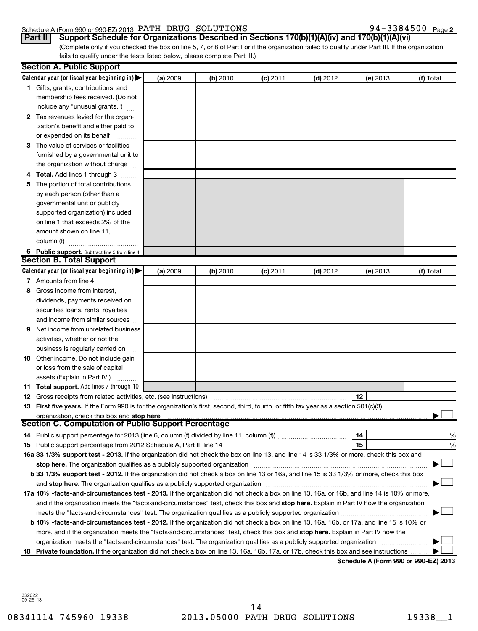#### Schedule A (Form 990 or 990-EZ) 2013  $\rm~PATH~$  DRUG  $\rm~SOLUTIONS$   $\rm~94-3384500$   $\rm~Page$

| 94-3384500 Page 2 |  |
|-------------------|--|
|-------------------|--|

(Complete only if you checked the box on line 5, 7, or 8 of Part I or if the organization failed to qualify under Part III. If the organization fails to qualify under the tests listed below, please complete Part III.) **Part II Support Schedule for Organizations Described in Sections 170(b)(1)(A)(iv) and 170(b)(1)(A)(vi)**

|     | <b>Section A. Public Support</b>                                                                                                                                                                                               |          |                 |            |            |          |           |
|-----|--------------------------------------------------------------------------------------------------------------------------------------------------------------------------------------------------------------------------------|----------|-----------------|------------|------------|----------|-----------|
|     | Calendar year (or fiscal year beginning in) $\blacktriangleright$                                                                                                                                                              | (a) 2009 | <b>(b)</b> 2010 | $(c)$ 2011 | $(d)$ 2012 | (e) 2013 | (f) Total |
|     | 1 Gifts, grants, contributions, and                                                                                                                                                                                            |          |                 |            |            |          |           |
|     | membership fees received. (Do not                                                                                                                                                                                              |          |                 |            |            |          |           |
|     | include any "unusual grants.")                                                                                                                                                                                                 |          |                 |            |            |          |           |
|     | 2 Tax revenues levied for the organ-                                                                                                                                                                                           |          |                 |            |            |          |           |
|     | ization's benefit and either paid to                                                                                                                                                                                           |          |                 |            |            |          |           |
|     | or expended on its behalf                                                                                                                                                                                                      |          |                 |            |            |          |           |
|     | 3 The value of services or facilities                                                                                                                                                                                          |          |                 |            |            |          |           |
|     | furnished by a governmental unit to                                                                                                                                                                                            |          |                 |            |            |          |           |
|     | the organization without charge                                                                                                                                                                                                |          |                 |            |            |          |           |
|     | Total. Add lines 1 through 3                                                                                                                                                                                                   |          |                 |            |            |          |           |
| 5.  | The portion of total contributions                                                                                                                                                                                             |          |                 |            |            |          |           |
|     | by each person (other than a                                                                                                                                                                                                   |          |                 |            |            |          |           |
|     | governmental unit or publicly                                                                                                                                                                                                  |          |                 |            |            |          |           |
|     | supported organization) included                                                                                                                                                                                               |          |                 |            |            |          |           |
|     | on line 1 that exceeds 2% of the                                                                                                                                                                                               |          |                 |            |            |          |           |
|     | amount shown on line 11,                                                                                                                                                                                                       |          |                 |            |            |          |           |
|     | column (f)                                                                                                                                                                                                                     |          |                 |            |            |          |           |
|     | 6 Public support. Subtract line 5 from line 4.                                                                                                                                                                                 |          |                 |            |            |          |           |
|     | <b>Section B. Total Support</b>                                                                                                                                                                                                |          |                 |            |            |          |           |
|     | Calendar year (or fiscal year beginning in)                                                                                                                                                                                    | (a) 2009 | (b) 2010        | $(c)$ 2011 | $(d)$ 2012 | (e) 2013 | (f) Total |
|     | 7 Amounts from line 4                                                                                                                                                                                                          |          |                 |            |            |          |           |
| 8   | Gross income from interest,                                                                                                                                                                                                    |          |                 |            |            |          |           |
|     | dividends, payments received on                                                                                                                                                                                                |          |                 |            |            |          |           |
|     | securities loans, rents, royalties                                                                                                                                                                                             |          |                 |            |            |          |           |
|     | and income from similar sources                                                                                                                                                                                                |          |                 |            |            |          |           |
| 9   | Net income from unrelated business                                                                                                                                                                                             |          |                 |            |            |          |           |
|     | activities, whether or not the                                                                                                                                                                                                 |          |                 |            |            |          |           |
|     |                                                                                                                                                                                                                                |          |                 |            |            |          |           |
|     | business is regularly carried on                                                                                                                                                                                               |          |                 |            |            |          |           |
|     | <b>10</b> Other income. Do not include gain                                                                                                                                                                                    |          |                 |            |            |          |           |
|     | or loss from the sale of capital                                                                                                                                                                                               |          |                 |            |            |          |           |
|     | assets (Explain in Part IV.)                                                                                                                                                                                                   |          |                 |            |            |          |           |
|     | <b>11 Total support.</b> Add lines 7 through 10                                                                                                                                                                                |          |                 |            |            |          |           |
|     | <b>12</b> Gross receipts from related activities, etc. (see instructions)                                                                                                                                                      |          |                 |            |            | 12       |           |
|     | 13 First five years. If the Form 990 is for the organization's first, second, third, fourth, or fifth tax year as a section 501(c)(3)                                                                                          |          |                 |            |            |          |           |
|     | organization, check this box and stop here<br>Section C. Computation of Public Support Percentage                                                                                                                              |          |                 |            |            |          |           |
|     |                                                                                                                                                                                                                                |          |                 |            |            | 14       | %         |
|     |                                                                                                                                                                                                                                |          |                 |            |            | 15       | %         |
|     | 16a 33 1/3% support test - 2013. If the organization did not check the box on line 13, and line 14 is 33 1/3% or more, check this box and                                                                                      |          |                 |            |            |          |           |
|     | stop here. The organization qualifies as a publicly supported organization manufaction manufacture content or the organization manufacture content of the state of the state of the state of the state of the state of the sta |          |                 |            |            |          |           |
|     | b 33 1/3% support test - 2012. If the organization did not check a box on line 13 or 16a, and line 15 is 33 1/3% or more, check this box                                                                                       |          |                 |            |            |          |           |
|     |                                                                                                                                                                                                                                |          |                 |            |            |          |           |
|     | 17a 10% -facts-and-circumstances test - 2013. If the organization did not check a box on line 13, 16a, or 16b, and line 14 is 10% or more,                                                                                     |          |                 |            |            |          |           |
|     | and if the organization meets the "facts-and-circumstances" test, check this box and stop here. Explain in Part IV how the organization                                                                                        |          |                 |            |            |          |           |
|     |                                                                                                                                                                                                                                |          |                 |            |            |          |           |
|     | b 10% -facts-and-circumstances test - 2012. If the organization did not check a box on line 13, 16a, 16b, or 17a, and line 15 is 10% or                                                                                        |          |                 |            |            |          |           |
|     | more, and if the organization meets the "facts-and-circumstances" test, check this box and stop here. Explain in Part IV how the                                                                                               |          |                 |            |            |          |           |
|     | organization meets the "facts-and-circumstances" test. The organization qualifies as a publicly supported organization                                                                                                         |          |                 |            |            |          |           |
| 18. | Private foundation. If the organization did not check a box on line 13, 16a, 16b, 17a, or 17b, check this box and see instructions                                                                                             |          |                 |            |            |          |           |
|     |                                                                                                                                                                                                                                |          |                 |            |            |          |           |

**Schedule A (Form 990 or 990-EZ) 2013**

332022 09-25-13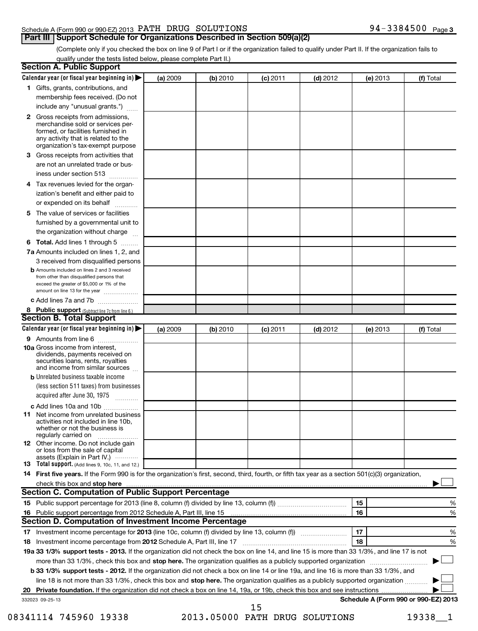#### Schedule A (Form 990 or 990-EZ) 2013  $\rm~PATH~$  DRUG  $\rm~SOLUTIONS$   $\rm~94-3384500$   $\rm~Page$ **Part III | Support Schedule for Organizations Described in Section 509(a)(2)**

(Complete only if you checked the box on line 9 of Part I or if the organization failed to qualify under Part II. If the organization fails to qualify under the tests listed below, please complete Part II.)

|   | <b>Section A. Public Support</b>                                                                                                                                                                                         |                 |          |            |            |                                      |           |
|---|--------------------------------------------------------------------------------------------------------------------------------------------------------------------------------------------------------------------------|-----------------|----------|------------|------------|--------------------------------------|-----------|
|   | Calendar year (or fiscal year beginning in)                                                                                                                                                                              | <b>(a)</b> 2009 | (b) 2010 | (c) 2011   | $(d)$ 2012 | <b>(e)</b> 2013                      | (f) Total |
|   | 1 Gifts, grants, contributions, and                                                                                                                                                                                      |                 |          |            |            |                                      |           |
|   | membership fees received. (Do not                                                                                                                                                                                        |                 |          |            |            |                                      |           |
|   | include any "unusual grants.")                                                                                                                                                                                           |                 |          |            |            |                                      |           |
|   | 2 Gross receipts from admissions,<br>merchandise sold or services per-<br>formed, or facilities furnished in<br>any activity that is related to the<br>organization's tax-exempt purpose                                 |                 |          |            |            |                                      |           |
| З | Gross receipts from activities that<br>are not an unrelated trade or bus-<br>iness under section 513                                                                                                                     |                 |          |            |            |                                      |           |
| 4 | Tax revenues levied for the organ-                                                                                                                                                                                       |                 |          |            |            |                                      |           |
|   | ization's benefit and either paid to<br>or expended on its behalf                                                                                                                                                        |                 |          |            |            |                                      |           |
|   | 5 The value of services or facilities                                                                                                                                                                                    |                 |          |            |            |                                      |           |
|   | furnished by a governmental unit to<br>the organization without charge                                                                                                                                                   |                 |          |            |            |                                      |           |
|   | 6 Total. Add lines 1 through 5                                                                                                                                                                                           |                 |          |            |            |                                      |           |
|   | 7a Amounts included on lines 1, 2, and                                                                                                                                                                                   |                 |          |            |            |                                      |           |
|   | 3 received from disqualified persons<br><b>b</b> Amounts included on lines 2 and 3 received<br>from other than disqualified persons that<br>exceed the greater of \$5,000 or 1% of the<br>amount on line 13 for the year |                 |          |            |            |                                      |           |
|   | c Add lines 7a and 7b                                                                                                                                                                                                    |                 |          |            |            |                                      |           |
|   | 8 Public support (Subtract line 7c from line 6.)                                                                                                                                                                         |                 |          |            |            |                                      |           |
|   | <b>Section B. Total Support</b>                                                                                                                                                                                          |                 |          |            |            |                                      |           |
|   | Calendar year (or fiscal year beginning in)                                                                                                                                                                              | (a) 2009        | (b) 2010 | $(c)$ 2011 | $(d)$ 2012 | (e) 2013                             | (f) Total |
|   | 9 Amounts from line 6<br><b>10a</b> Gross income from interest,<br>dividends, payments received on<br>securities loans, rents, royalties<br>and income from similar sources                                              |                 |          |            |            |                                      |           |
|   | <b>b</b> Unrelated business taxable income<br>(less section 511 taxes) from businesses<br>acquired after June 30, 1975<br>1.1.1.1.1.1.1.1.1.1                                                                            |                 |          |            |            |                                      |           |
|   | c Add lines 10a and 10b                                                                                                                                                                                                  |                 |          |            |            |                                      |           |
|   | <b>11</b> Net income from unrelated business<br>activities not included in line 10b,<br>whether or not the business is<br>regularly carried on                                                                           |                 |          |            |            |                                      |           |
|   | 12 Other income. Do not include gain<br>or loss from the sale of capital<br>assets (Explain in Part IV.)                                                                                                                 |                 |          |            |            |                                      |           |
|   | <b>13</b> Total support. (Add lines 9, 10c, 11, and 12.)                                                                                                                                                                 |                 |          |            |            |                                      |           |
|   | 14 First five years. If the Form 990 is for the organization's first, second, third, fourth, or fifth tax year as a section 501(c)(3) organization,                                                                      |                 |          |            |            |                                      |           |
|   | check this box and stop here manufactured and stop here and stop here are manufactured and stop here and stop<br><b>Section C. Computation of Public Support Percentage</b>                                              |                 |          |            |            |                                      |           |
|   |                                                                                                                                                                                                                          |                 |          |            |            | 15                                   | %         |
|   | 16 Public support percentage from 2012 Schedule A, Part III, line 15                                                                                                                                                     |                 |          |            |            | 16                                   | %         |
|   | Section D. Computation of Investment Income Percentage                                                                                                                                                                   |                 |          |            |            |                                      |           |
|   |                                                                                                                                                                                                                          |                 |          |            |            | 17                                   | %         |
|   |                                                                                                                                                                                                                          |                 |          |            |            | 18                                   | %         |
|   | 19a 33 1/3% support tests - 2013. If the organization did not check the box on line 14, and line 15 is more than 33 1/3%, and line 17 is not                                                                             |                 |          |            |            |                                      |           |
|   | more than 33 1/3%, check this box and stop here. The organization qualifies as a publicly supported organization                                                                                                         |                 |          |            |            |                                      |           |
|   | b 33 1/3% support tests - 2012. If the organization did not check a box on line 14 or line 19a, and line 16 is more than 33 1/3%, and                                                                                    |                 |          |            |            |                                      |           |
|   | line 18 is not more than 33 1/3%, check this box and stop here. The organization qualifies as a publicly supported organization                                                                                          |                 |          |            |            |                                      |           |
|   |                                                                                                                                                                                                                          |                 |          |            |            |                                      |           |
|   | 332023 09-25-13                                                                                                                                                                                                          |                 |          | 15         |            | Schedule A (Form 990 or 990-EZ) 2013 |           |

<sup>08341114 745960 19338 2013.05000</sup> PATH DRUG SOLUTIONS 19338\_1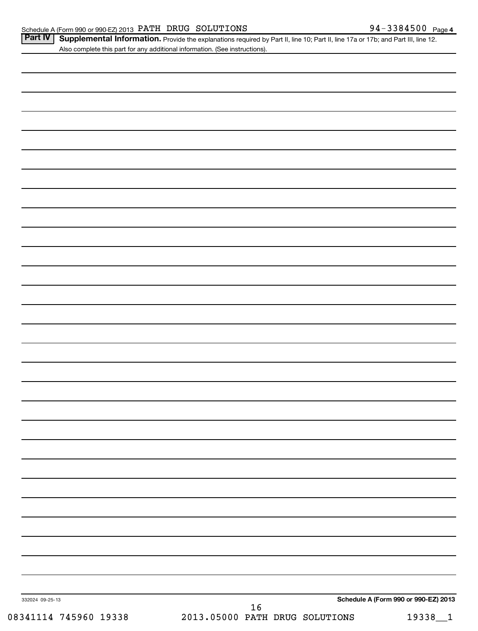| Part IV   Supplemental Information. Provide the explanations required by Part II, line 10; Part II, line 17a or 17b; and Part III, line 12 |  |
|--------------------------------------------------------------------------------------------------------------------------------------------|--|
| Also complete this part for any additional information. (See instructions).                                                                |  |

| 332024 09-25-13       |                                          | Schedule A (Form 990 or 990-EZ) 2013 |
|-----------------------|------------------------------------------|--------------------------------------|
| 08341114 745960 19338 | $16\,$<br>2013.05000 PATH DRUG SOLUTIONS | 19338_1                              |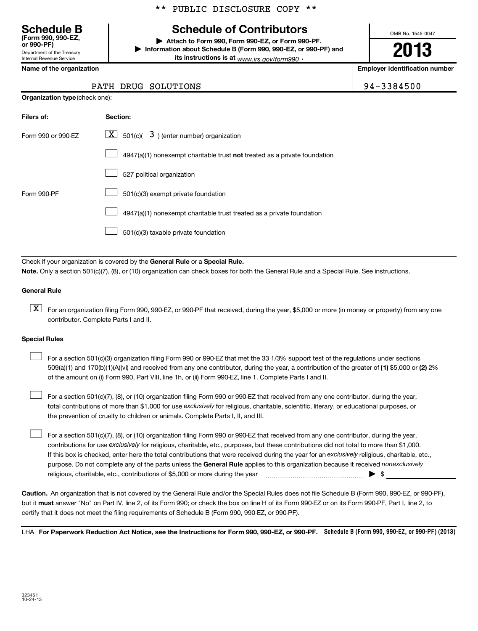# **Schedule of Contributors**

**or 990-PF) | Attach to Form 990, Form 990-EZ, or Form 990-PF. | Information about Schedule B (Form 990, 990-EZ, or 990-PF) and its instructions is at** <sub>www.irs.gov/form990  $\cdot$ </sub>

OMB No. 1545-0047

# **2013**

**Name of the organization Employer identification number**

94-3384500

| <b>Schedule B</b><br>(Form 990, 990-EZ.<br>or 990-PF) |
|-------------------------------------------------------|
| Department of the Treasury                            |
| <b>Internal Revenue Service</b>                       |

| PATH DRUG SOLUTIONS |  |  |
|---------------------|--|--|
|---------------------|--|--|

| <b>Organization type</b> (check one): |
|---------------------------------------|
|                                       |

| Filers of:         | Section:                                                                  |
|--------------------|---------------------------------------------------------------------------|
| Form 990 or 990-FZ | $\underline{\mathbf{X}}$ 501(c)( 3) (enter number) organization           |
|                    | 4947(a)(1) nonexempt charitable trust not treated as a private foundation |
|                    | 527 political organization                                                |
| Form 990-PF        | 501(c)(3) exempt private foundation                                       |
|                    | 4947(a)(1) nonexempt charitable trust treated as a private foundation     |
|                    | 501(c)(3) taxable private foundation                                      |

Check if your organization is covered by the General Rule or a Special Rule. **Note.**  Only a section 501(c)(7), (8), or (10) organization can check boxes for both the General Rule and a Special Rule. See instructions.

#### **General Rule**

 $\boxed{\textbf{X}}$  For an organization filing Form 990, 990-EZ, or 990-PF that received, during the year, \$5,000 or more (in money or property) from any one contributor. Complete Parts I and II.

#### **Special Rules**

509(a)(1) and 170(b)(1)(A)(vi) and received from any one contributor, during the year, a contribution of the greater of (1**)** \$5,000 or (**2**) 2% For a section 501(c)(3) organization filing Form 990 or 990-EZ that met the 33 1/3% support test of the regulations under sections of the amount on (i) Form 990, Part VIII, line 1h, or (ii) Form 990-EZ, line 1. Complete Parts I and II.  $\left\vert \cdot\right\vert$ 

total contributions of more than \$1,000 for use exclusively for religious, charitable, scientific, literary, or educational purposes, or For a section 501(c)(7), (8), or (10) organization filing Form 990 or 990-EZ that received from any one contributor, during the year, the prevention of cruelty to children or animals. Complete Parts I, II, and III.  $\left\vert \cdot\right\vert$ 

purpose. Do not complete any of the parts unless the General Rule applies to this organization because it received nonexclusively contributions for use exclusively for religious, charitable, etc., purposes, but these contributions did not total to more than \$1,000. If this box is checked, enter here the total contributions that were received during the year for an exclusively religious, charitable, etc., For a section 501(c)(7), (8), or (10) organization filing Form 990 or 990-EZ that received from any one contributor, during the year, religious, charitable, etc., contributions of \$5,000 or more during the year  $\ldots$   $\ldots$   $\ldots$   $\ldots$   $\ldots$   $\ldots$   $\ldots$   $\ldots$   $\ldots$  $\left\vert \cdot\right\vert$ 

**Caution.** An organization that is not covered by the General Rule and/or the Special Rules does not file Schedule B (Form 990, 990-EZ, or 990-PF),  **must** but it answer "No" on Part IV, line 2, of its Form 990; or check the box on line H of its Form 990-EZ or on its Form 990-PF, Part I, line 2, to certify that it does not meet the filing requirements of Schedule B (Form 990, 990-EZ, or 990-PF).

LHA For Paperwork Reduction Act Notice, see the Instructions for Form 990, 990-EZ, or 990-PF. Schedule B (Form 990, 990-EZ, or 990-PF) (2013)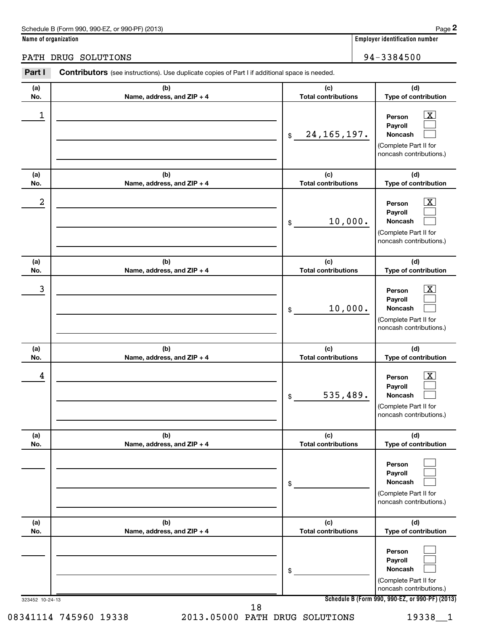| Schedule B (Form 990, 990-EZ, or 990-PF) (2013) | Page |
|-------------------------------------------------|------|
|-------------------------------------------------|------|

**Name of organization Employer identification number**

PATH DRUG SOLUTIONS 94-3384500

| Part I          | <b>Contributors</b> (see instructions). Use duplicate copies of Part I if additional space is needed. |                                   |                                                                                                               |
|-----------------|-------------------------------------------------------------------------------------------------------|-----------------------------------|---------------------------------------------------------------------------------------------------------------|
| (a)<br>No.      | (b)<br>Name, address, and ZIP + 4                                                                     | (c)<br><b>Total contributions</b> | (d)<br>Type of contribution                                                                                   |
| 1               |                                                                                                       | 24, 165, 197.<br>\$               | $\boxed{\text{X}}$<br>Person<br>Payroll<br><b>Noncash</b><br>(Complete Part II for<br>noncash contributions.) |
| (a)<br>No.      | (b)<br>Name, address, and ZIP + 4                                                                     | (c)<br><b>Total contributions</b> | (d)<br>Type of contribution                                                                                   |
| 2               |                                                                                                       | 10,000.<br>\$                     | $\boxed{\text{X}}$<br>Person<br>Payroll<br><b>Noncash</b><br>(Complete Part II for<br>noncash contributions.) |
| (a)<br>No.      | (b)<br>Name, address, and ZIP + 4                                                                     | (c)<br><b>Total contributions</b> | (d)<br>Type of contribution                                                                                   |
| 3               |                                                                                                       | 10,000.<br>\$                     | $\boxed{\text{X}}$<br>Person<br>Payroll<br><b>Noncash</b><br>(Complete Part II for<br>noncash contributions.) |
| (a)<br>No.      | (b)<br>Name, address, and ZIP + 4                                                                     | (c)<br><b>Total contributions</b> | (d)<br>Type of contribution                                                                                   |
| 4               |                                                                                                       | 535,489.<br>\$                    | $\boxed{\text{X}}$<br>Person<br>Payroll<br><b>Noncash</b><br>(Complete Part II for<br>noncash contributions.) |
| (a)<br>No.      | (b)<br>Name, address, and ZIP + 4                                                                     | (c)<br><b>Total contributions</b> | (d)<br>Type of contribution                                                                                   |
|                 |                                                                                                       | \$                                | Person<br>Payroll<br>Noncash<br>(Complete Part II for<br>noncash contributions.)                              |
| (a)<br>No.      | (b)<br>Name, address, and ZIP + 4                                                                     | (c)<br><b>Total contributions</b> | (d)<br>Type of contribution                                                                                   |
|                 |                                                                                                       | \$                                | Person<br>Payroll<br>Noncash<br>(Complete Part II for<br>noncash contributions.)                              |
| 323452 10-24-13 |                                                                                                       |                                   | Schedule B (Form 990, 990-EZ, or 990-PF) (2013)                                                               |

08341114 745960 19338 2013.05000 PATH DRUG SOLUTIONS 19338\_1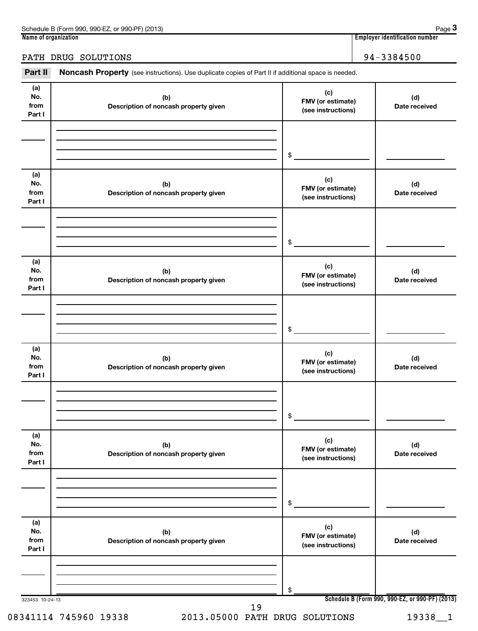| 990-EZ<br>Schedule B (Form 990,<br>(2013)<br>or 990-PF) | Page                               |
|---------------------------------------------------------|------------------------------------|
| Name of organization                                    | <br>Emplover identification number |

**3**

#### PATH DRUG SOLUTIONS 30 1 20 20 3 3 3 4 5 6 20 3 3 4 5 4 4 5 3 3 4 5 6 3 4 5 6 3 3 4 5 6 3 4 5 6 3 4 5 4 7 3 4 5 6 4 5 4 5 6 3 4 5 6 7 3 4 5 7 3 4 5 6 7 3 3 4 5 6 7 3 4 5 7 3 4 5 7 3 4 5 7 3 4 5 7 3 4 5 7 3 4 5 7 3 4 5 7 3

Part II Noncash Property (see instructions). Use duplicate copies of Part II if additional space is needed.

| (a)<br>No.<br>from<br>Part I | (b)<br>Description of noncash property given | (c)<br>FMV (or estimate)<br>(see instructions) | (d)<br>Date received                            |
|------------------------------|----------------------------------------------|------------------------------------------------|-------------------------------------------------|
|                              |                                              | \$                                             |                                                 |
| (a)<br>No.<br>from<br>Part I | (b)<br>Description of noncash property given | (c)<br>FMV (or estimate)<br>(see instructions) | (d)<br>Date received                            |
|                              |                                              | \$                                             |                                                 |
| (a)<br>No.<br>from<br>Part I | (b)<br>Description of noncash property given | (c)<br>FMV (or estimate)<br>(see instructions) | (d)<br>Date received                            |
|                              |                                              | \$                                             |                                                 |
| (a)<br>No.<br>from<br>Part I | (b)<br>Description of noncash property given | (c)<br>FMV (or estimate)<br>(see instructions) | (d)<br>Date received                            |
|                              |                                              | \$                                             |                                                 |
| (a)<br>No.<br>from<br>Part I | (b)<br>Description of noncash property given | (c)<br>FMV (or estimate)<br>(see instructions) | (d)<br>Date received                            |
|                              |                                              | \$                                             |                                                 |
| (a)<br>No.<br>from<br>Part I | (b)<br>Description of noncash property given | (c)<br>FMV (or estimate)<br>(see instructions) | (d)<br>Date received                            |
|                              |                                              | \$                                             |                                                 |
| 323453 10-24-13              | 19                                           |                                                | Schedule B (Form 990, 990-EZ, or 990-PF) (2013) |

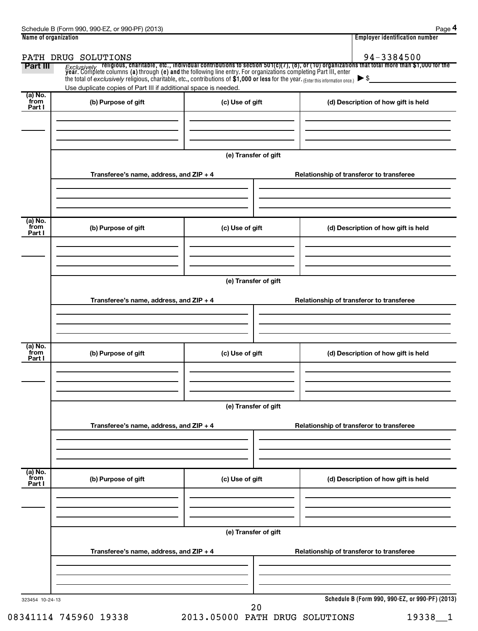|                           |                                                                                                                                                                                                        |                      | <b>Employer identification number</b>                                                                                                                                                                                                                |
|---------------------------|--------------------------------------------------------------------------------------------------------------------------------------------------------------------------------------------------------|----------------------|------------------------------------------------------------------------------------------------------------------------------------------------------------------------------------------------------------------------------------------------------|
| Part III                  | PATH DRUG SOLUTIONS                                                                                                                                                                                    |                      | 94-3384500<br><i>Exclusively</i> religious, charitable, etc., individual contributions to section 501(c)(7), (8), or (10) organizations that total more than \$1,000 for the<br>year. Complete columns (a) through (e) and the following line entry. |
|                           | the total of exclusively religious, charitable, etc., contributions of \$1,000 or less for the year. (Enter this information once.)<br>Use duplicate copies of Part III if additional space is needed. |                      | $\blacktriangleright$ \$                                                                                                                                                                                                                             |
| (a) No.<br>from<br>Part I | (b) Purpose of gift                                                                                                                                                                                    | (c) Use of gift      | (d) Description of how gift is held                                                                                                                                                                                                                  |
|                           |                                                                                                                                                                                                        | (e) Transfer of gift |                                                                                                                                                                                                                                                      |
|                           | Transferee's name, address, and ZIP + 4                                                                                                                                                                |                      | Relationship of transferor to transferee                                                                                                                                                                                                             |
| (a) No.<br>from<br>Part I | (b) Purpose of gift                                                                                                                                                                                    | (c) Use of gift      | (d) Description of how gift is held                                                                                                                                                                                                                  |
|                           | Transferee's name, address, and ZIP + 4                                                                                                                                                                | (e) Transfer of gift | Relationship of transferor to transferee                                                                                                                                                                                                             |
| (a) No.<br>from<br>Part I | (b) Purpose of gift                                                                                                                                                                                    | (c) Use of gift      | (d) Description of how gift is held                                                                                                                                                                                                                  |
|                           |                                                                                                                                                                                                        |                      |                                                                                                                                                                                                                                                      |
|                           | Transferee's name, address, and ZIP + 4                                                                                                                                                                | (e) Transfer of gift | Relationship of transferor to transferee                                                                                                                                                                                                             |
| (a) No.<br>from<br>Part I | (b) Purpose of gift                                                                                                                                                                                    | (c) Use of gift      | (d) Description of how gift is held                                                                                                                                                                                                                  |
|                           | Transferee's name, address, and ZIP + 4                                                                                                                                                                | (e) Transfer of gift | Relationship of transferor to transferee                                                                                                                                                                                                             |
|                           |                                                                                                                                                                                                        |                      |                                                                                                                                                                                                                                                      |
| 323454 10-24-13           |                                                                                                                                                                                                        | 20                   | Schedule B (Form 990, 990-EZ, or 990-PF) (2013)                                                                                                                                                                                                      |

08341114 745960 19338 2013.05000 PATH DRUG SOLUTIONS 19338\_1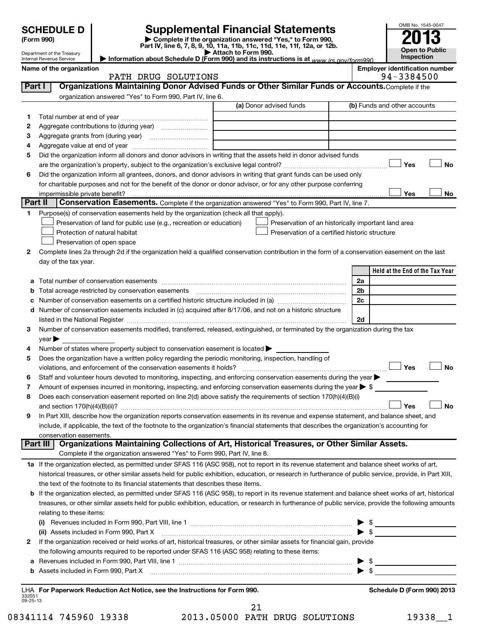|                |                                                        |                                                                                                                                                                                                                                                      |                                                     |                                                                                                                                       |                          | OMB No. 1545-0047                     |
|----------------|--------------------------------------------------------|------------------------------------------------------------------------------------------------------------------------------------------------------------------------------------------------------------------------------------------------------|-----------------------------------------------------|---------------------------------------------------------------------------------------------------------------------------------------|--------------------------|---------------------------------------|
|                | <b>SCHEDULE D</b>                                      |                                                                                                                                                                                                                                                      |                                                     | <b>Supplemental Financial Statements</b>                                                                                              |                          |                                       |
|                | (Form 990)                                             |                                                                                                                                                                                                                                                      |                                                     | Complete if the organization answered "Yes," to Form 990,<br>Part IV, line 6, 7, 8, 9, 10, 11a, 11b, 11c, 11d, 11e, 11f, 12a, or 12b. |                          |                                       |
|                | Department of the Treasury<br>Internal Revenue Service | Information about Schedule D (Form 990) and its instructions is at www.jrs.gov/form990                                                                                                                                                               | Attach to Form 990.                                 |                                                                                                                                       |                          | Open to Public<br>Inspection          |
|                | Name of the organization                               |                                                                                                                                                                                                                                                      |                                                     |                                                                                                                                       |                          | <b>Employer identification number</b> |
|                |                                                        | PATH DRUG SOLUTIONS                                                                                                                                                                                                                                  |                                                     |                                                                                                                                       |                          | 94-3384500                            |
| Part I         |                                                        | Organizations Maintaining Donor Advised Funds or Other Similar Funds or Accounts. Complete if the                                                                                                                                                    |                                                     |                                                                                                                                       |                          |                                       |
|                |                                                        | organization answered "Yes" to Form 990, Part IV, line 6.                                                                                                                                                                                            |                                                     |                                                                                                                                       |                          |                                       |
|                |                                                        |                                                                                                                                                                                                                                                      |                                                     | (a) Donor advised funds                                                                                                               |                          | (b) Funds and other accounts          |
| 1.             |                                                        |                                                                                                                                                                                                                                                      |                                                     |                                                                                                                                       |                          |                                       |
| 2              |                                                        |                                                                                                                                                                                                                                                      |                                                     |                                                                                                                                       |                          |                                       |
| з              |                                                        |                                                                                                                                                                                                                                                      | <u> 1989 - Johann Barbara, martin eta politikar</u> |                                                                                                                                       |                          |                                       |
| 4              |                                                        |                                                                                                                                                                                                                                                      |                                                     |                                                                                                                                       |                          |                                       |
| 5              |                                                        | Did the organization inform all donors and donor advisors in writing that the assets held in donor advised funds                                                                                                                                     |                                                     |                                                                                                                                       |                          | <b>No</b><br>Yes                      |
|                |                                                        | Did the organization inform all grantees, donors, and donor advisors in writing that grant funds can be used only                                                                                                                                    |                                                     |                                                                                                                                       |                          |                                       |
| 6              |                                                        | for charitable purposes and not for the benefit of the donor or donor advisor, or for any other purpose conferring                                                                                                                                   |                                                     |                                                                                                                                       |                          |                                       |
|                |                                                        |                                                                                                                                                                                                                                                      |                                                     |                                                                                                                                       |                          | Yes<br>No                             |
| <b>Part II</b> |                                                        | Conservation Easements. Complete if the organization answered "Yes" to Form 990, Part IV, line 7.                                                                                                                                                    |                                                     |                                                                                                                                       |                          |                                       |
| 1.             |                                                        | Purpose(s) of conservation easements held by the organization (check all that apply).                                                                                                                                                                |                                                     |                                                                                                                                       |                          |                                       |
|                |                                                        | Preservation of land for public use (e.g., recreation or education)                                                                                                                                                                                  |                                                     | Preservation of an historically important land area                                                                                   |                          |                                       |
|                |                                                        | Protection of natural habitat                                                                                                                                                                                                                        |                                                     | Preservation of a certified historic structure                                                                                        |                          |                                       |
|                |                                                        | Preservation of open space                                                                                                                                                                                                                           |                                                     |                                                                                                                                       |                          |                                       |
| 2              |                                                        | Complete lines 2a through 2d if the organization held a qualified conservation contribution in the form of a conservation easement on the last                                                                                                       |                                                     |                                                                                                                                       |                          |                                       |
|                | day of the tax year.                                   |                                                                                                                                                                                                                                                      |                                                     |                                                                                                                                       |                          |                                       |
|                |                                                        |                                                                                                                                                                                                                                                      |                                                     |                                                                                                                                       |                          | Held at the End of the Tax Year       |
| a              |                                                        |                                                                                                                                                                                                                                                      |                                                     |                                                                                                                                       | 2a                       |                                       |
| b              |                                                        | Total acreage restricted by conservation easements manufactured acreage restricted by conservation easements                                                                                                                                         |                                                     |                                                                                                                                       | 2b                       |                                       |
| c              |                                                        | Number of conservation easements on a certified historic structure included in (a) manufacture included in (a)                                                                                                                                       |                                                     |                                                                                                                                       | 2c                       |                                       |
| d              |                                                        | Number of conservation easements included in (c) acquired after 8/17/06, and not on a historic structure                                                                                                                                             |                                                     |                                                                                                                                       |                          |                                       |
|                |                                                        |                                                                                                                                                                                                                                                      |                                                     |                                                                                                                                       | 2d                       |                                       |
| з              |                                                        | Number of conservation easements modified, transferred, released, extinguished, or terminated by the organization during the tax                                                                                                                     |                                                     |                                                                                                                                       |                          |                                       |
|                | $year \triangleright$                                  |                                                                                                                                                                                                                                                      |                                                     |                                                                                                                                       |                          |                                       |
| 4              |                                                        | Number of states where property subject to conservation easement is located $\blacktriangleright$                                                                                                                                                    |                                                     |                                                                                                                                       |                          |                                       |
| 5              |                                                        | Does the organization have a written policy regarding the periodic monitoring, inspection, handling of                                                                                                                                               |                                                     |                                                                                                                                       |                          |                                       |
|                |                                                        | violations, and enforcement of the conservation easements it holds?                                                                                                                                                                                  |                                                     |                                                                                                                                       |                          | Yes<br>No                             |
| 6<br>7         |                                                        | Staff and volunteer hours devoted to monitoring, inspecting, and enforcing conservation easements during the year<br>Amount of expenses incurred in monitoring, inspecting, and enforcing conservation easements during the year $\triangleright$ \$ |                                                     |                                                                                                                                       |                          |                                       |
| 8              |                                                        | Does each conservation easement reported on line 2(d) above satisfy the requirements of section 170(h)(4)(B)(i)                                                                                                                                      |                                                     |                                                                                                                                       |                          |                                       |
|                |                                                        |                                                                                                                                                                                                                                                      |                                                     |                                                                                                                                       |                          | Yes<br><b>No</b>                      |
| 9              |                                                        | In Part XIII, describe how the organization reports conservation easements in its revenue and expense statement, and balance sheet, and                                                                                                              |                                                     |                                                                                                                                       |                          |                                       |
|                |                                                        | include, if applicable, the text of the footnote to the organization's financial statements that describes the organization's accounting for                                                                                                         |                                                     |                                                                                                                                       |                          |                                       |
|                | conservation easements.                                |                                                                                                                                                                                                                                                      |                                                     |                                                                                                                                       |                          |                                       |
|                | <b>Part III</b>                                        | Organizations Maintaining Collections of Art, Historical Treasures, or Other Similar Assets.                                                                                                                                                         |                                                     |                                                                                                                                       |                          |                                       |
|                |                                                        | Complete if the organization answered "Yes" to Form 990, Part IV, line 8.                                                                                                                                                                            |                                                     |                                                                                                                                       |                          |                                       |
|                |                                                        | 1a If the organization elected, as permitted under SFAS 116 (ASC 958), not to report in its revenue statement and balance sheet works of art,                                                                                                        |                                                     |                                                                                                                                       |                          |                                       |
|                |                                                        | historical treasures, or other similar assets held for public exhibition, education, or research in furtherance of public service, provide, in Part XIII,                                                                                            |                                                     |                                                                                                                                       |                          |                                       |
|                |                                                        | the text of the footnote to its financial statements that describes these items.                                                                                                                                                                     |                                                     |                                                                                                                                       |                          |                                       |
|                |                                                        | <b>b</b> If the organization elected, as permitted under SFAS 116 (ASC 958), to report in its revenue statement and balance sheet works of art, historical                                                                                           |                                                     |                                                                                                                                       |                          |                                       |
|                |                                                        | treasures, or other similar assets held for public exhibition, education, or research in furtherance of public service, provide the following amounts                                                                                                |                                                     |                                                                                                                                       |                          |                                       |
|                | relating to these items:                               |                                                                                                                                                                                                                                                      |                                                     |                                                                                                                                       |                          |                                       |
|                |                                                        |                                                                                                                                                                                                                                                      |                                                     |                                                                                                                                       |                          | \$                                    |
|                |                                                        | (ii) Assets included in Form 990, Part X                                                                                                                                                                                                             |                                                     |                                                                                                                                       |                          |                                       |
| 2              |                                                        | If the organization received or held works of art, historical treasures, or other similar assets for financial gain, provide                                                                                                                         |                                                     |                                                                                                                                       |                          |                                       |
|                |                                                        | the following amounts required to be reported under SFAS 116 (ASC 958) relating to these items:                                                                                                                                                      |                                                     |                                                                                                                                       | $\blacktriangleright$ \$ |                                       |
|                |                                                        |                                                                                                                                                                                                                                                      |                                                     |                                                                                                                                       |                          |                                       |

332051 09-25-13 **For Paperwork Reduction Act Notice, see the Instructions for Form 990. Schedule D (Form 990) 2013** LHA

**b** Assets included in Form 990, Part X

08341114 745960 19338 2013.05000 PATH DRUG SOLUTIONS 19338\_1 21

~~~~~~~~~~~~~~~~~~~~~~~~~~~~~~~~~~~ | \$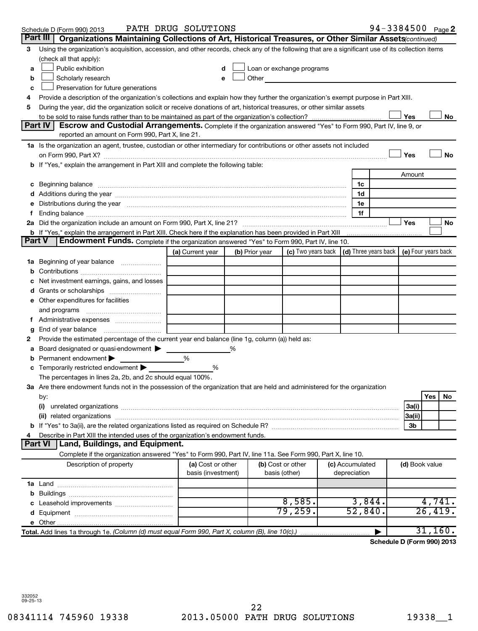|        | Schedule D (Form 990) 2013                                                                                                                                                                                                           | PATH DRUG SOLUTIONS                     |                |                                                                                                                                                                                                                               |                                 | 94-3384500 Page 2          |         |         |
|--------|--------------------------------------------------------------------------------------------------------------------------------------------------------------------------------------------------------------------------------------|-----------------------------------------|----------------|-------------------------------------------------------------------------------------------------------------------------------------------------------------------------------------------------------------------------------|---------------------------------|----------------------------|---------|---------|
|        | Organizations Maintaining Collections of Art, Historical Treasures, or Other Similar Assets (continued)<br>Part III I                                                                                                                |                                         |                |                                                                                                                                                                                                                               |                                 |                            |         |         |
| 3      | Using the organization's acquisition, accession, and other records, check any of the following that are a significant use of its collection items<br>(check all that apply):                                                         |                                         |                |                                                                                                                                                                                                                               |                                 |                            |         |         |
| a      | Public exhibition                                                                                                                                                                                                                    |                                         |                | Loan or exchange programs                                                                                                                                                                                                     |                                 |                            |         |         |
| b      | Scholarly research                                                                                                                                                                                                                   |                                         |                | Other and the contract of the contract of the contract of the contract of the contract of the contract of the contract of the contract of the contract of the contract of the contract of the contract of the contract of the |                                 |                            |         |         |
| c      | Preservation for future generations                                                                                                                                                                                                  |                                         |                |                                                                                                                                                                                                                               |                                 |                            |         |         |
| 4      | Provide a description of the organization's collections and explain how they further the organization's exempt purpose in Part XIII.                                                                                                 |                                         |                |                                                                                                                                                                                                                               |                                 |                            |         |         |
| 5      | During the year, did the organization solicit or receive donations of art, historical treasures, or other similar assets                                                                                                             |                                         |                |                                                                                                                                                                                                                               |                                 |                            |         |         |
|        |                                                                                                                                                                                                                                      |                                         |                |                                                                                                                                                                                                                               |                                 | Yes                        |         | No      |
|        | Part IV I<br>Escrow and Custodial Arrangements. Complete if the organization answered "Yes" to Form 990, Part IV, line 9, or<br>reported an amount on Form 990, Part X, line 21.                                                     |                                         |                |                                                                                                                                                                                                                               |                                 |                            |         |         |
|        | 1a Is the organization an agent, trustee, custodian or other intermediary for contributions or other assets not included                                                                                                             |                                         |                |                                                                                                                                                                                                                               |                                 |                            |         |         |
|        |                                                                                                                                                                                                                                      |                                         |                |                                                                                                                                                                                                                               |                                 | Yes                        |         | No      |
|        | b If "Yes," explain the arrangement in Part XIII and complete the following table:                                                                                                                                                   |                                         |                |                                                                                                                                                                                                                               |                                 |                            |         |         |
|        |                                                                                                                                                                                                                                      |                                         |                |                                                                                                                                                                                                                               |                                 | Amount                     |         |         |
|        | c Beginning balance <b>contract to the contract of the contract of the contract of the contract of the contract of the contract of the contract of the contract of the contract of the contract of the contract of the contract </b> |                                         |                |                                                                                                                                                                                                                               | 1c                              |                            |         |         |
|        |                                                                                                                                                                                                                                      |                                         |                |                                                                                                                                                                                                                               | 1d                              |                            |         |         |
|        | e Distributions during the year manufactured and continuum control of the control of the control of the state of the control of the control of the control of the control of the control of the control of the control of the        |                                         |                |                                                                                                                                                                                                                               | 1е                              |                            |         |         |
|        |                                                                                                                                                                                                                                      |                                         |                |                                                                                                                                                                                                                               | 1f                              |                            |         |         |
|        |                                                                                                                                                                                                                                      |                                         |                |                                                                                                                                                                                                                               |                                 | Yes                        |         | No      |
| Part V |                                                                                                                                                                                                                                      |                                         |                |                                                                                                                                                                                                                               |                                 |                            |         |         |
|        | <b>Endowment Funds.</b> Complete if the organization answered "Yes" to Form 990, Part IV, line 10.                                                                                                                                   | (a) Current year                        |                | (c) Two years back $\vert$ (d) Three years back $\vert$ (e) Four years back                                                                                                                                                   |                                 |                            |         |         |
|        |                                                                                                                                                                                                                                      |                                         | (b) Prior year |                                                                                                                                                                                                                               |                                 |                            |         |         |
|        | 1a Beginning of year balance                                                                                                                                                                                                         |                                         |                |                                                                                                                                                                                                                               |                                 |                            |         |         |
|        | Net investment earnings, gains, and losses                                                                                                                                                                                           |                                         |                |                                                                                                                                                                                                                               |                                 |                            |         |         |
|        |                                                                                                                                                                                                                                      |                                         |                |                                                                                                                                                                                                                               |                                 |                            |         |         |
|        | e Other expenditures for facilities                                                                                                                                                                                                  |                                         |                |                                                                                                                                                                                                                               |                                 |                            |         |         |
|        | and programs                                                                                                                                                                                                                         |                                         |                |                                                                                                                                                                                                                               |                                 |                            |         |         |
|        |                                                                                                                                                                                                                                      |                                         |                |                                                                                                                                                                                                                               |                                 |                            |         |         |
| g      |                                                                                                                                                                                                                                      |                                         |                |                                                                                                                                                                                                                               |                                 |                            |         |         |
| 2      | Provide the estimated percentage of the current year end balance (line 1g, column (a)) held as:                                                                                                                                      |                                         |                |                                                                                                                                                                                                                               |                                 |                            |         |         |
|        | <b>a</b> Board designated or quasi-endowment >                                                                                                                                                                                       |                                         | %              |                                                                                                                                                                                                                               |                                 |                            |         |         |
|        | <b>b</b> Permanent endowment $\blacktriangleright$                                                                                                                                                                                   | %                                       |                |                                                                                                                                                                                                                               |                                 |                            |         |         |
|        | <b>c</b> Temporarily restricted endowment $\blacktriangleright$                                                                                                                                                                      | %                                       |                |                                                                                                                                                                                                                               |                                 |                            |         |         |
|        | The percentages in lines 2a, 2b, and 2c should equal 100%.                                                                                                                                                                           |                                         |                |                                                                                                                                                                                                                               |                                 |                            |         |         |
|        | 3a Are there endowment funds not in the possession of the organization that are held and administered for the organization                                                                                                           |                                         |                |                                                                                                                                                                                                                               |                                 |                            |         |         |
|        | by:                                                                                                                                                                                                                                  |                                         |                |                                                                                                                                                                                                                               |                                 |                            | Yes     | No      |
|        | (i)                                                                                                                                                                                                                                  |                                         |                |                                                                                                                                                                                                                               |                                 | 3a(i)                      |         |         |
|        |                                                                                                                                                                                                                                      |                                         |                |                                                                                                                                                                                                                               |                                 | 3a(ii)                     |         |         |
|        |                                                                                                                                                                                                                                      |                                         |                |                                                                                                                                                                                                                               |                                 | 3b                         |         |         |
| 4      | Describe in Part XIII the intended uses of the organization's endowment funds.                                                                                                                                                       |                                         |                |                                                                                                                                                                                                                               |                                 |                            |         |         |
|        | Land, Buildings, and Equipment.<br><b>Part VI</b>                                                                                                                                                                                    |                                         |                |                                                                                                                                                                                                                               |                                 |                            |         |         |
|        | Complete if the organization answered "Yes" to Form 990, Part IV, line 11a. See Form 990, Part X, line 10.                                                                                                                           |                                         |                |                                                                                                                                                                                                                               |                                 |                            |         |         |
|        | Description of property                                                                                                                                                                                                              | (a) Cost or other<br>basis (investment) |                | (b) Cost or other<br>basis (other)                                                                                                                                                                                            | (c) Accumulated<br>depreciation | (d) Book value             |         |         |
|        |                                                                                                                                                                                                                                      |                                         |                |                                                                                                                                                                                                                               |                                 |                            |         |         |
|        |                                                                                                                                                                                                                                      |                                         |                |                                                                                                                                                                                                                               |                                 |                            |         |         |
|        |                                                                                                                                                                                                                                      |                                         |                | 8,585.                                                                                                                                                                                                                        | 3,844.                          |                            | 4,741.  |         |
|        |                                                                                                                                                                                                                                      |                                         |                | 79,259.                                                                                                                                                                                                                       | 52,840.                         |                            | 26,419. |         |
|        |                                                                                                                                                                                                                                      |                                         |                |                                                                                                                                                                                                                               |                                 |                            |         | 31,160. |
|        | Total. Add lines 1a through 1e. (Column (d) must equal Form 990, Part X, column (B), line 10(c).)                                                                                                                                    |                                         |                |                                                                                                                                                                                                                               |                                 |                            |         |         |
|        |                                                                                                                                                                                                                                      |                                         |                |                                                                                                                                                                                                                               |                                 | Schedule D (Form 990) 2013 |         |         |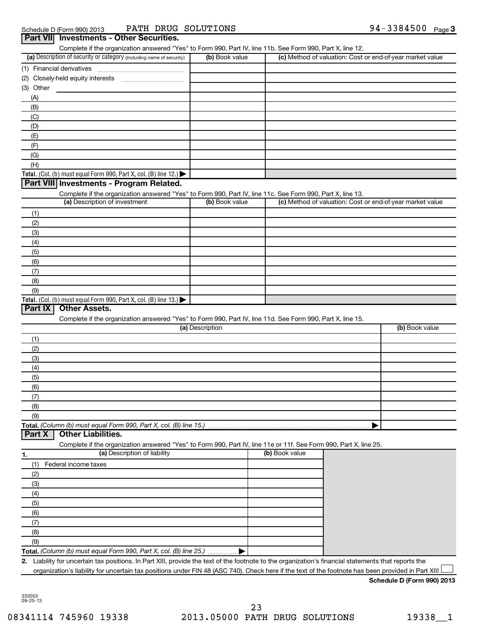#### **Part VII Investments - Other Securities.**

Complete if the organization answered "Yes" to Form 990, Part IV, line 11b. See Form 990, Part X, line 12.

| (a) Description of security or category (including name of security) | (b) Book value | (c) Method of valuation: Cost or end-of-year market value |
|----------------------------------------------------------------------|----------------|-----------------------------------------------------------|
| (1) Financial derivatives                                            |                |                                                           |
| (2) Closely-held equity interests                                    |                |                                                           |
| (3) Other                                                            |                |                                                           |
| (A)                                                                  |                |                                                           |
| (B)                                                                  |                |                                                           |
| (C)                                                                  |                |                                                           |
| (D)                                                                  |                |                                                           |
| (E)                                                                  |                |                                                           |
| (F)                                                                  |                |                                                           |
| (G)                                                                  |                |                                                           |
| (H)                                                                  |                |                                                           |
| Total. (Col. (b) must equal Form 990, Part X, col. (B) line $12$ .)  |                |                                                           |

#### **Part VIII Investments - Program Related.**

| Complete if the organization answered "Yes" to Form 990, Part IV, line 11c. See Form 990, Part X, line 13. |                |                                                           |  |  |  |
|------------------------------------------------------------------------------------------------------------|----------------|-----------------------------------------------------------|--|--|--|
| (a) Description of investment                                                                              | (b) Book value | (c) Method of valuation: Cost or end-of-year market value |  |  |  |
| (1)                                                                                                        |                |                                                           |  |  |  |
| (2)                                                                                                        |                |                                                           |  |  |  |
| (3)                                                                                                        |                |                                                           |  |  |  |
| (4)                                                                                                        |                |                                                           |  |  |  |
| (5)                                                                                                        |                |                                                           |  |  |  |
| (6)                                                                                                        |                |                                                           |  |  |  |
| (7)                                                                                                        |                |                                                           |  |  |  |
| (8)                                                                                                        |                |                                                           |  |  |  |
| (9)                                                                                                        |                |                                                           |  |  |  |
| Total. (Col. (b) must equal Form 990, Part X, col. (B) line $13.$ $\blacktriangleright$                    |                |                                                           |  |  |  |

#### **Part IX Other Assets.**

Complete if the organization answered "Yes" to Form 990, Part IV, line 11d. See Form 990, Part X, line 15.

| (a) Description | (b) Book value |
|-----------------|----------------|
| (1)             |                |
| (2)             |                |
| (3)             |                |
| (4)             |                |
| (5)             |                |
| (6)             |                |
| (7)             |                |
| (8)             |                |
| (9)             |                |
|                 |                |

#### **Part X Other Liabilities.**

Complete if the organization answered "Yes" to Form 990, Part IV, line 11e or 11f. See Form 990, Part X, line 25.

| 1.  | (a) Description of liability                                       | (b) Book value |  |
|-----|--------------------------------------------------------------------|----------------|--|
|     | Federal income taxes                                               |                |  |
| (2) |                                                                    |                |  |
| (3) |                                                                    |                |  |
| (4) |                                                                    |                |  |
| (5) |                                                                    |                |  |
| (6) |                                                                    |                |  |
|     |                                                                    |                |  |
| (8) |                                                                    |                |  |
| (9) |                                                                    |                |  |
|     | Total. (Column (b) must equal Form 990, Part X, col. (B) line 25.) |                |  |

**2.** Liability for uncertain tax positions. In Part XIII, provide the text of the footnote to the organization's financial statements that reports the organization's liability for uncertain tax positions under FIN 48 (ASC 740). Check here if the text of the footnote has been provided in Part XIII  $\Box$ 

#### **Schedule D (Form 990) 2013**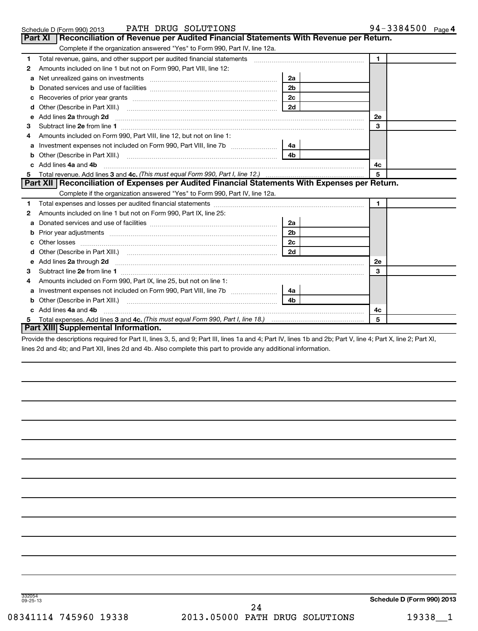| Schedule D (Form 990) 2013 | SOLUTIONS<br><b>DRUG</b><br>PATH | 3384500<br>$94 -$<br>Page 4 |
|----------------------------|----------------------------------|-----------------------------|
|----------------------------|----------------------------------|-----------------------------|

|    | Part XI   Reconciliation of Revenue per Audited Financial Statements With Revenue per Return.                                                                   |                |              |  |
|----|-----------------------------------------------------------------------------------------------------------------------------------------------------------------|----------------|--------------|--|
|    | Complete if the organization answered "Yes" to Form 990, Part IV, line 12a.                                                                                     |                |              |  |
| 1  | Total revenue, gains, and other support per audited financial statements [11,111] [11] Total revenue, gains, and other support per audited financial statements |                | $\mathbf{1}$ |  |
| 2  | Amounts included on line 1 but not on Form 990, Part VIII, line 12:                                                                                             |                |              |  |
| a  |                                                                                                                                                                 | 2a             |              |  |
| b  |                                                                                                                                                                 | 2 <sub>b</sub> |              |  |
| c  |                                                                                                                                                                 | 2c             |              |  |
| d  |                                                                                                                                                                 | 2d             |              |  |
| е  | Add lines 2a through 2d                                                                                                                                         |                | 2е           |  |
| 3  |                                                                                                                                                                 |                | 3            |  |
| 4  | Amounts included on Form 990, Part VIII, line 12, but not on line 1:                                                                                            |                |              |  |
| a  |                                                                                                                                                                 | 4a             |              |  |
| b  |                                                                                                                                                                 | 4 <sub>b</sub> |              |  |
|    | c Add lines 4a and 4b                                                                                                                                           |                | 4c           |  |
| 5. |                                                                                                                                                                 |                | 5            |  |
|    | Part XII   Reconciliation of Expenses per Audited Financial Statements With Expenses per Return.                                                                |                |              |  |
|    | Complete if the organization answered "Yes" to Form 990, Part IV, line 12a.                                                                                     |                |              |  |
| 1  |                                                                                                                                                                 |                | $\mathbf{1}$ |  |
| 2  | Amounts included on line 1 but not on Form 990, Part IX, line 25:                                                                                               |                |              |  |
| a  |                                                                                                                                                                 | 2a             |              |  |
| b  | Prior year adjustments [111] Prior year adjustments [11] Masseum Masseum Masseum Masseum Masseum Masseum Mass                                                   | 2 <sub>b</sub> |              |  |
| c  |                                                                                                                                                                 | 2c             |              |  |
| d  |                                                                                                                                                                 | 2d             |              |  |
|    | e Add lines 2a through 2d                                                                                                                                       |                | 2е           |  |
| 3  | Subtract line 2e from line 1                                                                                                                                    |                | 3            |  |
| 4  | Amounts included on Form 990, Part IX, line 25, but not on line 1:                                                                                              |                |              |  |
| a  |                                                                                                                                                                 | 4a             |              |  |
| b  |                                                                                                                                                                 | 4 <sub>b</sub> |              |  |
|    | c Add lines 4a and 4b                                                                                                                                           |                | 4c           |  |
|    |                                                                                                                                                                 |                | 5            |  |
|    | Part XIII Supplemental Information.                                                                                                                             |                |              |  |

Provide the descriptions required for Part II, lines 3, 5, and 9; Part III, lines 1a and 4; Part IV, lines 1b and 2b; Part V, line 4; Part X, line 2; Part XI, lines 2d and 4b; and Part XII, lines 2d and 4b. Also complete this part to provide any additional information.

332054 09-25-13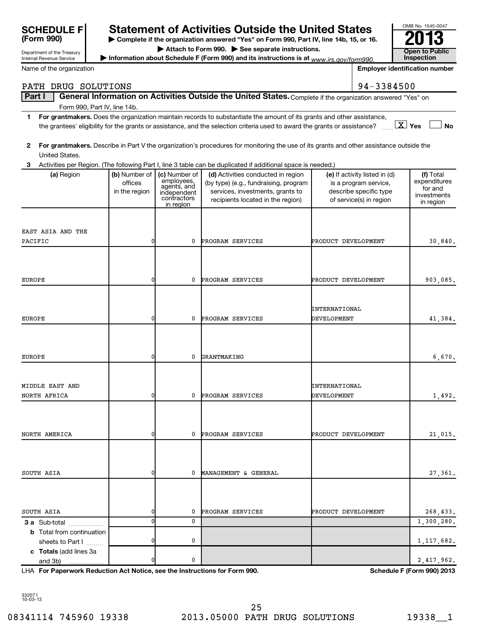| <b>SCHEDULE F</b><br>(Form 990)                        |                                           |                                                                                       | <b>Statement of Activities Outside the United States</b><br>> Complete if the organization answered "Yes" on Form 990, Part IV, line 14b, 15, or 16.                                                                                                 |                              |                                                                                                             | OMB No. 1545-0047<br>13                                          |
|--------------------------------------------------------|-------------------------------------------|---------------------------------------------------------------------------------------|------------------------------------------------------------------------------------------------------------------------------------------------------------------------------------------------------------------------------------------------------|------------------------------|-------------------------------------------------------------------------------------------------------------|------------------------------------------------------------------|
|                                                        |                                           |                                                                                       | Attach to Form 990. See separate instructions.                                                                                                                                                                                                       |                              |                                                                                                             | <b>Open to Public</b>                                            |
| Department of the Treasury<br>Internal Revenue Service |                                           |                                                                                       | Information about Schedule F (Form 990) and its instructions is at $www.irs.gov/form990$ .                                                                                                                                                           |                              |                                                                                                             | Inspection                                                       |
| Name of the organization                               |                                           | <b>Employer identification number</b>                                                 |                                                                                                                                                                                                                                                      |                              |                                                                                                             |                                                                  |
| PATH DRUG SOLUTIONS                                    |                                           |                                                                                       |                                                                                                                                                                                                                                                      |                              | 94-3384500                                                                                                  |                                                                  |
| Part I                                                 |                                           |                                                                                       | General Information on Activities Outside the United States. Complete if the organization answered "Yes" on                                                                                                                                          |                              |                                                                                                             |                                                                  |
| Form 990, Part IV, line 14b.                           |                                           |                                                                                       |                                                                                                                                                                                                                                                      |                              |                                                                                                             |                                                                  |
| 1                                                      |                                           |                                                                                       | For grantmakers. Does the organization maintain records to substantiate the amount of its grants and other assistance,<br>the grantees' eligibility for the grants or assistance, and the selection criteria used to award the grants or assistance? |                              |                                                                                                             | $\boxed{\text{X}}$ Yes<br><b>No</b>                              |
| $\mathbf{2}$<br>United States.                         |                                           |                                                                                       | For grantmakers. Describe in Part V the organization's procedures for monitoring the use of its grants and other assistance outside the                                                                                                              |                              |                                                                                                             |                                                                  |
|                                                        |                                           |                                                                                       | 3 Activities per Region. (The following Part I, line 3 table can be duplicated if additional space is needed.)                                                                                                                                       |                              |                                                                                                             |                                                                  |
| (a) Region                                             | (b) Number of<br>offices<br>in the region | (c) Number of<br>employees,<br>agents, and<br>independent<br>contractors<br>in region | (d) Activities conducted in region<br>(by type) (e.g., fundraising, program<br>services, investments, grants to<br>recipients located in the region)                                                                                                 |                              | (e) If activity listed in (d)<br>is a program service,<br>describe specific type<br>of service(s) in region | (f) Total<br>expenditures<br>for and<br>investments<br>in region |
| EAST ASIA AND THE                                      |                                           |                                                                                       |                                                                                                                                                                                                                                                      |                              |                                                                                                             |                                                                  |
| PACIFIC                                                | 0                                         | 0                                                                                     | PROGRAM SERVICES                                                                                                                                                                                                                                     | PRODUCT DEVELOPMENT          |                                                                                                             | 30,840.                                                          |
|                                                        |                                           |                                                                                       |                                                                                                                                                                                                                                                      |                              |                                                                                                             |                                                                  |
| <b>EUROPE</b>                                          | 0                                         | 0                                                                                     | PROGRAM SERVICES                                                                                                                                                                                                                                     | PRODUCT DEVELOPMENT          |                                                                                                             | 903,085.                                                         |
| <b>EUROPE</b>                                          | 0                                         | 0                                                                                     | PROGRAM SERVICES                                                                                                                                                                                                                                     | INTERNATIONAL<br>DEVELOPMENT |                                                                                                             | 41,384.                                                          |
| <b>EUROPE</b>                                          | 0                                         | 0                                                                                     | GRANTMAKING                                                                                                                                                                                                                                          |                              |                                                                                                             | 6,670.                                                           |
| MIDDLE EAST AND<br>NORTH AFRICA                        | 0                                         | 0                                                                                     | PROGRAM SERVICES                                                                                                                                                                                                                                     | INTERNATIONAL<br>DEVELOPMENT |                                                                                                             | 1,492.                                                           |
| NORTH AMERICA                                          | 0                                         | 0                                                                                     | PROGRAM SERVICES                                                                                                                                                                                                                                     | PRODUCT DEVELOPMENT          |                                                                                                             | 21,015.                                                          |
| SOUTH ASIA                                             | 0                                         | 0                                                                                     | MANAGEMENT & GENERAL                                                                                                                                                                                                                                 |                              |                                                                                                             | 27,361.                                                          |
| SOUTH ASIA<br><b>3 a</b> Sub-total<br>.                | 0<br>0                                    | 0<br>0                                                                                | PROGRAM SERVICES                                                                                                                                                                                                                                     | PRODUCT DEVELOPMENT          |                                                                                                             | 268,433.<br>1,300,280.                                           |
| <b>b</b> Total from continuation<br>sheets to Part I   | 0                                         | 0                                                                                     |                                                                                                                                                                                                                                                      |                              |                                                                                                             | 1, 117, 682.                                                     |
| c Totals (add lines 3a<br>and 3b)                      |                                           | 0                                                                                     |                                                                                                                                                                                                                                                      |                              |                                                                                                             | 2, 417, 962.                                                     |

**For Paperwork Reduction Act Notice, see the Instructions for Form 990. Schedule F (Form 990) 2013** LHA

332071 10-03-13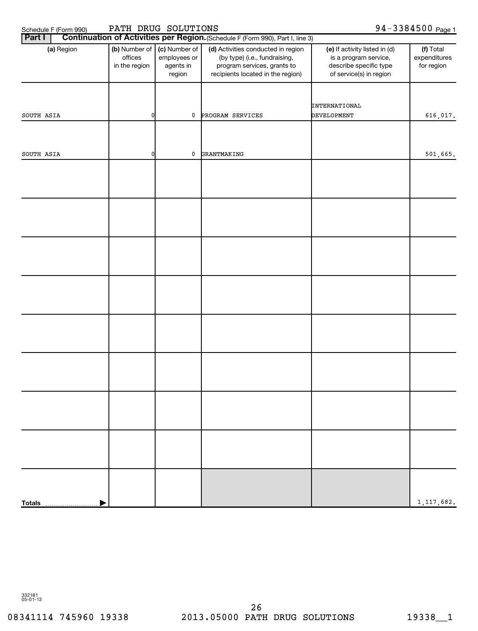# **Part II Continue II Continue I** Continue 1990)

Schedule F (Form 990) PATH DRUG SOLUTIONS 94-3384500 page 1

| Part I     |                      |                                           |                                                      | <b>Continuation of Activities per Region.</b> (Schedule F (Form 990), Part I, line 3)                                                   |                                                                                                             |                                         |
|------------|----------------------|-------------------------------------------|------------------------------------------------------|-----------------------------------------------------------------------------------------------------------------------------------------|-------------------------------------------------------------------------------------------------------------|-----------------------------------------|
|            | (a) Region           | (b) Number of<br>offices<br>in the region | (c) Number of<br>employees or<br>agents in<br>region | (d) Activities conducted in region<br>(by type) (i.e., fundraising,<br>program services, grants to<br>recipients located in the region) | (e) If activity listed in (d)<br>is a program service,<br>describe specific type<br>of service(s) in region | (f) Total<br>expenditures<br>for region |
| SOUTH ASIA |                      | 0                                         | 0                                                    | PROGRAM SERVICES                                                                                                                        | INTERNATIONAL<br><b>DEVELOPMENT</b>                                                                         | 616,017.                                |
|            |                      |                                           |                                                      |                                                                                                                                         |                                                                                                             |                                         |
| SOUTH ASIA |                      | 0                                         | 0                                                    | GRANTMAKING                                                                                                                             |                                                                                                             | 501,665.                                |
|            |                      |                                           |                                                      |                                                                                                                                         |                                                                                                             |                                         |
|            |                      |                                           |                                                      |                                                                                                                                         |                                                                                                             |                                         |
|            |                      |                                           |                                                      |                                                                                                                                         |                                                                                                             |                                         |
|            |                      |                                           |                                                      |                                                                                                                                         |                                                                                                             |                                         |
|            |                      |                                           |                                                      |                                                                                                                                         |                                                                                                             |                                         |
|            |                      |                                           |                                                      |                                                                                                                                         |                                                                                                             |                                         |
|            |                      |                                           |                                                      |                                                                                                                                         |                                                                                                             |                                         |
|            |                      |                                           |                                                      |                                                                                                                                         |                                                                                                             |                                         |
|            |                      |                                           |                                                      |                                                                                                                                         |                                                                                                             | 1, 117, 682.                            |
|            | Totals <b>Manual</b> |                                           |                                                      |                                                                                                                                         |                                                                                                             |                                         |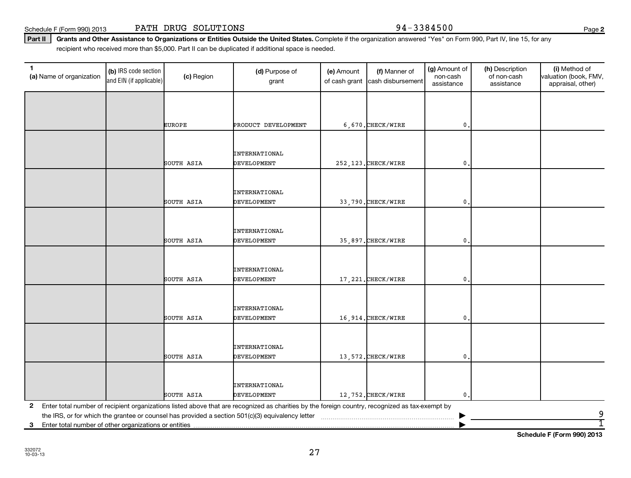**Schedule F (Form 990) 2013**

Schedule F (Form 990) 2013 PATH DRUG SOLUTIONS Page 3384500

Part II | Grants and Other Assistance to Organizations or Entities Outside the United States. Complete if the organization answered "Yes" on Form 990, Part IV, line 15, for any recipient who received more than \$5,000. Part II can be duplicated if additional space is needed.

| $\mathbf{1}$<br>(b) IRS code section<br>(c) Region<br>(a) Name of organization<br>and EIN (if applicable) |  | (d) Purpose of<br>grant | (e) Amount<br>of cash grant                                                                                                                     | (f) Manner of<br>cash disbursement | (g) Amount of<br>non-cash<br>assistance | (h) Description<br>of non-cash<br>assistance | (i) Method of<br>valuation (book, FMV,<br>appraisal, other) |        |
|-----------------------------------------------------------------------------------------------------------|--|-------------------------|-------------------------------------------------------------------------------------------------------------------------------------------------|------------------------------------|-----------------------------------------|----------------------------------------------|-------------------------------------------------------------|--------|
|                                                                                                           |  |                         |                                                                                                                                                 |                                    |                                         |                                              |                                                             |        |
|                                                                                                           |  | <b>EUROPE</b>           | PRODUCT DEVELOPMENT                                                                                                                             |                                    | 6,670.CHECK/WIRE                        | $\mathbf{0}$                                 |                                                             |        |
|                                                                                                           |  |                         |                                                                                                                                                 |                                    |                                         |                                              |                                                             |        |
|                                                                                                           |  |                         | INTERNATIONAL                                                                                                                                   |                                    |                                         |                                              |                                                             |        |
|                                                                                                           |  | SOUTH ASIA              | DEVELOPMENT                                                                                                                                     |                                    | 252, 123. CHECK/WIRE                    | $\mathbf{0}$                                 |                                                             |        |
|                                                                                                           |  |                         | <b>INTERNATIONAL</b>                                                                                                                            |                                    |                                         |                                              |                                                             |        |
|                                                                                                           |  | SOUTH ASIA              | <b>DEVELOPMENT</b>                                                                                                                              |                                    | 33,790. CHECK/WIRE                      | $\mathbf 0$                                  |                                                             |        |
|                                                                                                           |  |                         | INTERNATIONAL                                                                                                                                   |                                    |                                         |                                              |                                                             |        |
|                                                                                                           |  | SOUTH ASIA              | <b>DEVELOPMENT</b>                                                                                                                              |                                    | 35,897. CHECK/WIRE                      | $\mathbf{0}$                                 |                                                             |        |
|                                                                                                           |  | SOUTH ASIA              | <b>INTERNATIONAL</b><br><b>DEVELOPMENT</b>                                                                                                      |                                    | 17, 221. CHECK/WIRE                     | $\mathbf{0}$                                 |                                                             |        |
|                                                                                                           |  | SOUTH ASIA              | <b>INTERNATIONAL</b><br><b>DEVELOPMENT</b>                                                                                                      |                                    | 16,914. CHECK/WIRE                      | $\mathbf 0$                                  |                                                             |        |
|                                                                                                           |  | SOUTH ASIA              | INTERNATIONAL<br>DEVELOPMENT                                                                                                                    |                                    | 13,572. CHECK/WIRE                      | $\mathbf{0}$                                 |                                                             |        |
|                                                                                                           |  | SOUTH ASIA              | <b>INTERNATIONAL</b><br>DEVELOPMENT                                                                                                             |                                    | 12,752. CHECK/WIRE                      | $\mathbf{0}$                                 |                                                             |        |
| $\mathbf{2}$                                                                                              |  |                         | Enter total number of recipient organizations listed above that are recognized as charities by the foreign country, recognized as tax-exempt by |                                    |                                         |                                              |                                                             |        |
| Enter total number of other organizations or entities<br>3                                                |  |                         |                                                                                                                                                 |                                    |                                         |                                              |                                                             | 9<br>1 |

27

**2**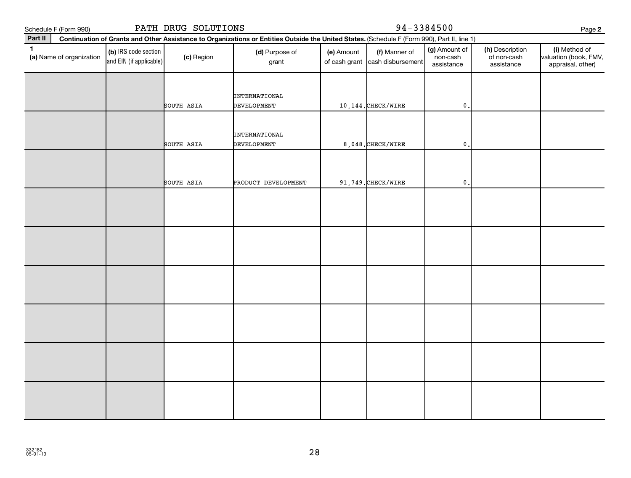|              | PATH DRUG SOLUTIONS<br>Schedule F (Form 990) |                                                 |            |                                                                                                                                              |            | 94-3384500                                       |                                         |                                              |                                                             |  |
|--------------|----------------------------------------------|-------------------------------------------------|------------|----------------------------------------------------------------------------------------------------------------------------------------------|------------|--------------------------------------------------|-----------------------------------------|----------------------------------------------|-------------------------------------------------------------|--|
| Part II      |                                              |                                                 |            | Continuation of Grants and Other Assistance to Organizations or Entities Outside the United States. (Schedule F (Form 990), Part II, line 1) |            |                                                  |                                         |                                              | Page 2                                                      |  |
| $\mathbf{1}$ | (a) Name of organization                     | (b) IRS code section<br>and EIN (if applicable) | (c) Region | (d) Purpose of<br>grant                                                                                                                      | (e) Amount | (f) Manner of<br>of cash grant cash disbursement | (g) Amount of<br>non-cash<br>assistance | (h) Description<br>of non-cash<br>assistance | (i) Method of<br>valuation (book, FMV,<br>appraisal, other) |  |
|              |                                              |                                                 | SOUTH ASIA | INTERNATIONAL<br>DEVELOPMENT                                                                                                                 |            | 10, 144. CHECK/WIRE                              | $\mathfrak o$ .                         |                                              |                                                             |  |
|              |                                              |                                                 | SOUTH ASIA | INTERNATIONAL<br><b>DEVELOPMENT</b>                                                                                                          |            | 8,048. CHECK/WIRE                                | $\mathbf{0}$ .                          |                                              |                                                             |  |
|              |                                              |                                                 | SOUTH ASIA | PRODUCT DEVELOPMENT                                                                                                                          |            | 91,749. CHECK/WIRE                               | 0                                       |                                              |                                                             |  |
|              |                                              |                                                 |            |                                                                                                                                              |            |                                                  |                                         |                                              |                                                             |  |
|              |                                              |                                                 |            |                                                                                                                                              |            |                                                  |                                         |                                              |                                                             |  |
|              |                                              |                                                 |            |                                                                                                                                              |            |                                                  |                                         |                                              |                                                             |  |
|              |                                              |                                                 |            |                                                                                                                                              |            |                                                  |                                         |                                              |                                                             |  |
|              |                                              |                                                 |            |                                                                                                                                              |            |                                                  |                                         |                                              |                                                             |  |
|              |                                              |                                                 |            |                                                                                                                                              |            |                                                  |                                         |                                              |                                                             |  |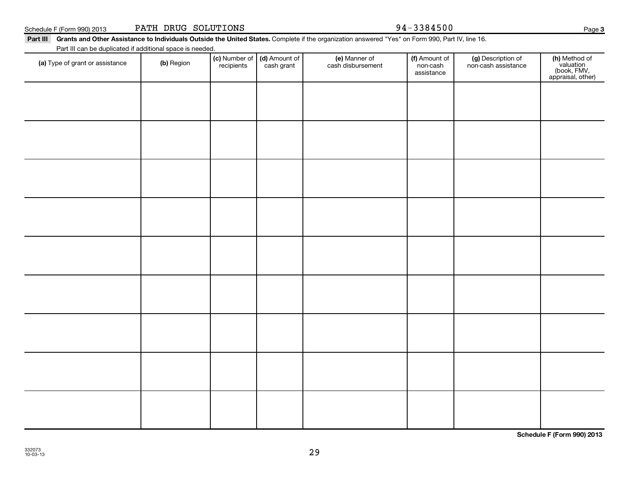Schedule F (Form 990) 2013 PATH DRUG SOLUTIONS Page 3384500

#### Part III Grants and Other Assistance to Individuals Outside the United States. Complete if the organization answered "Yes" on Form 990, Part IV, line 16.

(c) Number of **recipients** 

(a) Type of grant or assistance (b) Region (b) Region (c) Number of (d) Amount of (e) Manner of (f) Amount of (f)<br>Region (cash grant cash dishursement pop-cash non-cash assistance v

(e) Manner of cash disbursement

(d) Amount of cash grant

Part III can be duplicated if additional space is needed.

(g) Description of non-cash assistance

(f) Amount of non-cash assistance

**3**

(**h)** Method of<br>valuation<br>(book, FMV,<br>appraisal, other)

**Schedule F (Form 990) 2013**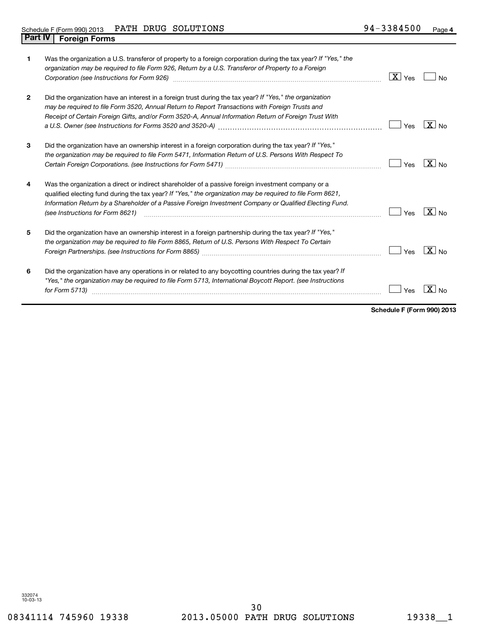| 1              | Was the organization a U.S. transferor of property to a foreign corporation during the tax year? If "Yes," the<br>organization may be required to file Form 926, Return by a U.S. Transferor of Property to a Foreign<br>Corporation (see Instructions for Form 926) [11] Corporation (see Instructions for Form 926)                                           | $\boxed{\mathbf{X}}$ Yes | No                |
|----------------|-----------------------------------------------------------------------------------------------------------------------------------------------------------------------------------------------------------------------------------------------------------------------------------------------------------------------------------------------------------------|--------------------------|-------------------|
| $\overline{2}$ | Did the organization have an interest in a foreign trust during the tax year? If "Yes," the organization<br>may be required to file Form 3520, Annual Return to Report Transactions with Foreign Trusts and<br>Receipt of Certain Foreign Gifts, and/or Form 3520-A, Annual Information Return of Foreign Trust With                                            | Yes                      | $X _{\text{No}}$  |
| 3              | Did the organization have an ownership interest in a foreign corporation during the tax year? If "Yes,"<br>the organization may be required to file Form 5471, Information Return of U.S. Persons With Respect To                                                                                                                                               | Yes                      | $X _{\text{No}}$  |
| 4              | Was the organization a direct or indirect shareholder of a passive foreign investment company or a<br>qualified electing fund during the tax year? If "Yes," the organization may be required to file Form 8621,<br>Information Return by a Shareholder of a Passive Foreign Investment Company or Qualified Electing Fund.<br>(see Instructions for Form 8621) | Yes                      | $\sqrt{X}$ No     |
| 5              | Did the organization have an ownership interest in a foreign partnership during the tax year? If "Yes,"<br>the organization may be required to file Form 8865, Return of U.S. Persons With Respect To Certain                                                                                                                                                   | Yes                      | $\overline{X}$ No |
| 6              | Did the organization have any operations in or related to any boycotting countries during the tax year? If<br>"Yes," the organization may be required to file Form 5713, International Boycott Report. (see Instructions<br>for Form 5713)                                                                                                                      | Yes                      | -x l              |

**Schedule F (Form 990) 2013**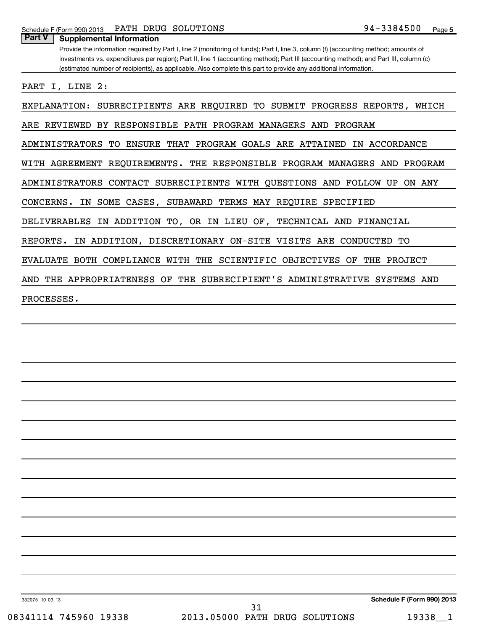| Part V<br><b>Supplemental Information</b>                                                                                             |
|---------------------------------------------------------------------------------------------------------------------------------------|
| Provide the information required by Part I, line 2 (monitoring of funds); Part I, line 3, column (f) (accounting method; amounts of   |
| investments vs. expenditures per region); Part II, line 1 (accounting method); Part III (accounting method); and Part III, column (c) |
| (estimated number of recipients), as applicable. Also complete this part to provide any additional information.                       |
|                                                                                                                                       |
| PART I, LINE 2:                                                                                                                       |
| EXPLANATION: SUBRECIPIENTS ARE REQUIRED TO SUBMIT PROGRESS REPORTS,<br>WHICH                                                          |
| ARE REVIEWED BY RESPONSIBLE PATH PROGRAM MANAGERS AND PROGRAM                                                                         |
| ADMINISTRATORS<br>TO ENSURE THAT PROGRAM GOALS ARE ATTAINED<br>IN ACCORDANCE                                                          |
| WITH AGREEMENT REQUIREMENTS. THE RESPONSIBLE PROGRAM MANAGERS AND PROGRAM                                                             |
| ADMINISTRATORS CONTACT SUBRECIPIENTS WITH QUESTIONS AND FOLLOW<br>ON ANY<br>UP                                                        |
| IN SOME CASES, SUBAWARD TERMS MAY REQUIRE SPECIFIED<br>CONCERNS.                                                                      |
| DELIVERABLES IN ADDITION TO, OR IN LIEU OF, TECHNICAL AND FINANCIAL                                                                   |
| IN ADDITION, DISCRETIONARY ON-SITE VISITS ARE CONDUCTED TO<br>REPORTS.                                                                |
| EVALUATE BOTH COMPLIANCE WITH THE SCIENTIFIC OBJECTIVES OF<br>THE PROJECT                                                             |
| AND THE APPROPRIATENESS OF THE SUBRECIPIENT'S ADMINISTRATIVE SYSTEMS AND                                                              |
| PROCESSES.                                                                                                                            |
|                                                                                                                                       |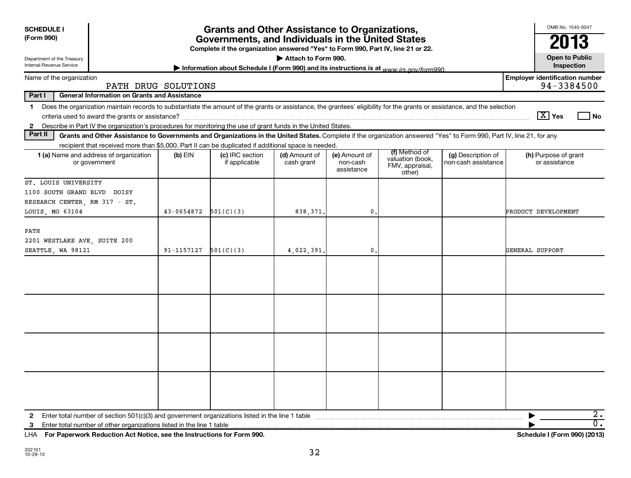| <b>SCHEDULE I</b><br>(Form 990)                                                                                                                                                                                                                                              |                                                                                                                                       | <b>Grants and Other Assistance to Organizations,</b> |                             |                                         |                                                                |                                           | OMB No. 1545-0047<br>2013                           |  |  |
|------------------------------------------------------------------------------------------------------------------------------------------------------------------------------------------------------------------------------------------------------------------------------|---------------------------------------------------------------------------------------------------------------------------------------|------------------------------------------------------|-----------------------------|-----------------------------------------|----------------------------------------------------------------|-------------------------------------------|-----------------------------------------------------|--|--|
|                                                                                                                                                                                                                                                                              | Governments, and Individuals in the United States<br>Complete if the organization answered "Yes" to Form 990, Part IV, line 21 or 22. |                                                      |                             |                                         |                                                                |                                           |                                                     |  |  |
| Attach to Form 990.<br>Department of the Treasury<br><b>Internal Revenue Service</b><br>Information about Schedule I (Form 990) and its instructions is at www.jrs.gov/form990                                                                                               |                                                                                                                                       |                                                      |                             |                                         |                                                                |                                           |                                                     |  |  |
| Name of the organization                                                                                                                                                                                                                                                     | PATH DRUG SOLUTIONS                                                                                                                   |                                                      |                             |                                         |                                                                |                                           | <b>Employer identification number</b><br>94-3384500 |  |  |
| Part I<br><b>General Information on Grants and Assistance</b>                                                                                                                                                                                                                |                                                                                                                                       |                                                      |                             |                                         |                                                                |                                           |                                                     |  |  |
| Does the organization maintain records to substantiate the amount of the grants or assistance, the grantees' eligibility for the grants or assistance, and the selection<br>$\mathbf 1$                                                                                      |                                                                                                                                       |                                                      |                             |                                         |                                                                |                                           | $ \overline{X} $ Yes<br>l No                        |  |  |
| Describe in Part IV the organization's procedures for monitoring the use of grant funds in the United States.<br>$\mathbf{2}$<br>Part II                                                                                                                                     |                                                                                                                                       |                                                      |                             |                                         |                                                                |                                           |                                                     |  |  |
| Grants and Other Assistance to Governments and Organizations in the United States. Complete if the organization answered "Yes" to Form 990, Part IV, line 21, for any<br>recipient that received more than \$5,000. Part II can be duplicated if additional space is needed. |                                                                                                                                       |                                                      |                             |                                         |                                                                |                                           |                                                     |  |  |
| 1 (a) Name and address of organization<br>or government                                                                                                                                                                                                                      | $(b)$ EIN                                                                                                                             | (c) IRC section<br>if applicable                     | (d) Amount of<br>cash grant | (e) Amount of<br>non-cash<br>assistance | (f) Method of<br>valuation (book,<br>FMV, appraisal,<br>other) | (g) Description of<br>non-cash assistance | (h) Purpose of grant<br>or assistance               |  |  |
| ST. LOUIS UNIVERSITY                                                                                                                                                                                                                                                         |                                                                                                                                       |                                                      |                             |                                         |                                                                |                                           |                                                     |  |  |
| 1100 SOUTH GRAND BLVD DOISY                                                                                                                                                                                                                                                  |                                                                                                                                       |                                                      |                             |                                         |                                                                |                                           |                                                     |  |  |
| RESEARCH CENTER, RM 317 - ST.                                                                                                                                                                                                                                                |                                                                                                                                       |                                                      |                             |                                         |                                                                |                                           |                                                     |  |  |
| LOUIS, MO 63104                                                                                                                                                                                                                                                              | 43-0654872                                                                                                                            | 501(C)(3)                                            | 838, 371.                   | 0                                       |                                                                |                                           | PRODUCT DEVELOPMENT                                 |  |  |
| PATH<br>2201 WESTLAKE AVE, SUITE 200<br>SEATTLE, WA 98121                                                                                                                                                                                                                    | $91-1157127$ $501(C)(3)$                                                                                                              |                                                      |                             | $\mathbf{0}$ .                          |                                                                |                                           | GENERAL SUPPORT                                     |  |  |
|                                                                                                                                                                                                                                                                              |                                                                                                                                       |                                                      | 4,022,391.                  |                                         |                                                                |                                           |                                                     |  |  |
|                                                                                                                                                                                                                                                                              |                                                                                                                                       |                                                      |                             |                                         |                                                                |                                           |                                                     |  |  |
|                                                                                                                                                                                                                                                                              |                                                                                                                                       |                                                      |                             |                                         |                                                                |                                           |                                                     |  |  |
|                                                                                                                                                                                                                                                                              |                                                                                                                                       |                                                      |                             |                                         |                                                                |                                           |                                                     |  |  |
|                                                                                                                                                                                                                                                                              |                                                                                                                                       |                                                      |                             |                                         |                                                                |                                           |                                                     |  |  |
| Enter total number of section 501(c)(3) and government organizations listed in the line 1 table<br>$\mathbf{2}$                                                                                                                                                              |                                                                                                                                       |                                                      |                             |                                         |                                                                |                                           | $\overline{2}$ .                                    |  |  |
| Enter total number of other organizations listed in the line 1 table<br>3                                                                                                                                                                                                    |                                                                                                                                       |                                                      |                             |                                         |                                                                |                                           | 0.                                                  |  |  |
| For Paperwork Reduction Act Notice, see the Instructions for Form 990.<br>LHA                                                                                                                                                                                                |                                                                                                                                       |                                                      |                             |                                         |                                                                |                                           | Schedule I (Form 990) (2013)                        |  |  |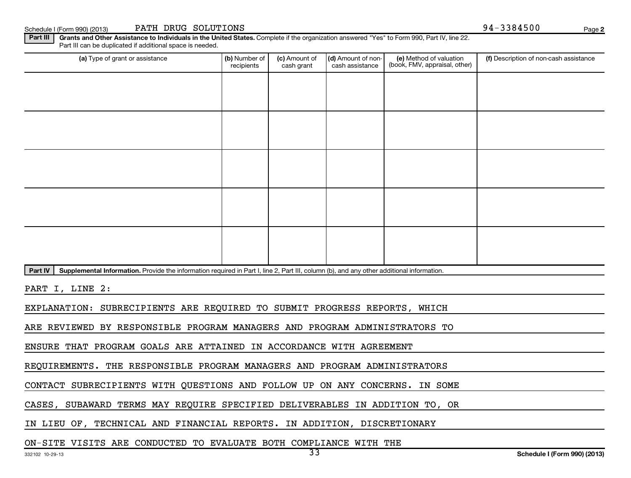Schedule I (Form 990) (2013) PATH DRUG SOLUTIONS (Solid Page 194-3384500 Page 194-3384500 Page

**2**

Part III | Grants and Other Assistance to Individuals in the United States. Complete if the organization answered "Yes" to Form 990, Part IV, line 22. Part III can be duplicated if additional space is needed.

| (a) Type of grant or assistance | (b) Number of<br>recipients | (c) Amount of<br>cash grant | (d) Amount of non-<br>cash assistance | (e) Method of valuation<br>(book, FMV, appraisal, other) | (f) Description of non-cash assistance |
|---------------------------------|-----------------------------|-----------------------------|---------------------------------------|----------------------------------------------------------|----------------------------------------|
|                                 |                             |                             |                                       |                                                          |                                        |
|                                 |                             |                             |                                       |                                                          |                                        |
|                                 |                             |                             |                                       |                                                          |                                        |
|                                 |                             |                             |                                       |                                                          |                                        |
|                                 |                             |                             |                                       |                                                          |                                        |
|                                 |                             |                             |                                       |                                                          |                                        |
|                                 |                             |                             |                                       |                                                          |                                        |
|                                 |                             |                             |                                       |                                                          |                                        |
|                                 |                             |                             |                                       |                                                          |                                        |
|                                 |                             |                             |                                       |                                                          |                                        |

Part IV | Supplemental Information. Provide the information required in Part I, line 2, Part III, column (b), and any other additional information.

PART I, LINE 2:

EXPLANATION: SUBRECIPIENTS ARE REQUIRED TO SUBMIT PROGRESS REPORTS, WHICH

ARE REVIEWED BY RESPONSIBLE PROGRAM MANAGERS AND PROGRAM ADMINISTRATORS TO

ENSURE THAT PROGRAM GOALS ARE ATTAINED IN ACCORDANCE WITH AGREEMENT

REQUIREMENTS. THE RESPONSIBLE PROGRAM MANAGERS AND PROGRAM ADMINISTRATORS

CONTACT SUBRECIPIENTS WITH QUESTIONS AND FOLLOW UP ON ANY CONCERNS. IN SOME

CASES, SUBAWARD TERMS MAY REQUIRE SPECIFIED DELIVERABLES IN ADDITION TO, OR

IN LIEU OF, TECHNICAL AND FINANCIAL REPORTS. IN ADDITION, DISCRETIONARY

#### ON-SITE VISITS ARE CONDUCTED TO EVALUATE BOTH COMPLIANCE WITH THE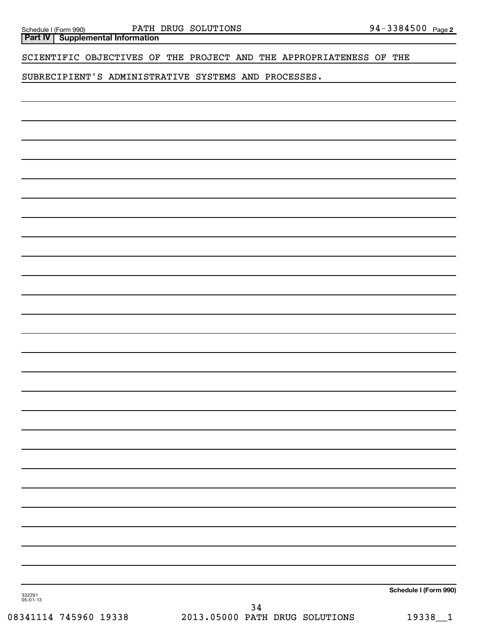**Part IV Supplemental Information**

#### SCIENTIFIC OBJECTIVES OF THE PROJECT AND THE APPROPRIATENESS OF THE

#### SUBRECIPIENT'S ADMINISTRATIVE SYSTEMS AND PROCESSES.

**Schedule I (Form 990)**

332291 05-01-13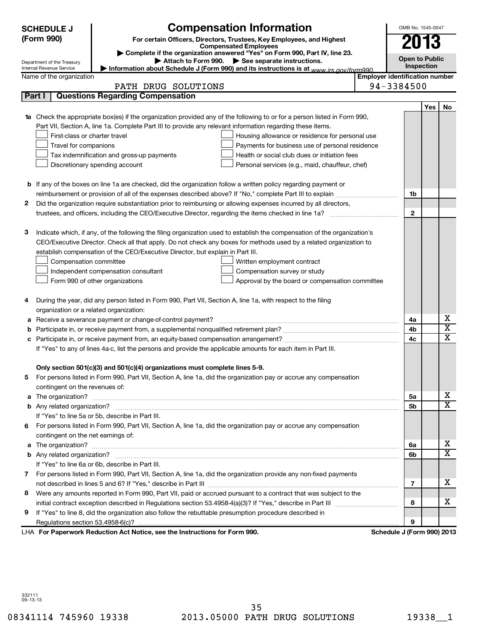|   | <b>SCHEDULE J</b><br>(Form 990)                        | <b>Compensation Information</b><br>For certain Officers, Directors, Trustees, Key Employees, and Highest                         |                                       | OMB No. 1545-0047<br>2013 |     |                         |
|---|--------------------------------------------------------|----------------------------------------------------------------------------------------------------------------------------------|---------------------------------------|---------------------------|-----|-------------------------|
|   |                                                        | <b>Compensated Employees</b>                                                                                                     |                                       |                           |     |                         |
|   |                                                        | Complete if the organization answered "Yes" on Form 990, Part IV, line 23.<br>Attach to Form 990. See separate instructions.     |                                       | <b>Open to Public</b>     |     |                         |
|   | Department of the Treasury<br>Internal Revenue Service | Information about Schedule J (Form 990) and its instructions is at www.jrs.gov/form990                                           |                                       | Inspection                |     |                         |
|   | Name of the organization                               |                                                                                                                                  | <b>Employer identification number</b> |                           |     |                         |
|   |                                                        | PATH DRUG SOLUTIONS                                                                                                              | 94-3384500                            |                           |     |                         |
|   | Part I                                                 | <b>Questions Regarding Compensation</b>                                                                                          |                                       |                           |     |                         |
|   |                                                        |                                                                                                                                  |                                       |                           | Yes | No                      |
|   |                                                        | <b>1a</b> Check the appropriate box(es) if the organization provided any of the following to or for a person listed in Form 990, |                                       |                           |     |                         |
|   |                                                        | Part VII, Section A, line 1a. Complete Part III to provide any relevant information regarding these items.                       |                                       |                           |     |                         |
|   | First-class or charter travel                          | Housing allowance or residence for personal use                                                                                  |                                       |                           |     |                         |
|   | Travel for companions                                  | Payments for business use of personal residence                                                                                  |                                       |                           |     |                         |
|   |                                                        | Tax indemnification and gross-up payments<br>Health or social club dues or initiation fees                                       |                                       |                           |     |                         |
|   |                                                        | Discretionary spending account<br>Personal services (e.g., maid, chauffeur, chef)                                                |                                       |                           |     |                         |
|   |                                                        |                                                                                                                                  |                                       |                           |     |                         |
|   |                                                        | <b>b</b> If any of the boxes on line 1a are checked, did the organization follow a written policy regarding payment or           |                                       |                           |     |                         |
|   |                                                        |                                                                                                                                  |                                       | 1b                        |     |                         |
| 2 |                                                        | Did the organization require substantiation prior to reimbursing or allowing expenses incurred by all directors,                 |                                       |                           |     |                         |
|   |                                                        | trustees, and officers, including the CEO/Executive Director, regarding the items checked in line 1a?                            |                                       | $\mathbf{2}$              |     |                         |
|   |                                                        |                                                                                                                                  |                                       |                           |     |                         |
| з |                                                        | Indicate which, if any, of the following the filing organization used to establish the compensation of the organization's        |                                       |                           |     |                         |
|   |                                                        | CEO/Executive Director. Check all that apply. Do not check any boxes for methods used by a related organization to               |                                       |                           |     |                         |
|   |                                                        | establish compensation of the CEO/Executive Director, but explain in Part III.                                                   |                                       |                           |     |                         |
|   | Compensation committee                                 | Written employment contract                                                                                                      |                                       |                           |     |                         |
|   |                                                        | Independent compensation consultant<br>Compensation survey or study                                                              |                                       |                           |     |                         |
|   |                                                        | Form 990 of other organizations<br>Approval by the board or compensation committee                                               |                                       |                           |     |                         |
|   |                                                        |                                                                                                                                  |                                       |                           |     |                         |
| 4 |                                                        | During the year, did any person listed in Form 990, Part VII, Section A, line 1a, with respect to the filing                     |                                       |                           |     |                         |
|   | organization or a related organization:                |                                                                                                                                  |                                       |                           |     | х                       |
| а |                                                        | Receive a severance payment or change-of-control payment?                                                                        |                                       | 4a                        |     | $\overline{\texttt{x}}$ |
| b |                                                        |                                                                                                                                  |                                       | 4b                        |     | X                       |
| с |                                                        |                                                                                                                                  |                                       | 4c                        |     |                         |
|   |                                                        | If "Yes" to any of lines 4a-c, list the persons and provide the applicable amounts for each item in Part III.                    |                                       |                           |     |                         |
|   |                                                        | Only section 501(c)(3) and 501(c)(4) organizations must complete lines 5-9.                                                      |                                       |                           |     |                         |
|   |                                                        | For persons listed in Form 990, Part VII, Section A, line 1a, did the organization pay or accrue any compensation                |                                       |                           |     |                         |
|   | contingent on the revenues of:                         |                                                                                                                                  |                                       |                           |     |                         |
|   |                                                        |                                                                                                                                  |                                       | 5a                        |     | х                       |
|   |                                                        |                                                                                                                                  |                                       | 5 <sub>b</sub>            |     | $\overline{\mathbf{x}}$ |
|   |                                                        | If "Yes" to line 5a or 5b, describe in Part III.                                                                                 |                                       |                           |     |                         |
|   |                                                        | 6 For persons listed in Form 990, Part VII, Section A, line 1a, did the organization pay or accrue any compensation              |                                       |                           |     |                         |
|   | contingent on the net earnings of:                     |                                                                                                                                  |                                       |                           |     |                         |
|   |                                                        |                                                                                                                                  |                                       | 6а                        |     | х                       |
|   |                                                        |                                                                                                                                  |                                       | 6b                        |     | $\overline{\mathbf{x}}$ |
|   |                                                        | If "Yes" to line 6a or 6b, describe in Part III.                                                                                 |                                       |                           |     |                         |
|   |                                                        | 7 For persons listed in Form 990, Part VII, Section A, line 1a, did the organization provide any non-fixed payments              |                                       |                           |     |                         |
|   |                                                        |                                                                                                                                  |                                       | 7                         |     | х                       |
| 8 |                                                        | Were any amounts reported in Form 990, Part VII, paid or accrued pursuant to a contract that was subject to the                  |                                       |                           |     |                         |
|   |                                                        |                                                                                                                                  |                                       | 8                         |     | x                       |
| 9 |                                                        | If "Yes" to line 8, did the organization also follow the rebuttable presumption procedure described in                           |                                       |                           |     |                         |
|   |                                                        |                                                                                                                                  |                                       | 9                         |     |                         |
|   |                                                        | LHA For Paperwork Reduction Act Notice, see the Instructions for Form 990.                                                       | Schedule J (Form 990) 2013            |                           |     |                         |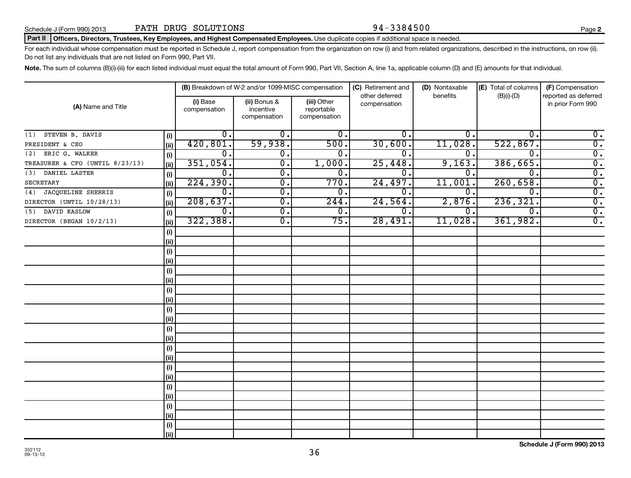#### Part II | Officers, Directors, Trustees, Key Employees, and Highest Compensated Employees. Use duplicate copies if additional space is needed.

For each individual whose compensation must be reported in Schedule J, report compensation from the organization on row (i) and from related organizations, described in the instructions, on row (ii). Do not list any individuals that are not listed on Form 990, Part VII.

Note. The sum of columns (B)(i)-(iii) for each listed individual must equal the total amount of Form 990, Part VII, Section A, line 1a, applicable column (D) and (E) amounts for that individual.

|                                 |            |                          | (B) Breakdown of W-2 and/or 1099-MISC compensation |                                           | (C) Retirement and<br>other deferred | (D) Nontaxable<br>benefits | (E) Total of columns | (F) Compensation<br>reported as deferred |
|---------------------------------|------------|--------------------------|----------------------------------------------------|-------------------------------------------|--------------------------------------|----------------------------|----------------------|------------------------------------------|
| (A) Name and Title              |            | (i) Base<br>compensation | (ii) Bonus &<br>incentive<br>compensation          | (iii) Other<br>reportable<br>compensation | compensation                         |                            | $(B)(i)-(D)$         | in prior Form 990                        |
| STEVEN B. DAVIS<br>(1)          | (i)        | 0.                       | 0.                                                 | 0.                                        | Ο.                                   | 0.                         | 0.                   | $\overline{0}$ .                         |
| PRESIDENT & CEO                 | (ii)       | 420,801.                 | 59,938.                                            | 500.                                      | 30,600.                              | 11,028.                    | 522,867.             | $\overline{0}$ .                         |
| ERIC G. WALKER<br>(2)           | (i)        | $\overline{0}$ .         | 0.                                                 | $\overline{0}$ .                          | $\overline{0}$ .                     | 0.                         | 0.                   | $\overline{0}$ .                         |
| TREASURER & CFO (UNTIL 8/23/13) | (ii)       | 351,054.                 | $\overline{0}$ .                                   | 1,000.                                    | 25,448.                              | 9,163.                     | 386,665.             | $\overline{0}$ .                         |
| (3) DANIEL LASTER               | $(\sf{i})$ | 0.                       | $\overline{0}$ .                                   | 0.                                        | о.                                   | 0.                         | $\overline{0}$ .     | $\overline{0}$ .                         |
| <b>SECRETARY</b>                | (i)        | 224, 390.                | $\overline{0}$ .                                   | 770.                                      | 24,497.                              | 11,001                     | 260,658.             | $\overline{0}$ .                         |
| (4) JACQUELINE SHERRIS          | (i)        | 0.                       | $\overline{0}$ .                                   | 0.                                        | 0.                                   | 0.                         | $\Omega$             | $\overline{0}$ .                         |
| DIRECTOR (UNTIL 10/28/13)       | (ii)       | 208,637.                 | $\overline{0}$ .                                   | 244.                                      | 24,564.                              | 2,876.                     | 236, 321.            | $\overline{0}$ .                         |
| (5) DAVID KASLOW                | (i)        | 0.                       | $\overline{0}$ .                                   | 0.                                        | 0.                                   | 0.                         | $\Omega$             | $\overline{0}$ .                         |
| DIRECTOR (BEGAN 10/2/13)        | (ii)       | 322, 388.                | $\overline{0}$ .                                   | $\overline{75}$ .                         | 28,491.                              | 11,028.                    | 361,982.             | $\overline{0}$ .                         |
|                                 | (i)        |                          |                                                    |                                           |                                      |                            |                      |                                          |
|                                 | (ii)       |                          |                                                    |                                           |                                      |                            |                      |                                          |
|                                 | (i)        |                          |                                                    |                                           |                                      |                            |                      |                                          |
|                                 | (ii)       |                          |                                                    |                                           |                                      |                            |                      |                                          |
|                                 | (i)        |                          |                                                    |                                           |                                      |                            |                      |                                          |
|                                 | (ii)       |                          |                                                    |                                           |                                      |                            |                      |                                          |
|                                 | (i)        |                          |                                                    |                                           |                                      |                            |                      |                                          |
|                                 | (ii)       |                          |                                                    |                                           |                                      |                            |                      |                                          |
|                                 | (i)        |                          |                                                    |                                           |                                      |                            |                      |                                          |
|                                 | (ii)       |                          |                                                    |                                           |                                      |                            |                      |                                          |
|                                 | (i)        |                          |                                                    |                                           |                                      |                            |                      |                                          |
|                                 | (ii)       |                          |                                                    |                                           |                                      |                            |                      |                                          |
|                                 | (i)        |                          |                                                    |                                           |                                      |                            |                      |                                          |
|                                 | (ii)       |                          |                                                    |                                           |                                      |                            |                      |                                          |
|                                 | (i)        |                          |                                                    |                                           |                                      |                            |                      |                                          |
|                                 | (ii)       |                          |                                                    |                                           |                                      |                            |                      |                                          |
|                                 | (i)        |                          |                                                    |                                           |                                      |                            |                      |                                          |
|                                 | (ii)       |                          |                                                    |                                           |                                      |                            |                      |                                          |
|                                 | (i)        |                          |                                                    |                                           |                                      |                            |                      |                                          |
|                                 | (ii)       |                          |                                                    |                                           |                                      |                            |                      |                                          |
|                                 | (i)        |                          |                                                    |                                           |                                      |                            |                      |                                          |
|                                 | (ii)       |                          |                                                    |                                           |                                      |                            |                      |                                          |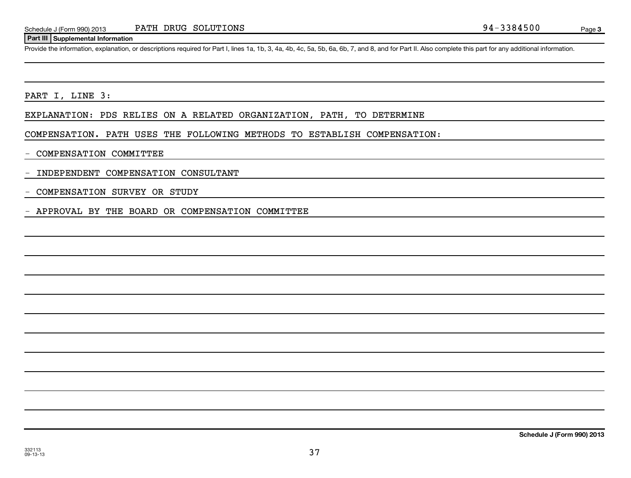#### **Part III Supplemental Information**

Provide the information, explanation, or descriptions required for Part I, lines 1a, 1b, 3, 4a, 4b, 4c, 5a, 5b, 6a, 6b, 7, and 8, and for Part II. Also complete this part for any additional information.

PART I, LINE 3:

EXPLANATION: PDS RELIES ON A RELATED ORGANIZATION, PATH, TO DETERMINE

COMPENSATION. PATH USES THE FOLLOWING METHODS TO ESTABLISH COMPENSATION:

- COMPENSATION COMMITTEE

- INDEPENDENT COMPENSATION CONSULTANT

- COMPENSATION SURVEY OR STUDY

- APPROVAL BY THE BOARD OR COMPENSATION COMMITTEE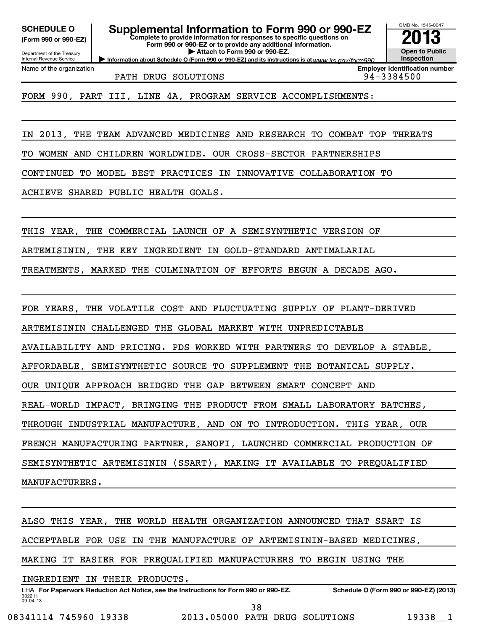**(Form 990 or 990-EZ)**

Department of the Treasury Internal Revenue Service Name of the organization

**Complete to provide information for responses to specific questions on Form 990 or 990-EZ or to provide any additional information. | Attach to Form 990 or 990-EZ. SCHEDULE O Supplemental Information to Form 990 or 990-EZ 2013**

**Information about Schedule O (Form 990 or 990-EZ) and its instructions is at www.irs.gov/form990.** 

PATH DRUG SOLUTIONS 94-3384500

**Employer identification number**

OMB No. 1545-0047

**Open to Public Inspection**

FORM 990, PART III, LINE 4A, PROGRAM SERVICE ACCOMPLISHMENTS:

IN 2013, THE TEAM ADVANCED MEDICINES AND RESEARCH TO COMBAT TOP THREATS

TO WOMEN AND CHILDREN WORLDWIDE. OUR CROSS-SECTOR PARTNERSHIPS

CONTINUED TO MODEL BEST PRACTICES IN INNOVATIVE COLLABORATION TO

ACHIEVE SHARED PUBLIC HEALTH GOALS.

THIS YEAR, THE COMMERCIAL LAUNCH OF A SEMISYNTHETIC VERSION OF

ARTEMISININ, THE KEY INGREDIENT IN GOLD-STANDARD ANTIMALARIAL

TREATMENTS, MARKED THE CULMINATION OF EFFORTS BEGUN A DECADE AGO.

FOR YEARS, THE VOLATILE COST AND FLUCTUATING SUPPLY OF PLANT-DERIVED

ARTEMISININ CHALLENGED THE GLOBAL MARKET WITH UNPREDICTABLE

AVAILABILITY AND PRICING. PDS WORKED WITH PARTNERS TO DEVELOP A STABLE,

AFFORDABLE, SEMISYNTHETIC SOURCE TO SUPPLEMENT THE BOTANICAL SUPPLY.

OUR UNIQUE APPROACH BRIDGED THE GAP BETWEEN SMART CONCEPT AND

REAL-WORLD IMPACT, BRINGING THE PRODUCT FROM SMALL LABORATORY BATCHES,

THROUGH INDUSTRIAL MANUFACTURE, AND ON TO INTRODUCTION. THIS YEAR, OUR

FRENCH MANUFACTURING PARTNER, SANOFI, LAUNCHED COMMERCIAL PRODUCTION OF

SEMISYNTHETIC ARTEMISININ (SSART), MAKING IT AVAILABLE TO PREQUALIFIED

MANUFACTURERS.

ALSO THIS YEAR, THE WORLD HEALTH ORGANIZATION ANNOUNCED THAT SSART IS

ACCEPTABLE FOR USE IN THE MANUFACTURE OF ARTEMISININ-BASED MEDICINES,

MAKING IT EASIER FOR PREQUALIFIED MANUFACTURERS TO BEGIN USING THE

INGREDIENT IN THEIR PRODUCTS.

332211 09-04-13 LHA For Paperwork Reduction Act Notice, see the Instructions for Form 990 or 990-EZ. Schedule O (Form 990 or 990-EZ) (2013) 38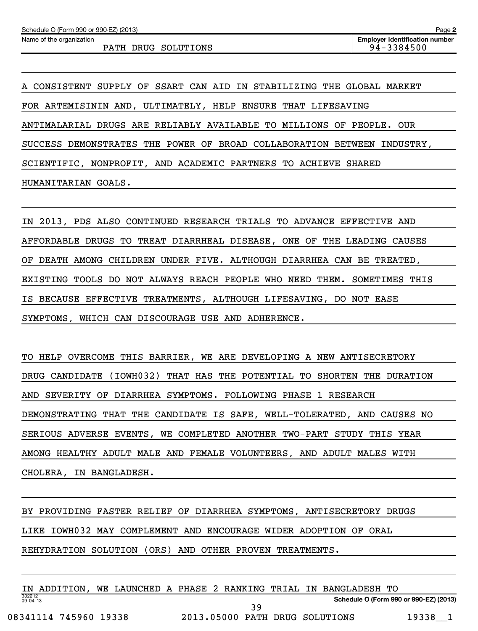Name of the organization

**Employer identification number** PATH DRUG SOLUTIONS  $\vert$  94-3384500

A CONSISTENT SUPPLY OF SSART CAN AID IN STABILIZING THE GLOBAL MARKET FOR ARTEMISININ AND, ULTIMATELY, HELP ENSURE THAT LIFESAVING ANTIMALARIAL DRUGS ARE RELIABLY AVAILABLE TO MILLIONS OF PEOPLE. OUR SUCCESS DEMONSTRATES THE POWER OF BROAD COLLABORATION BETWEEN INDUSTRY, SCIENTIFIC, NONPROFIT, AND ACADEMIC PARTNERS TO ACHIEVE SHARED HUMANITARIAN GOALS.

IN 2013, PDS ALSO CONTINUED RESEARCH TRIALS TO ADVANCE EFFECTIVE AND AFFORDABLE DRUGS TO TREAT DIARRHEAL DISEASE, ONE OF THE LEADING CAUSES OF DEATH AMONG CHILDREN UNDER FIVE. ALTHOUGH DIARRHEA CAN BE TREATED, EXISTING TOOLS DO NOT ALWAYS REACH PEOPLE WHO NEED THEM. SOMETIMES THIS IS BECAUSE EFFECTIVE TREATMENTS, ALTHOUGH LIFESAVING, DO NOT EASE SYMPTOMS, WHICH CAN DISCOURAGE USE AND ADHERENCE.

TO HELP OVERCOME THIS BARRIER, WE ARE DEVELOPING A NEW ANTISECRETORY DRUG CANDIDATE (IOWH032) THAT HAS THE POTENTIAL TO SHORTEN THE DURATION AND SEVERITY OF DIARRHEA SYMPTOMS. FOLLOWING PHASE 1 RESEARCH DEMONSTRATING THAT THE CANDIDATE IS SAFE, WELL-TOLERATED, AND CAUSES NO SERIOUS ADVERSE EVENTS, WE COMPLETED ANOTHER TWO-PART STUDY THIS YEAR AMONG HEALTHY ADULT MALE AND FEMALE VOLUNTEERS, AND ADULT MALES WITH CHOLERA, IN BANGLADESH.

BY PROVIDING FASTER RELIEF OF DIARRHEA SYMPTOMS, ANTISECRETORY DRUGS

LIKE IOWH032 MAY COMPLEMENT AND ENCOURAGE WIDER ADOPTION OF ORAL

REHYDRATION SOLUTION (ORS) AND OTHER PROVEN TREATMENTS.

|                          | IN ADDITION.          |  |  |                                |  | WE LAUNCHED A PHASE 2 RANKING TRIAL IN BANGLADESH TO |       |  |
|--------------------------|-----------------------|--|--|--------------------------------|--|------------------------------------------------------|-------|--|
| 332212<br>$09 - 04 - 13$ |                       |  |  |                                |  | Schedule O (Form 990 or 990-EZ) (2013)               |       |  |
|                          |                       |  |  | 3 Q                            |  |                                                      |       |  |
|                          | 08341114 745960 19338 |  |  | 2013.05000 PATH DRUG SOLUTIONS |  |                                                      | 19338 |  |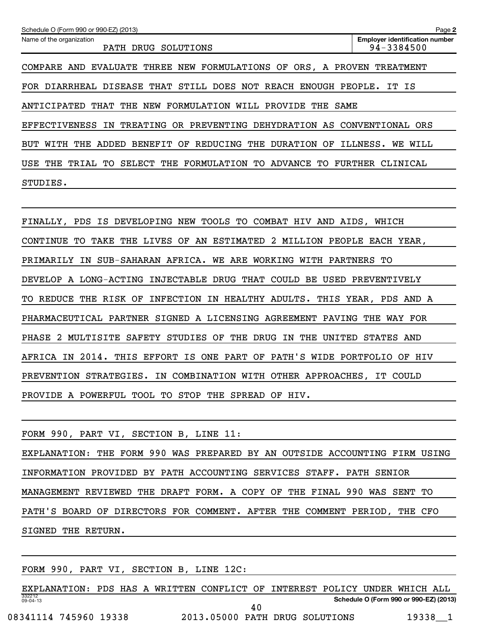| Schedule O (Form 990 or 990-EZ) (2013)                                                | Page 2                                              |
|---------------------------------------------------------------------------------------|-----------------------------------------------------|
| Name of the organization<br><b>DRUG</b><br>SOLUTIONS<br>PATH                          | <b>Employer identification number</b><br>94-3384500 |
| COMPARE AND EVALUATE THREE NEW FORMULATIONS OF<br>ORS, A PROVEN                       | TREATMENT                                           |
| FOR DIARRHEAL DISEASE<br>THAT<br>STILL<br><b>DOES</b><br>REACH<br>ENOUGH<br>NOT       | PEOPLE.<br>IS<br>IT.                                |
| NEW<br>FORMULATION<br>PROVIDE<br>ANTICIPATED<br>THAT<br>THE<br>WILL<br>THE<br>SAME    |                                                     |
| OR PREVENTING<br>DEHYDRATION AS<br><b>EFFECTIVENESS</b><br>IN TREATING                | CONVENTIONAL<br>ORS                                 |
| REDUCING<br>ADDED<br>BENEFIT OF<br>THE<br><b>DURATION</b><br>WITH<br>THE<br>OF<br>BUT | WILL<br>ILLNESS.<br>WE                              |
| USE<br>SELECT<br>FORMULATION<br>ADVANCE<br>THE<br>TRIAL<br>THE<br>TО<br>TО<br>TО      | FURTHER<br>CLINICAL                                 |
| STUDIES.                                                                              |                                                     |

FINALLY, PDS IS DEVELOPING NEW TOOLS TO COMBAT HIV AND AIDS, WHICH CONTINUE TO TAKE THE LIVES OF AN ESTIMATED 2 MILLION PEOPLE EACH YEAR, PRIMARILY IN SUB-SAHARAN AFRICA. WE ARE WORKING WITH PARTNERS TO DEVELOP A LONG-ACTING INJECTABLE DRUG THAT COULD BE USED PREVENTIVELY TO REDUCE THE RISK OF INFECTION IN HEALTHY ADULTS. THIS YEAR, PDS AND A PHARMACEUTICAL PARTNER SIGNED A LICENSING AGREEMENT PAVING THE WAY FOR PHASE 2 MULTISITE SAFETY STUDIES OF THE DRUG IN THE UNITED STATES AND AFRICA IN 2014. THIS EFFORT IS ONE PART OF PATH'S WIDE PORTFOLIO OF HIV PREVENTION STRATEGIES. IN COMBINATION WITH OTHER APPROACHES, IT COULD PROVIDE A POWERFUL TOOL TO STOP THE SPREAD OF HIV.

| FORM 990, PART VI, SECTION B, LINE 11:                                     |  |
|----------------------------------------------------------------------------|--|
| EXPLANATION: THE FORM 990 WAS PREPARED BY AN OUTSIDE ACCOUNTING FIRM USING |  |
| INFORMATION PROVIDED BY PATH ACCOUNTING SERVICES STAFF. PATH SENIOR        |  |
| MANAGEMENT REVIEWED THE DRAFT FORM. A COPY OF THE FINAL 990 WAS SENT TO    |  |
| PATH'S BOARD OF DIRECTORS FOR COMMENT. AFTER THE COMMENT PERIOD, THE CFO   |  |
| SIGNED THE RETURN.                                                         |  |

FORM 990, PART VI, SECTION B, LINE 12C:

332212 09-04-13 **Schedule O (Form 990 or 990-EZ) (2013)** EXPLANATION: PDS HAS A WRITTEN CONFLICT OF INTEREST POLICY UNDER WHICH ALL 08341114 745960 19338 2013.05000 PATH DRUG SOLUTIONS 19338\_1 40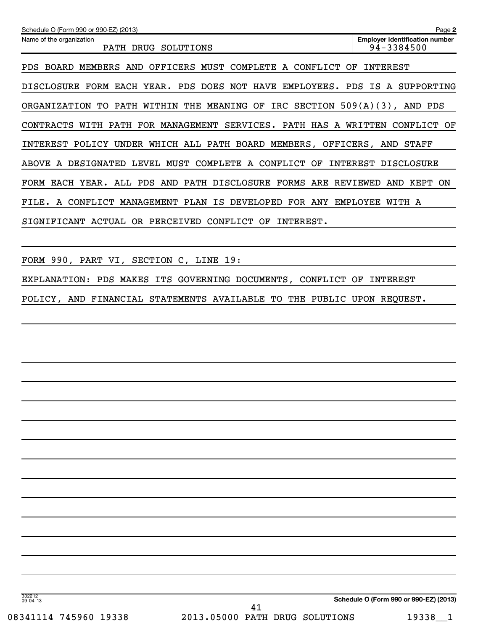| Schedule O (Form 990 or 990-EZ) (2013)                                                     | Page 2                                              |
|--------------------------------------------------------------------------------------------|-----------------------------------------------------|
| Name of the organization<br>PATH DRUG<br>SOLUTIONS                                         | <b>Employer identification number</b><br>94-3384500 |
| OFFICERS MUST<br>COMPLETE A<br>BOARD<br>MEMBERS<br>AND<br>CONFLICT<br>PDS<br>OF            | INTEREST                                            |
| YEAR.<br>PDS DOES<br>NOT<br><b>HAVE</b><br>EMPLOYEES.<br><b>DISCLOSURE</b><br>FORM<br>EACH | PDS.<br>IS<br>SUPPORTING<br>A                       |
| THE<br><b>MEANING</b><br>IRC SECTION<br>PATH<br>WITHIN<br>OF<br>ORGANIZATION<br>TO.        | $509(A)(3)$ ,<br>AND PDS                            |
| FOR MANAGEMENT<br>SERVICES. PATH HAS A<br><b>CONTRACTS</b><br>WITH<br>PATH                 | WRITTEN<br>CONFLICT<br>OF                           |
| POLICY UNDER WHICH ALL PATH BOARD MEMBERS, OFFICERS, AND<br>INTEREST                       | STAFF                                               |
| MUST<br>COMPLETE<br>CONFLICT<br>DESIGNATED<br>LEVEL<br>OF<br><b>ABOVE</b><br>A<br>A        | INTEREST<br><b>DISCLOSURE</b>                       |
| ALL PDS AND PATH DISCLOSURE FORMS ARE REVIEWED<br>FORM EACH YEAR.                          | AND KEPT<br>ON                                      |
| CONFLICT<br>MANAGEMENT<br>PLAN<br>ΙS<br>DEVELOPED<br><b>FOR</b><br>ANY<br>FILE.<br>A       | <b>EMPLOYEE</b><br>WITH A                           |
| PERCEIVED<br>SIGNIFICANT<br>ACTUAL<br>OR.<br>CONFLICT<br>OF<br>INTEREST.                   |                                                     |

FORM 990, PART VI, SECTION C, LINE 19:

EXPLANATION: PDS MAKES ITS GOVERNING DOCUMENTS, CONFLICT OF INTEREST

POLICY, AND FINANCIAL STATEMENTS AVAILABLE TO THE PUBLIC UPON REQUEST.

332212 09-04-13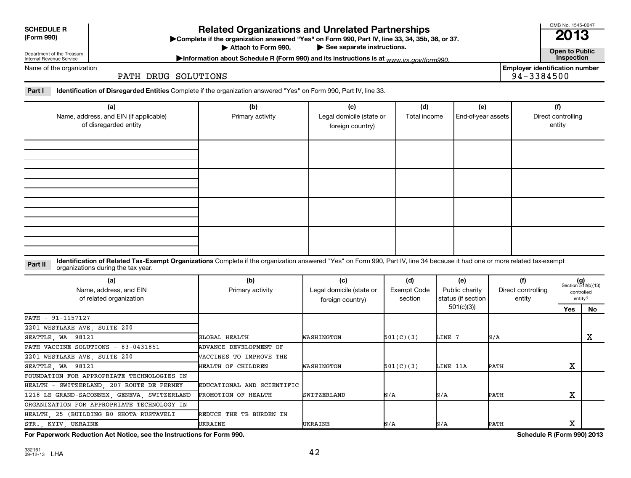**SCHEDULE R**

Department of the Treasury Internal Revenue Service

Name of the organization

**(Form 990) Complete if the organizations and Unrelated Partnerships**<br> **Related Organization answered "Yes" on Form 990, Part IV, line 33, 34, 35b, 36, or 37.**<br>
■ 2013 Attach to Form 990.

OMB No. 1545-0047

▶ See separate instructions.<br> **Attack to Public**<br> **Attack to Public** instructions is at *MANN irs COV/form*990. Information about Schedule R (Form 990) and its instructions is at <sub>www</sub> irs.gov/form990.

PATH DRUG SOLUTIONS

**Employer identification number**<br>94-3384500

Part I lentification of Disregarded Entities Complete if the organization answered "Yes" on Form 990, Part IV, line 33.

| (a)<br>Name, address, and EIN (if applicable)<br>of disregarded entity | (b)<br>Primary activity | (c)<br>Legal domicile (state or<br>foreign country) | (d)<br>Total income | (e)<br>End-of-year assets | (f)<br>Direct controlling<br>entity |
|------------------------------------------------------------------------|-------------------------|-----------------------------------------------------|---------------------|---------------------------|-------------------------------------|
|                                                                        |                         |                                                     |                     |                           |                                     |
|                                                                        |                         |                                                     |                     |                           |                                     |
|                                                                        |                         |                                                     |                     |                           |                                     |
|                                                                        |                         |                                                     |                     |                           |                                     |

Part II ldentification of Related Tax-Exempt Organizations Complete if the organization answered "Yes" on Form 990, Part IV, line 34 because it had one or more related tax-exempt<br>Complete it is a seminary way were presente organizations during the tax year.

| (a)<br>Name, address, and EIN<br>of related organization | (b)<br>Primary activity        | (c)<br>Legal domicile (state or<br>foreign country) | (d)<br>Exempt Code<br>section | (e)<br>Public charity<br>status (if section | (f)<br>Direct controlling<br>entity | $(g)$<br>Section 512(b)(13) | controlled<br>entity? |
|----------------------------------------------------------|--------------------------------|-----------------------------------------------------|-------------------------------|---------------------------------------------|-------------------------------------|-----------------------------|-----------------------|
|                                                          |                                |                                                     |                               | 501(c)(3))                                  |                                     | Yes                         | No                    |
| PATH - 91-1157127                                        |                                |                                                     |                               |                                             |                                     |                             |                       |
| 2201 WESTLAKE AVE, SUITE 200                             |                                |                                                     |                               |                                             |                                     |                             |                       |
| SEATTLE, WA 98121                                        | GLOBAL HEALTH                  | WASHINGTON                                          | 501(C)(3)                     | LINE 7                                      | N/A                                 |                             | х                     |
| PATH VACCINE SOLUTIONS - 83-0431851                      | ADVANCE DEVELOPMENT OF         |                                                     |                               |                                             |                                     |                             |                       |
| 2201 WESTLAKE AVE, SUITE 200                             | <b>WACCINES TO IMPROVE THE</b> |                                                     |                               |                                             |                                     |                             |                       |
| SEATTLE, WA 98121                                        | HEALTH OF CHILDREN             | WASHINGTON                                          | 501(C)(3)                     | LINE 11A                                    | PATH                                | х                           |                       |
| FOUNDATION FOR APPROPRIATE TECHNOLOGIES IN               |                                |                                                     |                               |                                             |                                     |                             |                       |
| HEALTH - SWITZERLAND, 207 ROUTE DE FERNEY                | EDUCATIONAL AND SCIENTIFIC     |                                                     |                               |                                             |                                     |                             |                       |
| 1218 LE GRAND-SACONNEX, GENEVA, SWITZERLAND              | PROMOTION OF HEALTH            | <b>SWITZERLAND</b>                                  | N/A                           | N/A                                         | PATH                                | х                           |                       |
| ORGANIZATION FOR APPROPRIATE TECHNOLOGY IN               |                                |                                                     |                               |                                             |                                     |                             |                       |
| HEALTH, 25 (BUILDING B0 SHOTA RUSTAVELI                  | REDUCE THE TB BURDEN IN        |                                                     |                               |                                             |                                     |                             |                       |
| STR. KYIV UKRAINE                                        | UKRAINE                        | UKRAINE                                             | N/A                           | N/A                                         | PATH                                | v<br>A                      |                       |

**For Paperwork Reduction Act Notice, see the Instructions for Form 990. Schedule R (Form 990) 2013**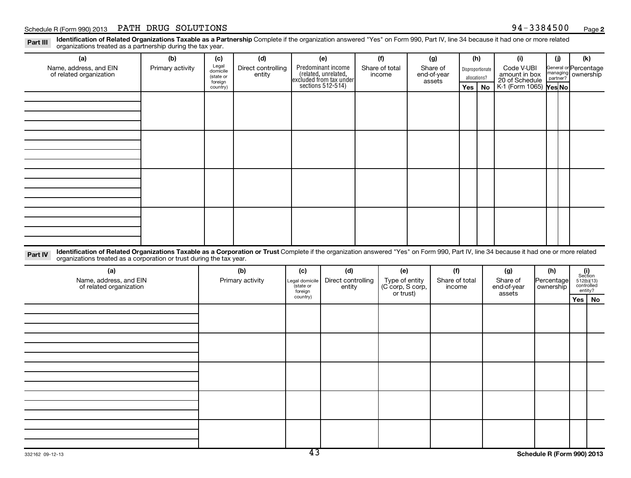Part III Identification of Related Organizations Taxable as a Partnership Complete if the organization answered "Yes" on Form 990, Part IV, line 34 because it had one or more related<br>Read to consistions tracted as a partne organizations treated as a partnership during the tax year.

| (a)                                                                                                                                                                                                                                                                       | (b)              | (c)                  | (d)                          |                      | (e)                                                                   | (f)                                | (g)                     |     | (h)              | (i)                         |            | (i)                  | (k)                                                                                                 |    |
|---------------------------------------------------------------------------------------------------------------------------------------------------------------------------------------------------------------------------------------------------------------------------|------------------|----------------------|------------------------------|----------------------|-----------------------------------------------------------------------|------------------------------------|-------------------------|-----|------------------|-----------------------------|------------|----------------------|-----------------------------------------------------------------------------------------------------|----|
| Name, address, and EIN<br>of related organization                                                                                                                                                                                                                         | Primary activity | Legal<br>domicile    | Direct controlling<br>entity |                      | Predominant income<br>(related, unrelated,<br>excluded from tax under | Share of total<br>income           | Share of<br>end-of-year |     | Disproportionate | Code V-UBI<br>amount in box |            |                      | General or Percentage<br>ownership                                                                  |    |
|                                                                                                                                                                                                                                                                           |                  | (state or<br>foreign |                              |                      | sections $512-514$ )                                                  |                                    | assets                  |     | allocations?     | 20 of Schedule              |            | managing<br>partner? |                                                                                                     |    |
|                                                                                                                                                                                                                                                                           |                  | country)             |                              |                      |                                                                       |                                    |                         | Yes | No               | K-1 (Form 1065)             |            | Yes No               |                                                                                                     |    |
|                                                                                                                                                                                                                                                                           |                  |                      |                              |                      |                                                                       |                                    |                         |     |                  |                             |            |                      |                                                                                                     |    |
|                                                                                                                                                                                                                                                                           |                  |                      |                              |                      |                                                                       |                                    |                         |     |                  |                             |            |                      |                                                                                                     |    |
|                                                                                                                                                                                                                                                                           |                  |                      |                              |                      |                                                                       |                                    |                         |     |                  |                             |            |                      |                                                                                                     |    |
|                                                                                                                                                                                                                                                                           |                  |                      |                              |                      |                                                                       |                                    |                         |     |                  |                             |            |                      |                                                                                                     |    |
|                                                                                                                                                                                                                                                                           |                  |                      |                              |                      |                                                                       |                                    |                         |     |                  |                             |            |                      |                                                                                                     |    |
|                                                                                                                                                                                                                                                                           |                  |                      |                              |                      |                                                                       |                                    |                         |     |                  |                             |            |                      |                                                                                                     |    |
|                                                                                                                                                                                                                                                                           |                  |                      |                              |                      |                                                                       |                                    |                         |     |                  |                             |            |                      |                                                                                                     |    |
|                                                                                                                                                                                                                                                                           |                  |                      |                              |                      |                                                                       |                                    |                         |     |                  |                             |            |                      |                                                                                                     |    |
|                                                                                                                                                                                                                                                                           |                  |                      |                              |                      |                                                                       |                                    |                         |     |                  |                             |            |                      |                                                                                                     |    |
|                                                                                                                                                                                                                                                                           |                  |                      |                              |                      |                                                                       |                                    |                         |     |                  |                             |            |                      |                                                                                                     |    |
|                                                                                                                                                                                                                                                                           |                  |                      |                              |                      |                                                                       |                                    |                         |     |                  |                             |            |                      |                                                                                                     |    |
|                                                                                                                                                                                                                                                                           |                  |                      |                              |                      |                                                                       |                                    |                         |     |                  |                             |            |                      |                                                                                                     |    |
|                                                                                                                                                                                                                                                                           |                  |                      |                              |                      |                                                                       |                                    |                         |     |                  |                             |            |                      |                                                                                                     |    |
|                                                                                                                                                                                                                                                                           |                  |                      |                              |                      |                                                                       |                                    |                         |     |                  |                             |            |                      |                                                                                                     |    |
| Identification of Related Organizations Taxable as a Corporation or Trust Complete if the organization answered "Yes" on Form 990, Part IV, line 34 because it had one or more related<br>Part IV<br>organizations treated as a corporation or trust during the tax year. |                  |                      |                              |                      |                                                                       |                                    |                         |     |                  |                             |            |                      |                                                                                                     |    |
| (a)                                                                                                                                                                                                                                                                       |                  |                      | (b)                          | (c)                  | (d)                                                                   | (e)                                | (f)                     |     |                  | (g)                         | (h)        |                      |                                                                                                     |    |
| Name, address, and EIN                                                                                                                                                                                                                                                    |                  |                      | Primary activity             | Legal domicile       | Direct controlling                                                    | Type of entity<br>(C corp, S corp, | Share of total          |     |                  | Share of                    | Percentage |                      | $\begin{array}{c} \textbf{(i)}\\ \text{Section}\\ 512(\text{b})(13)\\ \text{controlled}\end{array}$ |    |
| of related organization                                                                                                                                                                                                                                                   |                  |                      |                              | (state or<br>foreign | entity                                                                | or trust)                          | income                  |     |                  | end-of-year<br>assets       | ownership  |                      | entity?                                                                                             |    |
|                                                                                                                                                                                                                                                                           |                  |                      |                              | country)             |                                                                       |                                    |                         |     |                  |                             |            |                      | Yes                                                                                                 | No |
|                                                                                                                                                                                                                                                                           |                  |                      |                              |                      |                                                                       |                                    |                         |     |                  |                             |            |                      |                                                                                                     |    |
|                                                                                                                                                                                                                                                                           |                  |                      |                              |                      |                                                                       |                                    |                         |     |                  |                             |            |                      |                                                                                                     |    |
|                                                                                                                                                                                                                                                                           |                  |                      |                              |                      |                                                                       |                                    |                         |     |                  |                             |            |                      |                                                                                                     |    |
|                                                                                                                                                                                                                                                                           |                  |                      |                              |                      |                                                                       |                                    |                         |     |                  |                             |            |                      |                                                                                                     |    |
|                                                                                                                                                                                                                                                                           |                  |                      |                              |                      |                                                                       |                                    |                         |     |                  |                             |            |                      |                                                                                                     |    |
|                                                                                                                                                                                                                                                                           |                  |                      |                              |                      |                                                                       |                                    |                         |     |                  |                             |            |                      |                                                                                                     |    |
|                                                                                                                                                                                                                                                                           |                  |                      |                              |                      |                                                                       |                                    |                         |     |                  |                             |            |                      |                                                                                                     |    |
|                                                                                                                                                                                                                                                                           |                  |                      |                              |                      |                                                                       |                                    |                         |     |                  |                             |            |                      |                                                                                                     |    |
|                                                                                                                                                                                                                                                                           |                  |                      |                              |                      |                                                                       |                                    |                         |     |                  |                             |            |                      |                                                                                                     |    |
|                                                                                                                                                                                                                                                                           |                  |                      |                              |                      |                                                                       |                                    |                         |     |                  |                             |            |                      |                                                                                                     |    |
|                                                                                                                                                                                                                                                                           |                  |                      |                              |                      |                                                                       |                                    |                         |     |                  |                             |            |                      |                                                                                                     |    |
|                                                                                                                                                                                                                                                                           |                  |                      |                              |                      |                                                                       |                                    |                         |     |                  |                             |            |                      |                                                                                                     |    |
|                                                                                                                                                                                                                                                                           |                  |                      |                              |                      |                                                                       |                                    |                         |     |                  |                             |            |                      |                                                                                                     |    |
| 332162 09-12-13                                                                                                                                                                                                                                                           |                  |                      |                              | $\overline{43}$      |                                                                       |                                    |                         |     |                  | Schedule R (Form 990) 2013  |            |                      |                                                                                                     |    |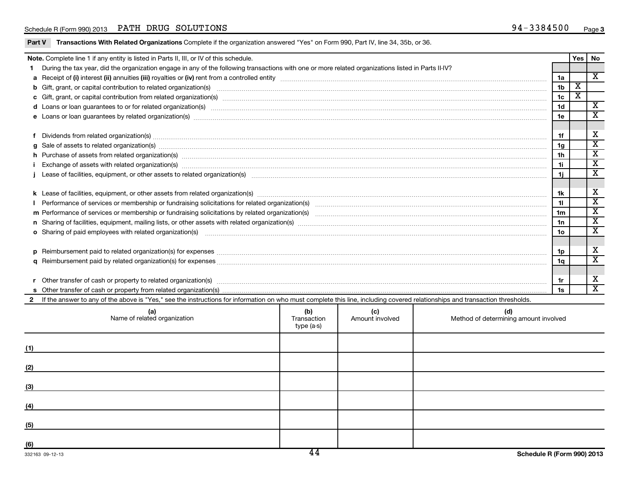| Part V | Transactions With Related Organizations Complete if the organization answered "Yes" on Form 990, Part IV, line 34, 35b, or 36.                                                                                                       |                                   |                        |                                              |                |                         |                         |
|--------|--------------------------------------------------------------------------------------------------------------------------------------------------------------------------------------------------------------------------------------|-----------------------------------|------------------------|----------------------------------------------|----------------|-------------------------|-------------------------|
|        | Note. Complete line 1 if any entity is listed in Parts II, III, or IV of this schedule.                                                                                                                                              |                                   |                        |                                              |                |                         | Yes   No                |
|        | During the tax year, did the organization engage in any of the following transactions with one or more related organizations listed in Parts II-IV?                                                                                  |                                   |                        |                                              |                |                         |                         |
|        |                                                                                                                                                                                                                                      |                                   |                        |                                              | 1a             |                         | $\overline{X}$          |
|        |                                                                                                                                                                                                                                      |                                   |                        |                                              | 1 <sub>b</sub> | $\overline{\mathbf{x}}$ |                         |
|        |                                                                                                                                                                                                                                      |                                   |                        |                                              | 1c             | $\overline{\mathbf{x}}$ |                         |
|        |                                                                                                                                                                                                                                      |                                   |                        |                                              | 1d             |                         | $\overline{\mathbf{x}}$ |
|        |                                                                                                                                                                                                                                      |                                   |                        |                                              | 1e             |                         | $\overline{\textbf{x}}$ |
|        | f Dividends from related organization(s) manufactured and contract the contract of the contract of the contract of the contract of the contract of the contract of the contract of the contract of the contract of the contrac       |                                   |                        |                                              | 1f             |                         | X                       |
|        | g Sale of assets to related organization(s) manufactured assembly contained as a set of assets to related organization(s) manufactured assets to related organization(s) manufactured assets to related organization(s)              |                                   |                        |                                              | 1g             |                         | $\overline{\text{x}}$   |
|        |                                                                                                                                                                                                                                      |                                   |                        |                                              | 1h             |                         | $\overline{\mathbf{x}}$ |
|        | Exchange of assets with related organization(s) www.assettion.com/www.assettion.com/www.assettion.com/www.assettion.com/www.assettion.com/www.assettion.com/www.assettion.com/www.assettion.com/www.assettion.com/www.assettio       |                                   |                        |                                              | 1i             |                         | $\overline{\textbf{x}}$ |
|        | Lease of facilities, equipment, or other assets to related organization(s) encontant content to consume the content of facilities, equipment, or other assets to related organization(s)                                             |                                   |                        |                                              | 1i             |                         | $\overline{\texttt{x}}$ |
|        |                                                                                                                                                                                                                                      |                                   |                        |                                              | 1k             |                         | X                       |
|        |                                                                                                                                                                                                                                      |                                   |                        |                                              | 11             |                         | $\overline{\textbf{x}}$ |
|        |                                                                                                                                                                                                                                      |                                   |                        |                                              | 1 <sub>m</sub> |                         | $\overline{\textbf{x}}$ |
|        |                                                                                                                                                                                                                                      |                                   |                        |                                              | 1n             |                         | $\overline{\textbf{x}}$ |
|        | o Sharing of paid employees with related organization(s) <b>manufacture and consumer consumer and consumer and consumer and consumer and consumer and consumer and consumer and consumer and consumer and consumer and consumer </b> |                                   |                        |                                              | 1o             |                         | $\overline{\textbf{x}}$ |
|        |                                                                                                                                                                                                                                      |                                   |                        |                                              |                |                         |                         |
|        |                                                                                                                                                                                                                                      |                                   |                        |                                              | 1p             |                         | X                       |
|        |                                                                                                                                                                                                                                      |                                   |                        |                                              | 1q             |                         | $\overline{\text{x}}$   |
|        |                                                                                                                                                                                                                                      |                                   |                        |                                              |                |                         |                         |
|        |                                                                                                                                                                                                                                      |                                   |                        |                                              | 1r             |                         | Х                       |
|        |                                                                                                                                                                                                                                      |                                   |                        |                                              | 1s             |                         | $\overline{\texttt{x}}$ |
|        | 2 If the answer to any of the above is "Yes," see the instructions for information on who must complete this line, including covered relationships and transaction thresholds.                                                       |                                   |                        |                                              |                |                         |                         |
|        | (a)<br>Name of related organization                                                                                                                                                                                                  | (b)<br>Transaction<br>$type(a-s)$ | (c)<br>Amount involved | (d)<br>Method of determining amount involved |                |                         |                         |
| (1)    |                                                                                                                                                                                                                                      |                                   |                        |                                              |                |                         |                         |
|        |                                                                                                                                                                                                                                      |                                   |                        |                                              |                |                         |                         |
| (2)    |                                                                                                                                                                                                                                      |                                   |                        |                                              |                |                         |                         |
| (3)    |                                                                                                                                                                                                                                      |                                   |                        |                                              |                |                         |                         |
|        |                                                                                                                                                                                                                                      |                                   |                        |                                              |                |                         |                         |
| (4)    |                                                                                                                                                                                                                                      |                                   |                        |                                              |                |                         |                         |
| (5)    |                                                                                                                                                                                                                                      |                                   |                        |                                              |                |                         |                         |
| (6)    |                                                                                                                                                                                                                                      |                                   |                        |                                              |                |                         |                         |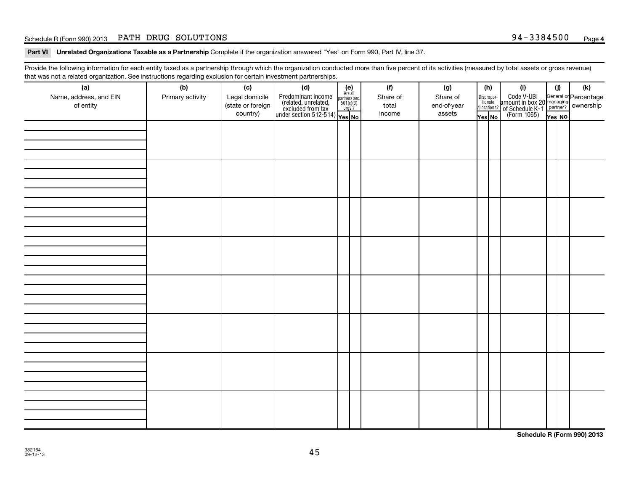#### Schedule R (Form 990) 2013 PATH DRUG SOLUTIONS (Page 1999) 2013 Page 194-3384500 Page

Part VI Unrelated Organizations Taxable as a Partnership Complete if the organization answered "Yes" on Form 990, Part IV, line 37.

Provide the following information for each entity taxed as a partnership through which the organization conducted more than five percent of its activities (measured by total assets or gross revenue) that was not a related organization. See instructions regarding exclusion for certain investment partnerships.

| (a)<br>Name, address, and EIN<br>of entity | (b)<br>Primary activity | (c)<br>Legal domicile<br>(state or foreign | (d)<br>Predominant income<br>(related, unrelated, $\frac{\text{Area all}}{\text{501(c)(3)}}$<br>excluded from tax<br>under section 512-514)<br>Ves No | $(e)$<br>Are all<br>partners sec.<br>$501(c)(3)$<br>orgs.? | (f)<br>Share of<br>total | (g)<br>Share of<br>end-of-year | (h)<br>Dispropor-<br>tionate<br>allocations? | (i)<br>Code V-UBI<br>amount in box 20 managing<br>of Schedule K-1<br>(Form 1065)<br>$\overline{V}$ ves No | (i)    | (k) |
|--------------------------------------------|-------------------------|--------------------------------------------|-------------------------------------------------------------------------------------------------------------------------------------------------------|------------------------------------------------------------|--------------------------|--------------------------------|----------------------------------------------|-----------------------------------------------------------------------------------------------------------|--------|-----|
|                                            |                         | country)                                   |                                                                                                                                                       |                                                            | income                   | assets                         | Yes No                                       |                                                                                                           | Yes NO |     |
|                                            |                         |                                            |                                                                                                                                                       |                                                            |                          |                                |                                              |                                                                                                           |        |     |
|                                            |                         |                                            |                                                                                                                                                       |                                                            |                          |                                |                                              |                                                                                                           |        |     |
|                                            |                         |                                            |                                                                                                                                                       |                                                            |                          |                                |                                              |                                                                                                           |        |     |
|                                            |                         |                                            |                                                                                                                                                       |                                                            |                          |                                |                                              |                                                                                                           |        |     |
|                                            |                         |                                            |                                                                                                                                                       |                                                            |                          |                                |                                              |                                                                                                           |        |     |
|                                            |                         |                                            |                                                                                                                                                       |                                                            |                          |                                |                                              |                                                                                                           |        |     |
|                                            |                         |                                            |                                                                                                                                                       |                                                            |                          |                                |                                              |                                                                                                           |        |     |
|                                            |                         |                                            |                                                                                                                                                       |                                                            |                          |                                |                                              |                                                                                                           |        |     |
|                                            |                         |                                            |                                                                                                                                                       |                                                            |                          |                                |                                              |                                                                                                           |        |     |
|                                            |                         |                                            |                                                                                                                                                       |                                                            |                          |                                |                                              |                                                                                                           |        |     |
|                                            |                         |                                            |                                                                                                                                                       |                                                            |                          |                                |                                              |                                                                                                           |        |     |
|                                            |                         |                                            |                                                                                                                                                       |                                                            |                          |                                |                                              |                                                                                                           |        |     |
|                                            |                         |                                            |                                                                                                                                                       |                                                            |                          |                                |                                              |                                                                                                           |        |     |
|                                            |                         |                                            |                                                                                                                                                       |                                                            |                          |                                |                                              |                                                                                                           |        |     |
|                                            |                         |                                            |                                                                                                                                                       |                                                            |                          |                                |                                              |                                                                                                           |        |     |
|                                            |                         |                                            |                                                                                                                                                       |                                                            |                          |                                |                                              |                                                                                                           |        |     |
|                                            |                         |                                            |                                                                                                                                                       |                                                            |                          |                                |                                              |                                                                                                           |        |     |
|                                            |                         |                                            |                                                                                                                                                       |                                                            |                          |                                |                                              |                                                                                                           |        |     |
|                                            |                         |                                            |                                                                                                                                                       |                                                            |                          |                                |                                              |                                                                                                           |        |     |
|                                            |                         |                                            |                                                                                                                                                       |                                                            |                          |                                |                                              |                                                                                                           |        |     |
|                                            |                         |                                            |                                                                                                                                                       |                                                            |                          |                                |                                              |                                                                                                           |        |     |
|                                            |                         |                                            |                                                                                                                                                       |                                                            |                          |                                |                                              |                                                                                                           |        |     |
|                                            |                         |                                            |                                                                                                                                                       |                                                            |                          |                                |                                              |                                                                                                           |        |     |
|                                            |                         |                                            |                                                                                                                                                       |                                                            |                          |                                |                                              |                                                                                                           |        |     |
|                                            |                         |                                            |                                                                                                                                                       |                                                            |                          |                                |                                              |                                                                                                           |        |     |
|                                            |                         |                                            |                                                                                                                                                       |                                                            |                          |                                |                                              |                                                                                                           |        |     |
|                                            |                         |                                            |                                                                                                                                                       |                                                            |                          |                                |                                              |                                                                                                           |        |     |
|                                            |                         |                                            |                                                                                                                                                       |                                                            |                          |                                |                                              |                                                                                                           |        |     |

**Schedule R (Form 990) 2013**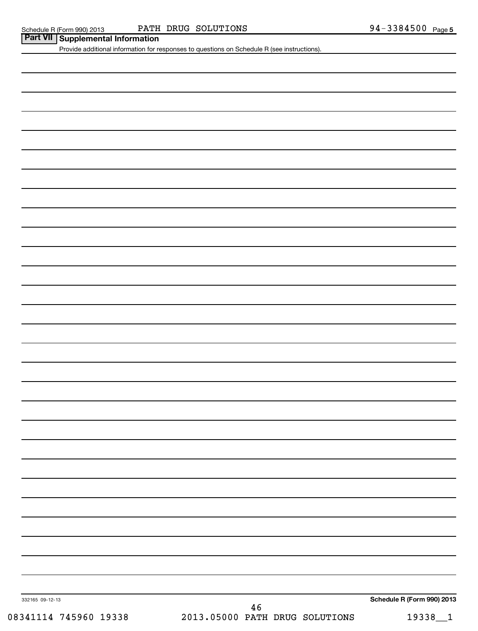| <b>Part VII   Supplemental Information</b><br>Provide additional information for responses to questions on Schedule R (see instructions). | PATH DRUG SOLUTIONS<br>Schedule R (Form 990) 2013 | 94-3384500 Page 5 |
|-------------------------------------------------------------------------------------------------------------------------------------------|---------------------------------------------------|-------------------|
|                                                                                                                                           |                                                   |                   |
|                                                                                                                                           |                                                   |                   |
|                                                                                                                                           |                                                   |                   |
|                                                                                                                                           |                                                   |                   |
|                                                                                                                                           |                                                   |                   |
|                                                                                                                                           |                                                   |                   |
|                                                                                                                                           |                                                   |                   |
|                                                                                                                                           |                                                   |                   |
|                                                                                                                                           |                                                   |                   |
|                                                                                                                                           |                                                   |                   |
|                                                                                                                                           |                                                   |                   |
|                                                                                                                                           |                                                   |                   |
|                                                                                                                                           |                                                   |                   |
|                                                                                                                                           |                                                   |                   |
|                                                                                                                                           |                                                   |                   |
|                                                                                                                                           |                                                   |                   |
|                                                                                                                                           |                                                   |                   |
|                                                                                                                                           |                                                   |                   |
|                                                                                                                                           |                                                   |                   |
|                                                                                                                                           |                                                   |                   |
|                                                                                                                                           |                                                   |                   |
|                                                                                                                                           |                                                   |                   |
|                                                                                                                                           |                                                   |                   |
|                                                                                                                                           |                                                   |                   |
|                                                                                                                                           |                                                   |                   |
|                                                                                                                                           |                                                   |                   |
|                                                                                                                                           |                                                   |                   |
|                                                                                                                                           |                                                   |                   |
|                                                                                                                                           |                                                   |                   |
|                                                                                                                                           |                                                   |                   |
|                                                                                                                                           |                                                   |                   |
|                                                                                                                                           |                                                   |                   |
|                                                                                                                                           |                                                   |                   |
|                                                                                                                                           |                                                   |                   |
|                                                                                                                                           |                                                   |                   |
|                                                                                                                                           |                                                   |                   |
|                                                                                                                                           |                                                   |                   |
|                                                                                                                                           |                                                   |                   |
|                                                                                                                                           |                                                   |                   |
|                                                                                                                                           |                                                   |                   |
|                                                                                                                                           |                                                   |                   |

332165 09-12-13